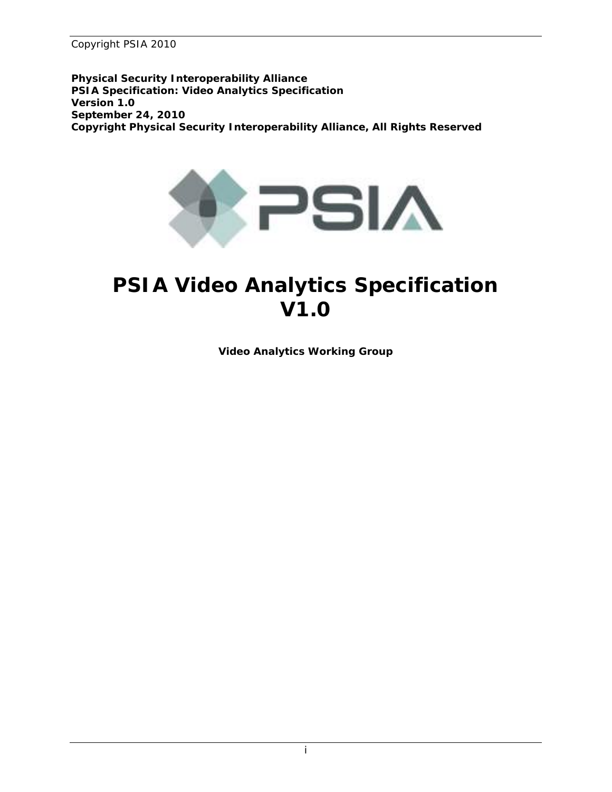**Physical Security Interoperability Alliance PSIA Specification: Video Analytics Specification Version 1.0 September 24, 2010**  *Copyright Physical Security Interoperability Alliance, All Rights Reserved* 



## **PSIA Video Analytics Specification V1.0**

*Video Analytics Working Group*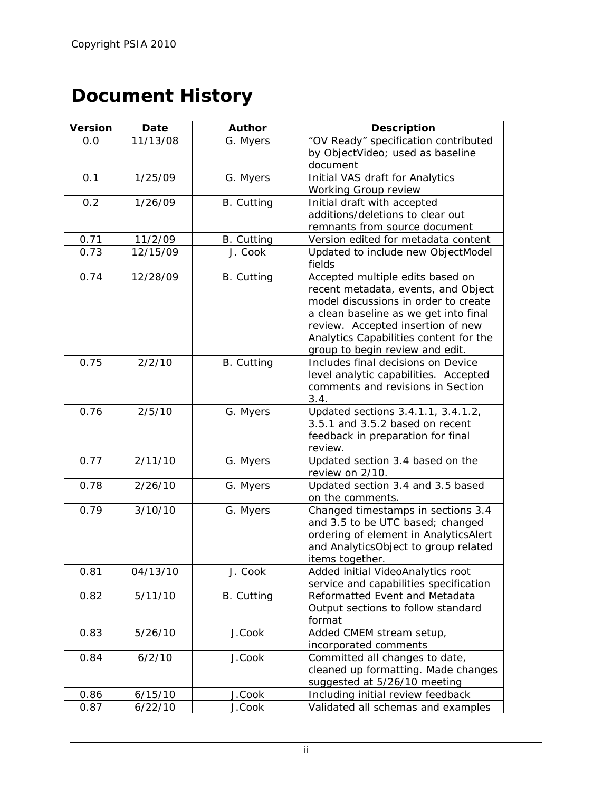## **Document History**

| "OV Ready" specification contributed<br>by ObjectVideo; used as baseline |  |
|--------------------------------------------------------------------------|--|
|                                                                          |  |
|                                                                          |  |
| document                                                                 |  |
| Initial VAS draft for Analytics                                          |  |
|                                                                          |  |
|                                                                          |  |
| additions/deletions to clear out                                         |  |
| remnants from source document                                            |  |
| Version edited for metadata content                                      |  |
| Updated to include new ObjectModel                                       |  |
| Accepted multiple edits based on                                         |  |
| recent metadata, events, and Object                                      |  |
| model discussions in order to create                                     |  |
| a clean baseline as we get into final                                    |  |
| review. Accepted insertion of new                                        |  |
| Analytics Capabilities content for the                                   |  |
| group to begin review and edit.                                          |  |
| Includes final decisions on Device                                       |  |
| level analytic capabilities. Accepted                                    |  |
| comments and revisions in Section                                        |  |
| 3.4.                                                                     |  |
| Updated sections 3.4.1.1, 3.4.1.2,<br>3.5.1 and 3.5.2 based on recent    |  |
| feedback in preparation for final                                        |  |
|                                                                          |  |
| Updated section 3.4 based on the                                         |  |
|                                                                          |  |
| Updated section 3.4 and 3.5 based                                        |  |
|                                                                          |  |
| Changed timestamps in sections 3.4                                       |  |
| and 3.5 to be UTC based; changed                                         |  |
| ordering of element in AnalyticsAlert                                    |  |
| and AnalyticsObject to group related                                     |  |
|                                                                          |  |
| Added initial VideoAnalytics root                                        |  |
| service and capabilities specification                                   |  |
| Reformatted Event and Metadata                                           |  |
| Output sections to follow standard                                       |  |
|                                                                          |  |
| Added CMEM stream setup,                                                 |  |
|                                                                          |  |
| Committed all changes to date,                                           |  |
| cleaned up formatting. Made changes<br>suggested at 5/26/10 meeting      |  |
| Including initial review feedback                                        |  |
| Validated all schemas and examples                                       |  |
|                                                                          |  |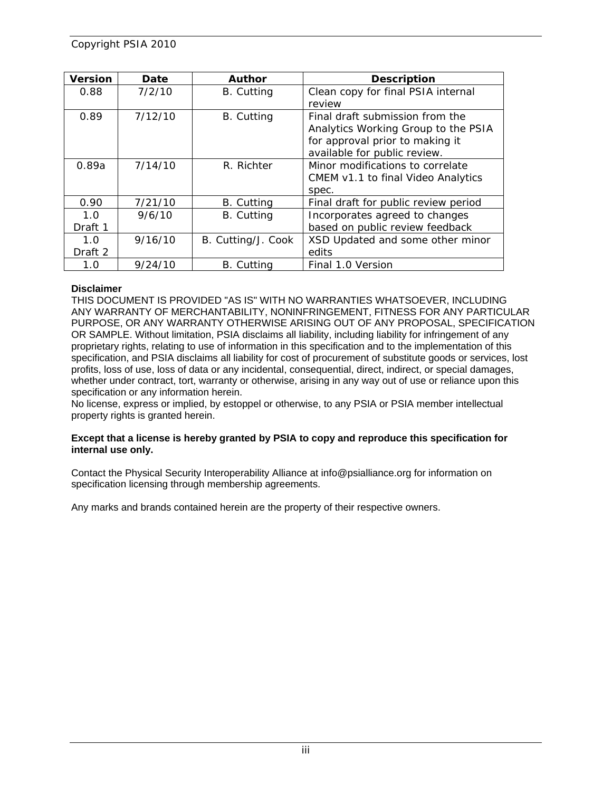| <b>Version</b> | Date    | <b>Author</b>      | <b>Description</b>                   |  |
|----------------|---------|--------------------|--------------------------------------|--|
| 0.88           | 7/2/10  | <b>B.</b> Cutting  | Clean copy for final PSIA internal   |  |
|                |         |                    | review                               |  |
| 0.89           | 7/12/10 | B. Cutting         | Final draft submission from the      |  |
|                |         |                    | Analytics Working Group to the PSIA  |  |
|                |         |                    | for approval prior to making it      |  |
|                |         |                    | available for public review.         |  |
| 0.89a          | 7/14/10 | R. Richter         | Minor modifications to correlate     |  |
|                |         |                    | CMEM v1.1 to final Video Analytics   |  |
|                |         |                    | spec.                                |  |
| 0.90           | 7/21/10 | B. Cutting         | Final draft for public review period |  |
| 1.0            | 9/6/10  | <b>B.</b> Cutting  | Incorporates agreed to changes       |  |
| Draft 1        |         |                    | based on public review feedback      |  |
| 1.0            | 9/16/10 | B. Cutting/J. Cook | XSD Updated and some other minor     |  |
| Draft 2        |         |                    | edits                                |  |
| 1.0            | 9/24/10 | <b>B.</b> Cutting  | Final 1.0 Version                    |  |

#### **Disclaimer**

THIS DOCUMENT IS PROVIDED "AS IS" WITH NO WARRANTIES WHATSOEVER, INCLUDING ANY WARRANTY OF MERCHANTABILITY, NONINFRINGEMENT, FITNESS FOR ANY PARTICULAR PURPOSE, OR ANY WARRANTY OTHERWISE ARISING OUT OF ANY PROPOSAL, SPECIFICATION OR SAMPLE. Without limitation, PSIA disclaims all liability, including liability for infringement of any proprietary rights, relating to use of information in this specification and to the implementation of this specification, and PSIA disclaims all liability for cost of procurement of substitute goods or services, lost profits, loss of use, loss of data or any incidental, consequential, direct, indirect, or special damages, whether under contract, tort, warranty or otherwise, arising in any way out of use or reliance upon this specification or any information herein.

No license, express or implied, by estoppel or otherwise, to any PSIA or PSIA member intellectual property rights is granted herein.

#### **Except that a license is hereby granted by PSIA to copy and reproduce this specification for internal use only.**

Contact the Physical Security Interoperability Alliance at info@psialliance.org for information on specification licensing through membership agreements.

Any marks and brands contained herein are the property of their respective owners.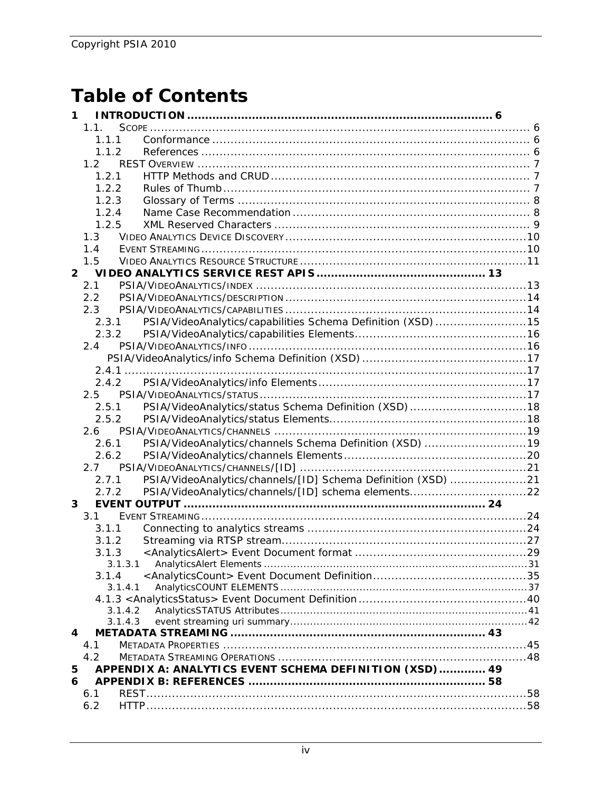## **Table of Contents**

| 1              |                    |                                                              |  |
|----------------|--------------------|--------------------------------------------------------------|--|
|                | 1.1.               |                                                              |  |
|                | 1.1.1              |                                                              |  |
|                | 1.1.2              |                                                              |  |
|                | 1.2                |                                                              |  |
|                | 1.2.1              |                                                              |  |
|                | 1.2.2              |                                                              |  |
|                | 1.2.3              |                                                              |  |
|                | 1.2.4              |                                                              |  |
|                | 1.2.5              |                                                              |  |
|                | 1.3                |                                                              |  |
|                | 1.4                |                                                              |  |
|                | 1.5                |                                                              |  |
| $\overline{2}$ |                    |                                                              |  |
|                | 2.1                |                                                              |  |
|                | 2.2                |                                                              |  |
|                | 2.3                |                                                              |  |
|                | 2.3.1              | PSIA/VideoAnalytics/capabilities Schema Definition (XSD)  15 |  |
|                | 2.3.2              |                                                              |  |
|                | 2.4                |                                                              |  |
|                |                    |                                                              |  |
|                |                    |                                                              |  |
|                | 2.4.2              |                                                              |  |
|                | 2.5                |                                                              |  |
|                | 2.5.1              |                                                              |  |
|                | 2.5.2              |                                                              |  |
|                | 2.6                |                                                              |  |
|                | 2.6.1              | PSIA/VideoAnalytics/channels Schema Definition (XSD)  19     |  |
|                | 2.6.2              |                                                              |  |
|                | 2.7                |                                                              |  |
|                | 2.7.1              | PSIA/VideoAnalytics/channels/[ID] Schema Definition (XSD) 21 |  |
|                | 2.7.2              | PSIA/VideoAnalytics/channels/[ID] schema elements22          |  |
| 3              |                    |                                                              |  |
|                | 3.1                |                                                              |  |
|                | 3.1.1              |                                                              |  |
|                | 3.1.2              |                                                              |  |
|                | 3.1.3              | <analyticsalert> Event Document format </analyticsalert>     |  |
|                | 3.1.3.1            |                                                              |  |
|                | 3.1.4              |                                                              |  |
|                | 3.1.4.1            |                                                              |  |
|                |                    |                                                              |  |
|                | 3.1.4.2<br>3.1.4.3 |                                                              |  |
| 4              |                    |                                                              |  |
|                | 4.1                |                                                              |  |
|                | 4.2                |                                                              |  |
| 5              |                    | APPENDIX A: ANALYTICS EVENT SCHEMA DEFINITION (XSD) 49       |  |
| 6              |                    |                                                              |  |
|                | 6.1                |                                                              |  |
|                | 6.2                |                                                              |  |
|                |                    |                                                              |  |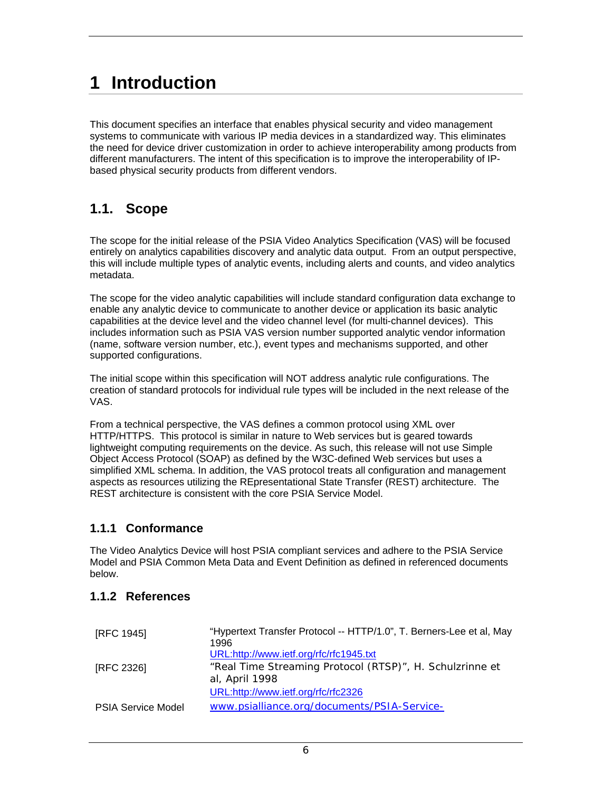## **1 Introduction**

This document specifies an interface that enables physical security and video management systems to communicate with various IP media devices in a standardized way. This eliminates the need for device driver customization in order to achieve interoperability among products from different manufacturers. The intent of this specification is to improve the interoperability of IPbased physical security products from different vendors.

### **1.1. Scope**

The scope for the initial release of the PSIA Video Analytics Specification (VAS) will be focused entirely on analytics capabilities discovery and analytic data output. From an output perspective, this will include multiple types of analytic events, including alerts and counts, and video analytics metadata.

The scope for the video analytic capabilities will include standard configuration data exchange to enable any analytic device to communicate to another device or application its basic analytic capabilities at the device level and the video channel level (for multi-channel devices). This includes information such as PSIA VAS version number supported analytic vendor information (name, software version number, etc.), event types and mechanisms supported, and other supported configurations.

The initial scope within this specification will NOT address analytic rule configurations. The creation of standard protocols for individual rule types will be included in the next release of the VAS.

From a technical perspective, the VAS defines a common protocol using XML over HTTP/HTTPS. This protocol is similar in nature to Web services but is geared towards lightweight computing requirements on the device. As such, this release will not use Simple Object Access Protocol (SOAP) as defined by the W3C-defined Web services but uses a simplified XML schema. In addition, the VAS protocol treats all configuration and management aspects as resources utilizing the REpresentational State Transfer (REST) architecture. The REST architecture is consistent with the core PSIA Service Model.

#### **1.1.1 Conformance**

The Video Analytics Device will host PSIA compliant services and adhere to the PSIA Service Model and PSIA Common Meta Data and Event Definition as defined in referenced documents below.

#### **1.1.2 References**

| [RFC 1945]                | "Hypertext Transfer Protocol -- HTTP/1.0", T. Berners-Lee et al, May<br>1996<br>URL:http://www.ietf.org/rfc/rfc1945.txt |
|---------------------------|-------------------------------------------------------------------------------------------------------------------------|
| [RFC 2326]                | "Real Time Streaming Protocol (RTSP)", H. Schulzrinne et<br>al, April 1998<br>URL:http://www.ietf.org/rfc/rfc2326       |
| <b>PSIA Service Model</b> | www.psialliance.org/documents/PSIA-Service-                                                                             |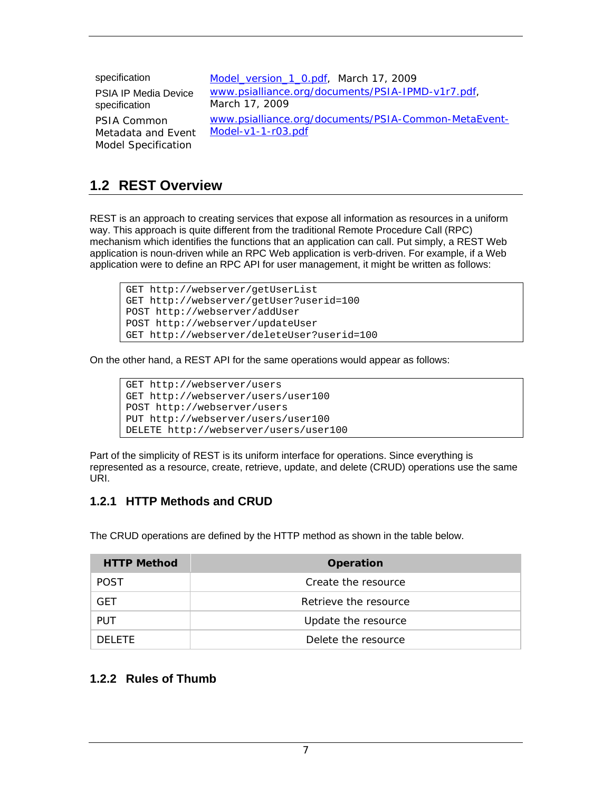| specification                                                   | Model_version_1_0.pdf, March 17, 2009                                      |
|-----------------------------------------------------------------|----------------------------------------------------------------------------|
| <b>PSIA IP Media Device</b><br>specification                    | www.psialliance.org/documents/PSIA-IPMD-v1r7.pdf,<br>March 17, 2009        |
| PSIA Common<br>Metadata and Event<br><b>Model Specification</b> | www.psialliance.org/documents/PSIA-Common-MetaEvent-<br>Model-v1-1-r03.pdf |

### **1.2 REST Overview**

REST is an approach to creating services that expose all information as resources in a uniform way. This approach is quite different from the traditional Remote Procedure Call (RPC) mechanism which identifies the functions that an application can call. Put simply, a REST Web application is noun-driven while an RPC Web application is verb-driven. For example, if a Web application were to define an RPC API for user management, it might be written as follows:

```
GET http://webserver/getUserList 
GET http://webserver/getUser?userid=100 
POST http://webserver/addUser 
POST http://webserver/updateUser 
GET http://webserver/deleteUser?userid=100
```
On the other hand, a REST API for the same operations would appear as follows:

```
GET http://webserver/users 
GET http://webserver/users/user100 
POST http://webserver/users 
PUT http://webserver/users/user100 
DELETE http://webserver/users/user100
```
Part of the simplicity of REST is its uniform interface for operations. Since everything is represented as a resource, create, retrieve, update, and delete (CRUD) operations use the same URI.

#### **1.2.1 HTTP Methods and CRUD**

The CRUD operations are defined by the HTTP method as shown in the table below.

| <b>HTTP Method</b> | <b>Operation</b>      |
|--------------------|-----------------------|
| <b>POST</b>        | Create the resource   |
| <b>GFT</b>         | Retrieve the resource |
| <b>PUT</b>         | Update the resource   |
| DELETE.            | Delete the resource   |

#### **1.2.2 Rules of Thumb**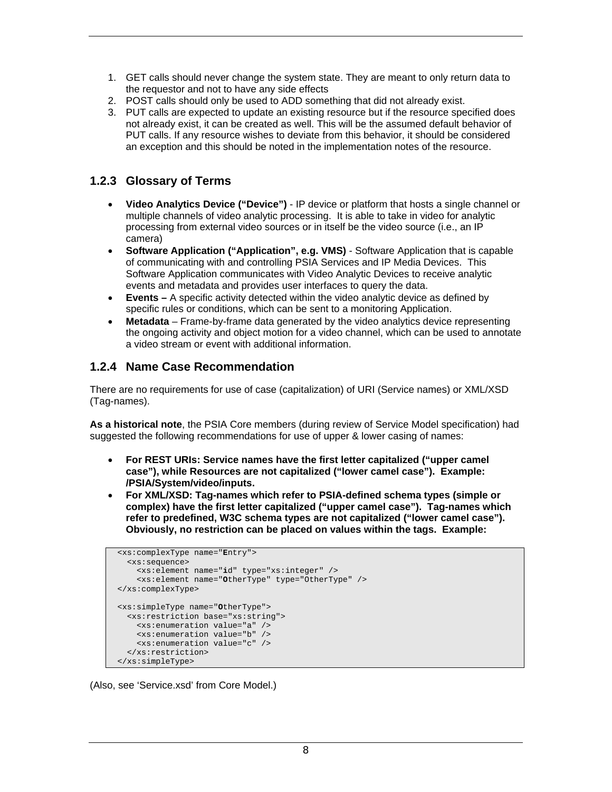- 1. GET calls should never change the system state. They are meant to only return data to the requestor and not to have any side effects
- 2. POST calls should only be used to ADD something that did not already exist.
- 3. PUT calls are expected to update an existing resource but if the resource specified does not already exist, it can be created as well. This will be the assumed default behavior of PUT calls. If any resource wishes to deviate from this behavior, it should be considered an exception and this should be noted in the implementation notes of the resource.

#### **1.2.3 Glossary of Terms**

- **Video Analytics Device ("Device")** IP device or platform that hosts a single channel or multiple channels of video analytic processing. It is able to take in video for analytic processing from external video sources or in itself be the video source (i.e., an IP camera)
- **Software Application ("Application", e.g. VMS)** Software Application that is capable of communicating with and controlling PSIA Services and IP Media Devices. This Software Application communicates with Video Analytic Devices to receive analytic events and metadata and provides user interfaces to query the data.
- **Events** A specific activity detected within the video analytic device as defined by specific rules or conditions, which can be sent to a monitoring Application.
- **Metadata** Frame-by-frame data generated by the video analytics device representing the ongoing activity and object motion for a video channel, which can be used to annotate a video stream or event with additional information.

#### **1.2.4 Name Case Recommendation**

There are no requirements for use of case (capitalization) of URI (Service names) or XML/XSD (Tag-names).

**As a historical note**, the PSIA Core members (during review of Service Model specification) had suggested the following recommendations for use of upper & lower casing of names:

- **For REST URIs: Service names have the first letter capitalized ("upper camel case"), while Resources are not capitalized ("lower camel case"). Example: /PSIA/System/video/inputs.**
- **For XML/XSD: Tag-names which refer to PSIA-defined schema types (simple or complex) have the first letter capitalized ("upper camel case"). Tag-names which refer to predefined, W3C schema types are not capitalized ("lower camel case"). Obviously, no restriction can be placed on values within the tags. Example:**

```
 <xs:complexType name="Entry"> 
   <xs:sequence> 
     <xs:element name="id" type="xs:integer" /> 
     <xs:element name="OtherType" type="OtherType" /> 
 </xs:complexType> 
 <xs:simpleType name="OtherType"> 
   <xs:restriction base="xs:string"> 
     <xs:enumeration value="a" /> 
     <xs:enumeration value="b" /> 
     <xs:enumeration value="c" /> 
   </xs:restriction> 
 </xs:simpleType>
```
(Also, see 'Service.xsd' from Core Model.)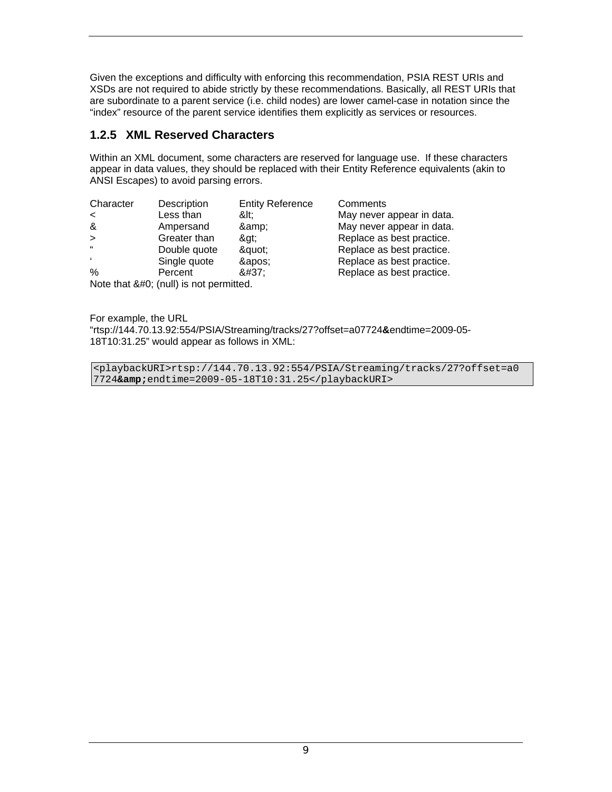Given the exceptions and difficulty with enforcing this recommendation, PSIA REST URIs and XSDs are not required to abide strictly by these recommendations. Basically, all REST URIs that are subordinate to a parent service (i.e. child nodes) are lower camel-case in notation since the "index" resource of the parent service identifies them explicitly as services or resources.

#### **1.2.5 XML Reserved Characters**

Within an XML document, some characters are reserved for language use. If these characters appear in data values, they should be replaced with their Entity Reference equivalents (akin to ANSI Escapes) to avoid parsing errors.

| Character             | Description                                                               | <b>Entity Reference</b> | Comments                  |
|-----------------------|---------------------------------------------------------------------------|-------------------------|---------------------------|
| $\tilde{\phantom{0}}$ | Less than                                                                 | <:                      | May never appear in data. |
| &                     | Ampersand                                                                 | &                       | May never appear in data. |
| $\geq$                | Greater than                                                              | &at:                    | Replace as best practice. |
| $\alpha$              | Double quote                                                              | "                       | Replace as best practice. |
|                       | Single quote                                                              | '                       | Replace as best practice. |
| $\%$                  | Percent                                                                   | %                       | Replace as best practice. |
|                       | $N_{\text{data}}$ that $0.40 \cdot (n \cdot \text{II})$ is not no smalled |                         |                           |

Note that  $&\#0$ ; (null) is not permitted.

For example, the URL "rtsp://144.70.13.92:554/PSIA/Streaming/tracks/27?offset=a07724**&**endtime=2009-05- 18T10:31.25" would appear as follows in XML:

<playbackURI>rtsp://144.70.13.92:554/PSIA/Streaming/tracks/27?offset=a0 7724**&**endtime=2009-05-18T10:31.25</playbackURI>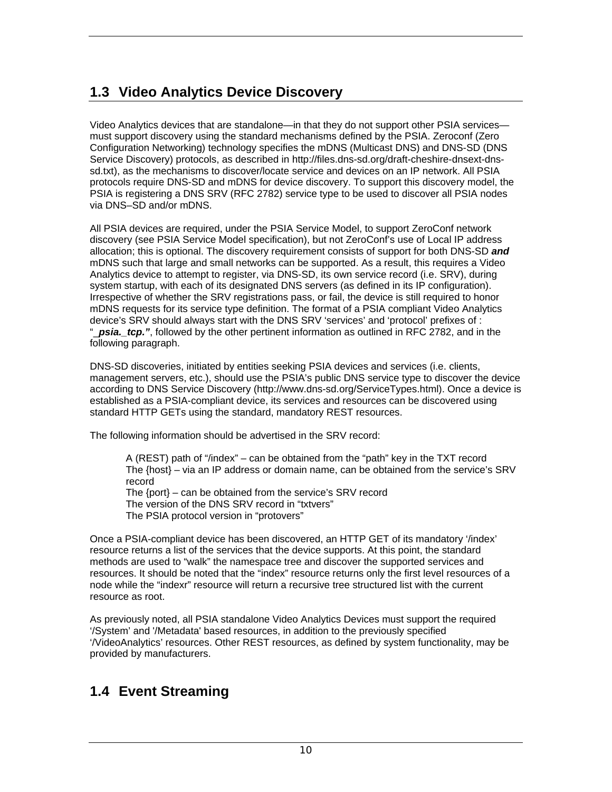### **1.3 Video Analytics Device Discovery**

Video Analytics devices that are standalone—in that they do not support other PSIA services must support discovery using the standard mechanisms defined by the PSIA. Zeroconf (Zero Configuration Networking) technology specifies the mDNS (Multicast DNS) and DNS-SD (DNS Service Discovery) protocols, as described in http://files.dns-sd.org/draft-cheshire-dnsext-dnssd.txt), as the mechanisms to discover/locate service and devices on an IP network. All PSIA protocols require DNS-SD and mDNS for device discovery. To support this discovery model, the PSIA is registering a DNS SRV (RFC 2782) service type to be used to discover all PSIA nodes via DNS–SD and/or mDNS.

All PSIA devices are required, under the PSIA Service Model, to support ZeroConf network discovery (see PSIA Service Model specification), but not ZeroConf's use of Local IP address allocation; this is optional. The discovery requirement consists of support for both DNS-SD *and* mDNS such that large and small networks can be supported. As a result, this requires a Video Analytics device to attempt to register, via DNS-SD, its own service record (i.e. SRV), during system startup, with each of its designated DNS servers (as defined in its IP configuration). Irrespective of whether the SRV registrations pass, or fail, the device is still required to honor mDNS requests for its service type definition. The format of a PSIA compliant Video Analytics device's SRV should always start with the DNS SRV 'services' and 'protocol' prefixes of : "\_*psia.\_tcp."*, followed by the other pertinent information as outlined in RFC 2782, and in the following paragraph.

DNS-SD discoveries, initiated by entities seeking PSIA devices and services (i.e. clients, management servers, etc.), should use the PSIA's public DNS service type to discover the device according to DNS Service Discovery (http://www.dns-sd.org/ServiceTypes.html). Once a device is established as a PSIA-compliant device, its services and resources can be discovered using standard HTTP GETs using the standard, mandatory REST resources.

The following information should be advertised in the SRV record:

A (REST) path of "/index" – can be obtained from the "path" key in the TXT record The {host} – via an IP address or domain name, can be obtained from the service's SRV record The {port} – can be obtained from the service's SRV record The version of the DNS SRV record in "txtvers" The PSIA protocol version in "protovers"

Once a PSIA-compliant device has been discovered, an HTTP GET of its mandatory '/index' resource returns a list of the services that the device supports. At this point, the standard methods are used to "walk" the namespace tree and discover the supported services and resources. It should be noted that the "index" resource returns only the first level resources of a node while the "indexr" resource will return a recursive tree structured list with the current resource as root.

As previously noted, all PSIA standalone Video Analytics Devices must support the required '/System' and '/Metadata' based resources, in addition to the previously specified '/VideoAnalytics' resources. Other REST resources, as defined by system functionality, may be provided by manufacturers.

### **1.4 Event Streaming**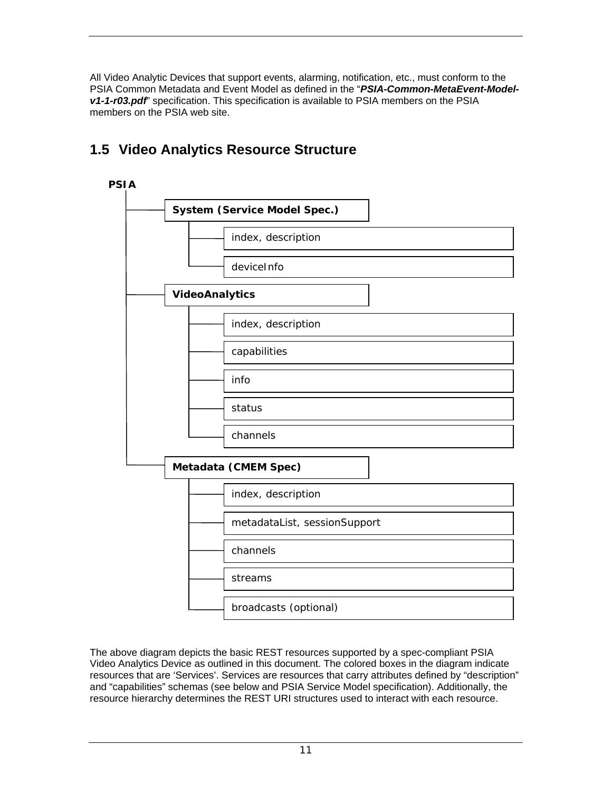All Video Analytic Devices that support events, alarming, notification, etc., must conform to the PSIA Common Metadata and Event Model as defined in the "*PSIA-Common-MetaEvent-Modelv1-1-r03.pdf*" specification. This specification is available to PSIA members on the PSIA members on the PSIA web site.

# **PSIA System (Service Model Spec.)**  index, description deviceInfo **VideoAnalytics**  index, description capabilities info status channels **Metadata (CMEM Spec)**  index, description metadataList, sessionSupport channels streams broadcasts (optional)

### **1.5 Video Analytics Resource Structure**

The above diagram depicts the basic REST resources supported by a spec-compliant PSIA Video Analytics Device as outlined in this document. The colored boxes in the diagram indicate resources that are 'Services'. Services are resources that carry attributes defined by "description" and "capabilities" schemas (see below and PSIA Service Model specification). Additionally, the resource hierarchy determines the REST URI structures used to interact with each resource.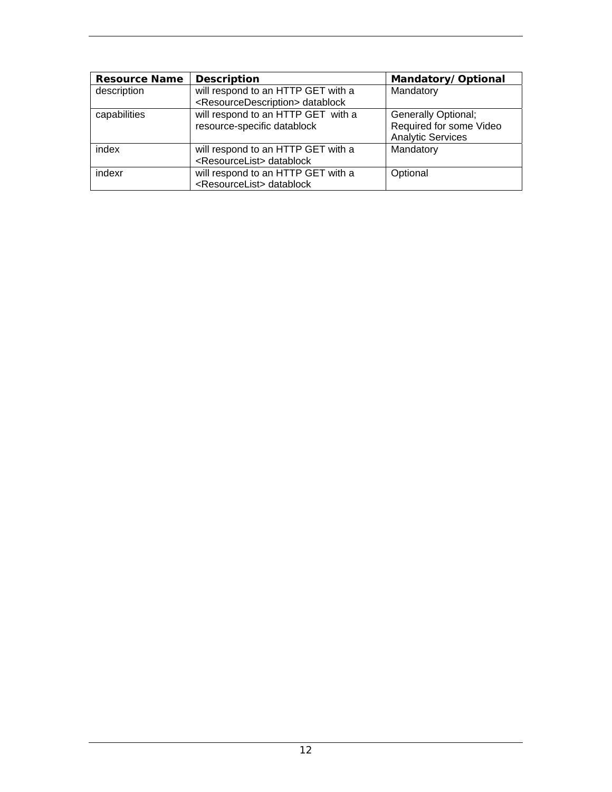| <b>Resource Name</b> | <b>Description</b>                                                                          | Mandatory/Optional                                                                |
|----------------------|---------------------------------------------------------------------------------------------|-----------------------------------------------------------------------------------|
| description          | will respond to an HTTP GET with a<br><resourcedescription> datablock</resourcedescription> | Mandatory                                                                         |
| capabilities         | will respond to an HTTP GET with a<br>resource-specific datablock                           | <b>Generally Optional;</b><br>Required for some Video<br><b>Analytic Services</b> |
| index                | will respond to an HTTP GET with a<br><resourcelist> datablock</resourcelist>               | Mandatory                                                                         |
| indexr               | will respond to an HTTP GET with a<br><resourcelist> datablock</resourcelist>               | Optional                                                                          |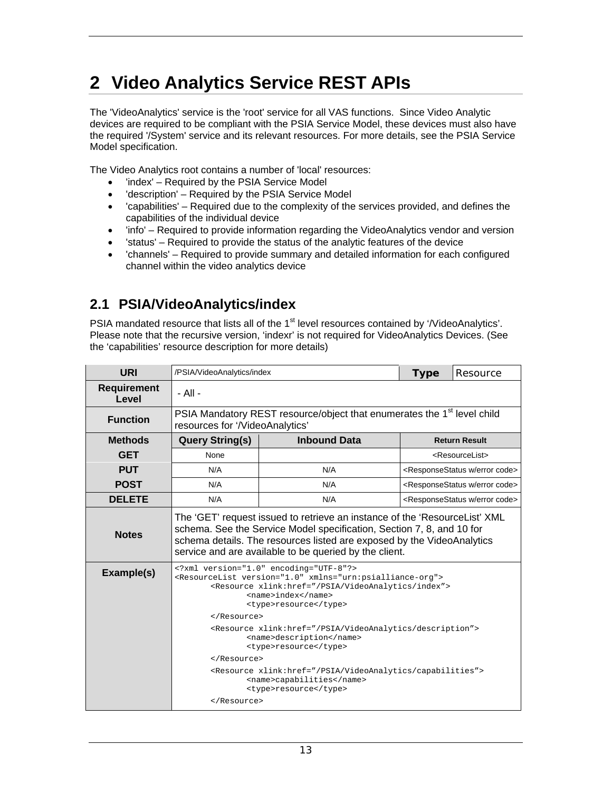## **2 Video Analytics Service REST APIs**

The 'VideoAnalytics' service is the 'root' service for all VAS functions. Since Video Analytic devices are required to be compliant with the PSIA Service Model, these devices must also have the required '/System' service and its relevant resources. For more details, see the PSIA Service Model specification.

The Video Analytics root contains a number of 'local' resources:

- 'index' Required by the PSIA Service Model
- 'description' Required by the PSIA Service Model
- 'capabilities' Required due to the complexity of the services provided, and defines the capabilities of the individual device
- linfo' Required to provide information regarding the VideoAnalytics vendor and version
- 'status' Required to provide the status of the analytic features of the device
- 'channels' Required to provide summary and detailed information for each configured channel within the video analytics device

### **2.1 PSIA/VideoAnalytics/index**

PSIA mandated resource that lists all of the 1<sup>st</sup> level resources contained by '/VideoAnalytics'. Please note that the recursive version, 'indexr' is not required for VideoAnalytics Devices. (See the 'capabilities' resource description for more details)

| <b>URI</b>                  | /PSIA/VideoAnalytics/index                                                                                                                                                                                                                                                                                                                                                 | <b>Type</b>                                                                         | Resource |                                                         |
|-----------------------------|----------------------------------------------------------------------------------------------------------------------------------------------------------------------------------------------------------------------------------------------------------------------------------------------------------------------------------------------------------------------------|-------------------------------------------------------------------------------------|----------|---------------------------------------------------------|
| <b>Requirement</b><br>Level | $-$ All $-$                                                                                                                                                                                                                                                                                                                                                                |                                                                                     |          |                                                         |
| <b>Function</b>             | resources for '/VideoAnalytics'                                                                                                                                                                                                                                                                                                                                            | PSIA Mandatory REST resource/object that enumerates the 1 <sup>st</sup> level child |          |                                                         |
| <b>Methods</b>              | <b>Query String(s)</b>                                                                                                                                                                                                                                                                                                                                                     | <b>Inbound Data</b>                                                                 |          | <b>Return Result</b>                                    |
| <b>GET</b>                  | None                                                                                                                                                                                                                                                                                                                                                                       |                                                                                     |          | <resourcelist></resourcelist>                           |
| <b>PUT</b>                  | N/A                                                                                                                                                                                                                                                                                                                                                                        | N/A                                                                                 |          | <responsestatus code="" error="" w=""></responsestatus> |
| <b>POST</b>                 | N/A                                                                                                                                                                                                                                                                                                                                                                        | N/A                                                                                 |          | <responsestatus code="" error="" w=""></responsestatus> |
| <b>DELETE</b>               | N/A                                                                                                                                                                                                                                                                                                                                                                        | N/A                                                                                 |          | <responsestatus code="" error="" w=""></responsestatus> |
| <b>Notes</b>                | The 'GET' request issued to retrieve an instance of the 'ResourceList' XML<br>schema. See the Service Model specification, Section 7, 8, and 10 for<br>schema details. The resources listed are exposed by the VideoAnalytics<br>service and are available to be queried by the client.                                                                                    |                                                                                     |          |                                                         |
| Example(s)                  | xml version="1.0" encoding="UTF-8"?<br><resourcelist version="1.0" xmlns="urn:psialliance-org"><br/><resource xlink:href="/PSIA/VideoAnalytics/index"><br/><name>index</name><br/><type>resource</type><br/></resource><br/><resource xlink:href="/PSIA/VideoAnalytics/description"><br/><name>description</name><br/><type>resource</type><br/></resource></resourcelist> |                                                                                     |          |                                                         |
|                             | <resource xlink:href="/PSIA/VideoAnalytics/capabilities"><br/><name>capabilities</name><br/><type>resource</type><br/></resource>                                                                                                                                                                                                                                          |                                                                                     |          |                                                         |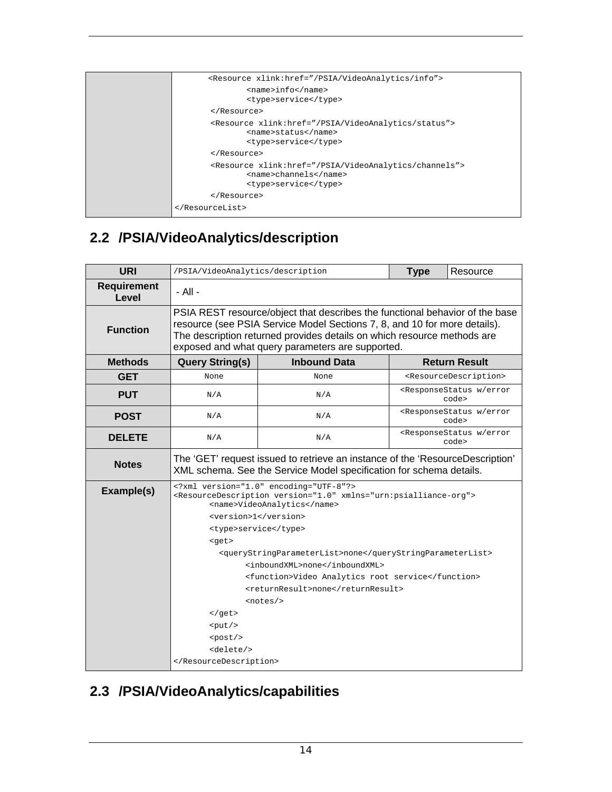| <resource xlink:href="/PSIA/VideoAnalytics/info"></resource>                                                        |
|---------------------------------------------------------------------------------------------------------------------|
| <name>info</name><br><type>service</type>                                                                           |
|                                                                                                                     |
|                                                                                                                     |
| <resource xlink:href="/PSIA/VideoAnalytics/status"><br/><name>status</name><br/><type>service</type></resource>     |
|                                                                                                                     |
| <resource xlink:href="/PSIA/VideoAnalytics/channels"><br/><name>channels</name><br/><type>service</type></resource> |
|                                                                                                                     |
|                                                                                                                     |

## **2.2 /PSIA/VideoAnalytics/description**

| <b>URI</b>                  | /PSIA/VideoAnalytics/description                                                                                                                                                                                                                                                                                                                                                                                                                                                                                                                                                              | <b>Type</b>         | Resource                                                   |                                             |  |  |
|-----------------------------|-----------------------------------------------------------------------------------------------------------------------------------------------------------------------------------------------------------------------------------------------------------------------------------------------------------------------------------------------------------------------------------------------------------------------------------------------------------------------------------------------------------------------------------------------------------------------------------------------|---------------------|------------------------------------------------------------|---------------------------------------------|--|--|
| <b>Requirement</b><br>Level | - All -                                                                                                                                                                                                                                                                                                                                                                                                                                                                                                                                                                                       |                     |                                                            |                                             |  |  |
| <b>Function</b>             | PSIA REST resource/object that describes the functional behavior of the base<br>resource (see PSIA Service Model Sections 7, 8, and 10 for more details).<br>The description returned provides details on which resource methods are<br>exposed and what query parameters are supported.                                                                                                                                                                                                                                                                                                      |                     |                                                            |                                             |  |  |
| <b>Methods</b>              | <b>Query String(s)</b>                                                                                                                                                                                                                                                                                                                                                                                                                                                                                                                                                                        | <b>Inbound Data</b> |                                                            | <b>Return Result</b>                        |  |  |
| <b>GET</b>                  | None                                                                                                                                                                                                                                                                                                                                                                                                                                                                                                                                                                                          | None                |                                                            | <resourcedescription></resourcedescription> |  |  |
| <b>PUT</b>                  | N/A                                                                                                                                                                                                                                                                                                                                                                                                                                                                                                                                                                                           | N/A                 | <responsestatus error<br="" w="">code&gt;</responsestatus> |                                             |  |  |
| <b>POST</b>                 | N/A                                                                                                                                                                                                                                                                                                                                                                                                                                                                                                                                                                                           | N/A                 | <responsestatus error<br="" w="">code&gt;</responsestatus> |                                             |  |  |
| <b>DELETE</b>               | <responsestatus error<br="" w="">N/A<br/>N/A<br/>code&gt;</responsestatus>                                                                                                                                                                                                                                                                                                                                                                                                                                                                                                                    |                     |                                                            |                                             |  |  |
| <b>Notes</b>                | The 'GET' request issued to retrieve an instance of the 'ResourceDescription'<br>XML schema. See the Service Model specification for schema details.                                                                                                                                                                                                                                                                                                                                                                                                                                          |                     |                                                            |                                             |  |  |
| Example(s)                  | xml version="1.0" encoding="UTF-8"?<br><resourcedescription version="1.0" xmlns="urn:psialliance-org"><br/><name>VideoAnalytics</name><br/><version>1</version><br/><type>service</type><br/><math>&lt;</math>get&gt;<br/><querystringparameterlist>none</querystringparameterlist><br/><inboundxml>none</inboundxml><br/><function>Video Analytics root service</function><br/><returnresult>none</returnresult><br/><math>&lt;</math>notes/&gt;<br/><math>&lt;</math>/get&gt;<br/><math>&lt;</math>put/&gt;<br/><math>&lt;</math>post/&gt;<br/><delete></delete><br/></resourcedescription> |                     |                                                            |                                             |  |  |

## **2.3 /PSIA/VideoAnalytics/capabilities**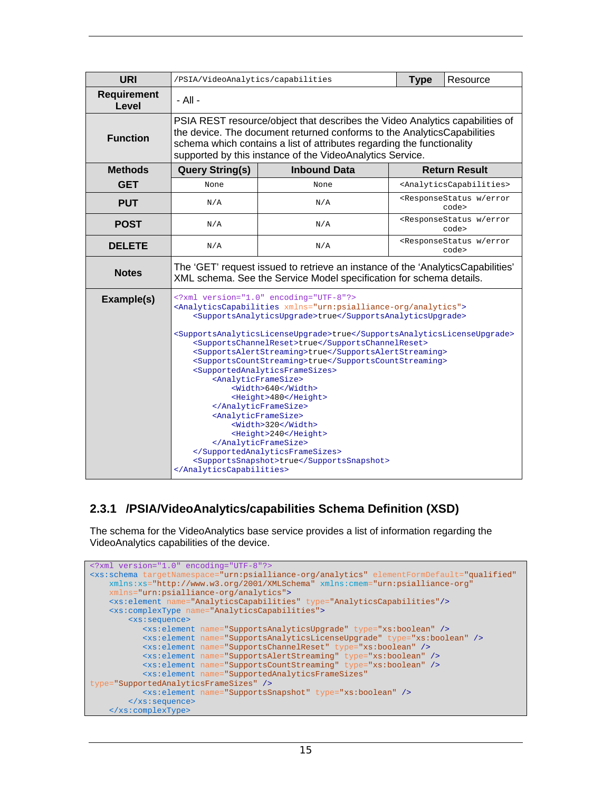| <b>URI</b>                  | /PSIA/VideoAnalytics/capabilities                                                                                                                                                                                                                                                                                                                                                                                                                                                                                                                                                                                                                                                                                                                                            |                                                                    | <b>Type</b> | Resource                                                   |  |  |
|-----------------------------|------------------------------------------------------------------------------------------------------------------------------------------------------------------------------------------------------------------------------------------------------------------------------------------------------------------------------------------------------------------------------------------------------------------------------------------------------------------------------------------------------------------------------------------------------------------------------------------------------------------------------------------------------------------------------------------------------------------------------------------------------------------------------|--------------------------------------------------------------------|-------------|------------------------------------------------------------|--|--|
| <b>Requirement</b><br>Level | - All -                                                                                                                                                                                                                                                                                                                                                                                                                                                                                                                                                                                                                                                                                                                                                                      |                                                                    |             |                                                            |  |  |
| <b>Function</b>             | PSIA REST resource/object that describes the Video Analytics capabilities of<br>the device. The document returned conforms to the AnalyticsCapabilities<br>schema which contains a list of attributes regarding the functionality<br>supported by this instance of the VideoAnalytics Service.                                                                                                                                                                                                                                                                                                                                                                                                                                                                               |                                                                    |             |                                                            |  |  |
| <b>Methods</b>              | <b>Query String(s)</b>                                                                                                                                                                                                                                                                                                                                                                                                                                                                                                                                                                                                                                                                                                                                                       | <b>Inbound Data</b>                                                |             | <b>Return Result</b>                                       |  |  |
| <b>GET</b>                  | None                                                                                                                                                                                                                                                                                                                                                                                                                                                                                                                                                                                                                                                                                                                                                                         | None                                                               |             | <analyticscapabilities></analyticscapabilities>            |  |  |
| <b>PUT</b>                  | N/A                                                                                                                                                                                                                                                                                                                                                                                                                                                                                                                                                                                                                                                                                                                                                                          | N/A                                                                |             | <responsestatus error<br="" w="">code&gt;</responsestatus> |  |  |
| <b>POST</b>                 | <responsestatus error<br="" w="">N/A<br/>N/A<br/>code&gt;</responsestatus>                                                                                                                                                                                                                                                                                                                                                                                                                                                                                                                                                                                                                                                                                                   |                                                                    |             |                                                            |  |  |
| <b>DELETE</b>               | N/A                                                                                                                                                                                                                                                                                                                                                                                                                                                                                                                                                                                                                                                                                                                                                                          | <responsestatus error<br="" w="">N/A<br/>code&gt;</responsestatus> |             |                                                            |  |  |
| <b>Notes</b>                | The 'GET' request issued to retrieve an instance of the 'AnalyticsCapabilities'<br>XML schema. See the Service Model specification for schema details.                                                                                                                                                                                                                                                                                                                                                                                                                                                                                                                                                                                                                       |                                                                    |             |                                                            |  |  |
| Example(s)                  | xml version="1.0" encoding="UTF-8"?<br><analyticscapabilities xmlns="urn:psialliance-org/analytics"><br/><supportsanalyticsupgrade>true</supportsanalyticsupgrade><br/><supportsanalyticslicenseupgrade>true</supportsanalyticslicenseupgrade><br/><supportschannelreset>true</supportschannelreset><br/><supportsalertstreaming>true</supportsalertstreaming><br/><supportscountstreaming>true</supportscountstreaming><br/><supportedanalyticsframesizes><br/><analyticframesize><br/><width>640</width><br/><height>480</height><br/></analyticframesize><br/><analyticframesize><br/><width>320</width><br/><height>240</height><br/></analyticframesize><br/></supportedanalyticsframesizes><br/><supportssnapshot>true</supportssnapshot><br/></analyticscapabilities> |                                                                    |             |                                                            |  |  |

#### **2.3.1 /PSIA/VideoAnalytics/capabilities Schema Definition (XSD)**

The schema for the VideoAnalytics base service provides a list of information regarding the VideoAnalytics capabilities of the device.

```
<?xml version="1.0" encoding="UTF-8"?>
<xs:schema targetNamespace="urn:psialliance-org/analytics" elementFormDefault="qualified"
    xmlns:xs="http://www.w3.org/2001/XMLSchema" xmlns:cmem="urn:psialliance-org"
     xmlns="urn:psialliance-org/analytics">
    <xs:element name="AnalyticsCapabilities" type="AnalyticsCapabilities"/>
    <xs:complexType name="AnalyticsCapabilities">
        <xs:sequence>
           <xs:element name="SupportsAnalyticsUpgrade" type="xs:boolean" />
           <xs:element name="SupportsAnalyticsLicenseUpgrade" type="xs:boolean" />
 <xs:element name="SupportsChannelReset" type="xs:boolean" />
 <xs:element name="SupportsAlertStreaming" type="xs:boolean" />
           <xs:element name="SupportsCountStreaming" type="xs:boolean" />
           <xs:element name="SupportedAnalyticsFrameSizes"
type="SupportedAnalyticsFrameSizes" />
           <xs:element name="SupportsSnapshot" type="xs:boolean" />
         </xs:sequence>
    </xs:complexType>
```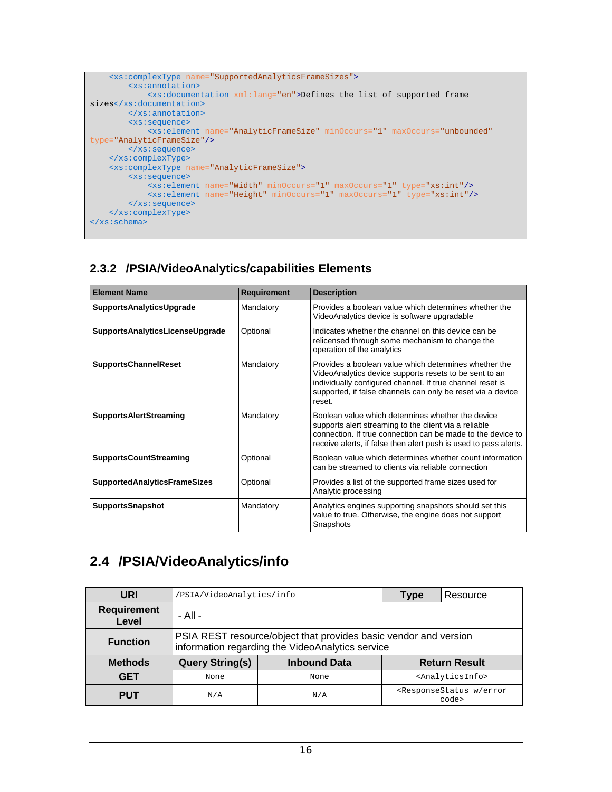```
 <xs:complexType name="SupportedAnalyticsFrameSizes">
         <xs:annotation>
             <xs:documentation xml:lang="en">Defines the list of supported frame 
sizes</xs:documentation>
         </xs:annotation>
        <xs:sequence>
             <xs:element name="AnalyticFrameSize" minOccurs="1" maxOccurs="unbounded"
type="AnalyticFrameSize"/>
        </xs:sequence> 
    </xs:complexType>
     <xs:complexType name="AnalyticFrameSize">
        <xs:sequence>
 <xs:element name="Width" minOccurs="1" maxOccurs="1" type="xs:int"/>
 <xs:element name="Height" minOccurs="1" maxOccurs="1" type="xs:int"/>
        </xs:sequence>
   \texttt{<}/\texttt{xs:complexType}\texttt{>}</xs:schema>
```
### **2.3.2 /PSIA/VideoAnalytics/capabilities Elements**

| <b>Element Name</b>                 | <b>Requirement</b> | <b>Description</b>                                                                                                                                                                                                                                    |
|-------------------------------------|--------------------|-------------------------------------------------------------------------------------------------------------------------------------------------------------------------------------------------------------------------------------------------------|
| <b>SupportsAnalyticsUpgrade</b>     | Mandatory          | Provides a boolean value which determines whether the<br>VideoAnalytics device is software upgradable                                                                                                                                                 |
| SupportsAnalyticsLicenseUpgrade     | Optional           | Indicates whether the channel on this device can be<br>relicensed through some mechanism to change the<br>operation of the analytics                                                                                                                  |
| <b>SupportsChannelReset</b>         | Mandatory          | Provides a boolean value which determines whether the<br>VideoAnalytics device supports resets to be sent to an<br>individually configured channel. If true channel reset is<br>supported, if false channels can only be reset via a device<br>reset. |
| <b>SupportsAlertStreaming</b>       | Mandatory          | Boolean value which determines whether the device<br>supports alert streaming to the client via a reliable<br>connection. If true connection can be made to the device to<br>receive alerts, if false then alert push is used to pass alerts.         |
| <b>SupportsCountStreaming</b>       | Optional           | Boolean value which determines whether count information<br>can be streamed to clients via reliable connection                                                                                                                                        |
| <b>SupportedAnalyticsFrameSizes</b> | Optional           | Provides a list of the supported frame sizes used for<br>Analytic processing                                                                                                                                                                          |
| <b>SupportsSnapshot</b>             | Mandatory          | Analytics engines supporting snapshots should set this<br>value to true. Otherwise, the engine does not support<br>Snapshots                                                                                                                          |

### **2.4 /PSIA/VideoAnalytics/info**

| URI                         | /PSIA/VideoAnalytics/info                                                                                            |      | <b>Type</b> | Resource                                                   |  |
|-----------------------------|----------------------------------------------------------------------------------------------------------------------|------|-------------|------------------------------------------------------------|--|
| <b>Requirement</b><br>Level | - All -                                                                                                              |      |             |                                                            |  |
| <b>Function</b>             | PSIA REST resource/object that provides basic vendor and version<br>information regarding the VideoAnalytics service |      |             |                                                            |  |
| <b>Methods</b>              | <b>Query String(s)</b><br><b>Inbound Data</b><br><b>Return Result</b>                                                |      |             |                                                            |  |
| <b>GET</b>                  | None                                                                                                                 | None |             | <analyticsinfo></analyticsinfo>                            |  |
| <b>PUT</b>                  | N/A                                                                                                                  | N/A  |             | <responsestatus error<br="" w="">code&gt;</responsestatus> |  |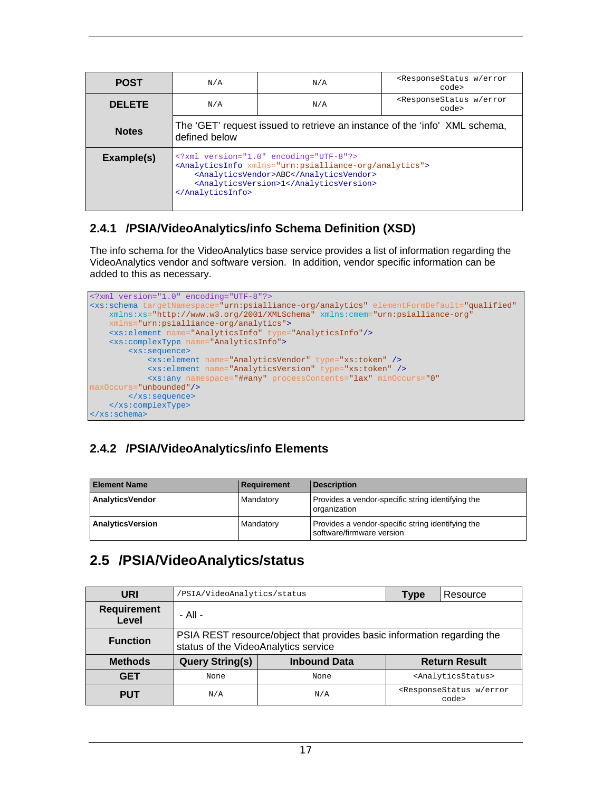| <b>POST</b>   | N/A                                                                                                                                                                                                     | <responsestatus error<br="" w="">N/A<br/>code&gt;</responsestatus> |                                                            |  |  |
|---------------|---------------------------------------------------------------------------------------------------------------------------------------------------------------------------------------------------------|--------------------------------------------------------------------|------------------------------------------------------------|--|--|
| <b>DELETE</b> | N/A                                                                                                                                                                                                     | N/A                                                                | <responsestatus error<br="" w="">code&gt;</responsestatus> |  |  |
| <b>Notes</b>  | The 'GET' request issued to retrieve an instance of the 'info' XML schema,<br>defined below                                                                                                             |                                                                    |                                                            |  |  |
| Example(s)    | xml version="1.0" encoding="UTF-8"?<br><analyticsinfo xmlns="urn:psialliance-org/analytics"><br/><analyticsvendor>ABC</analyticsvendor><br/><analyticsversion>1</analyticsversion><br/></analyticsinfo> |                                                                    |                                                            |  |  |

### **2.4.1 /PSIA/VideoAnalytics/info Schema Definition (XSD)**

The info schema for the VideoAnalytics base service provides a list of information regarding the VideoAnalytics vendor and software version. In addition, vendor specific information can be added to this as necessary.



### **2.4.2 /PSIA/VideoAnalytics/info Elements**

| <b>Element Name</b>     | Requirement | <b>Description</b>                                                             |
|-------------------------|-------------|--------------------------------------------------------------------------------|
| AnalyticsVendor         | Mandatory   | Provides a vendor-specific string identifying the<br>organization              |
| <b>AnalyticsVersion</b> | Mandatory   | Provides a vendor-specific string identifying the<br>software/firmware version |

### **2.5 /PSIA/VideoAnalytics/status**

| URI                         | 'PSIA/VideoAnalytics/status                                                                                     |      | Type | Resource                                                   |
|-----------------------------|-----------------------------------------------------------------------------------------------------------------|------|------|------------------------------------------------------------|
| <b>Requirement</b><br>Level | - All -                                                                                                         |      |      |                                                            |
| <b>Function</b>             | PSIA REST resource/object that provides basic information regarding the<br>status of the VideoAnalytics service |      |      |                                                            |
| <b>Methods</b>              | <b>Query String(s)</b><br><b>Inbound Data</b><br><b>Return Result</b>                                           |      |      |                                                            |
| <b>GET</b>                  | None                                                                                                            | None |      | <analyticsstatus></analyticsstatus>                        |
| <b>PUT</b>                  | N/A                                                                                                             | N/A  |      | <responsestatus error<br="" w="">code&gt;</responsestatus> |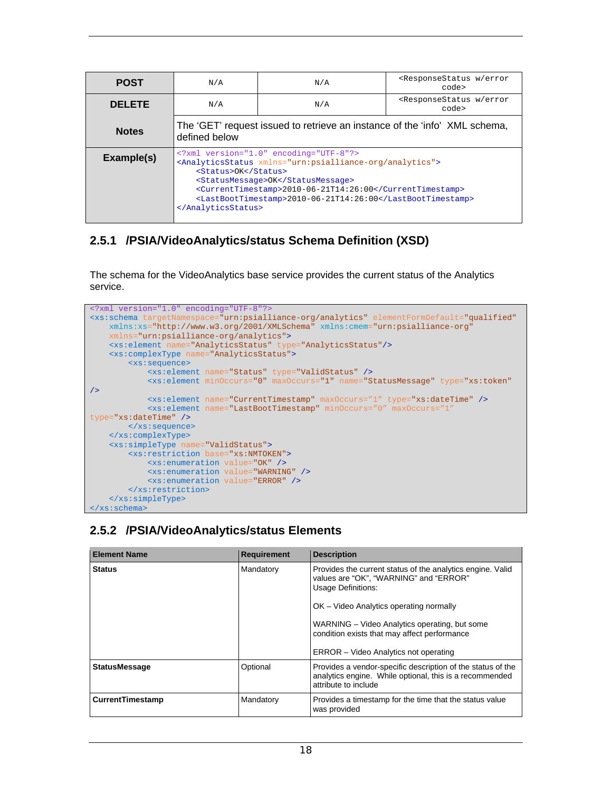| <b>POST</b>   | N/A                                                                                                                                                                                                                                                                                                             | N/A | <responsestatus error<br="" w="">code&gt;</responsestatus> |  |  |
|---------------|-----------------------------------------------------------------------------------------------------------------------------------------------------------------------------------------------------------------------------------------------------------------------------------------------------------------|-----|------------------------------------------------------------|--|--|
| <b>DELETE</b> | N/A                                                                                                                                                                                                                                                                                                             | N/A | <responsestatus error<br="" w="">code&gt;</responsestatus> |  |  |
| <b>Notes</b>  | The 'GET' request issued to retrieve an instance of the 'info' XML schema,<br>defined below                                                                                                                                                                                                                     |     |                                                            |  |  |
| Example(s)    | xml version="1.0" encoding="UTF-8"?<br><analyticsstatus xmlns="urn:psialliance-org/analytics"><br/><status>OK</status><br/><statusmessage>OK</statusmessage><br/><currenttimestamp>2010-06-21T14:26:00</currenttimestamp><br/><lastboottimestamp>2010-06-21T14:26:00</lastboottimestamp><br/></analyticsstatus> |     |                                                            |  |  |

#### **2.5.1 /PSIA/VideoAnalytics/status Schema Definition (XSD)**

The schema for the VideoAnalytics base service provides the current status of the Analytics service.



#### **2.5.2 /PSIA/VideoAnalytics/status Elements**

| <b>Element Name</b>        | <b>Requirement</b> | <b>Description</b>                                                                                                                             |
|----------------------------|--------------------|------------------------------------------------------------------------------------------------------------------------------------------------|
| Mandatory<br><b>Status</b> |                    | Provides the current status of the analytics engine. Valid<br>values are "OK", "WARNING" and "ERROR"<br><b>Usage Definitions:</b>              |
|                            |                    | OK - Video Analytics operating normally                                                                                                        |
|                            |                    | WARNING – Video Analytics operating, but some<br>condition exists that may affect performance                                                  |
|                            |                    | ERROR – Video Analytics not operating                                                                                                          |
| <b>StatusMessage</b>       | Optional           | Provides a vendor-specific description of the status of the<br>analytics engine. While optional, this is a recommended<br>attribute to include |
| CurrentTimestamp           | Mandatory          | Provides a timestamp for the time that the status value<br>was provided                                                                        |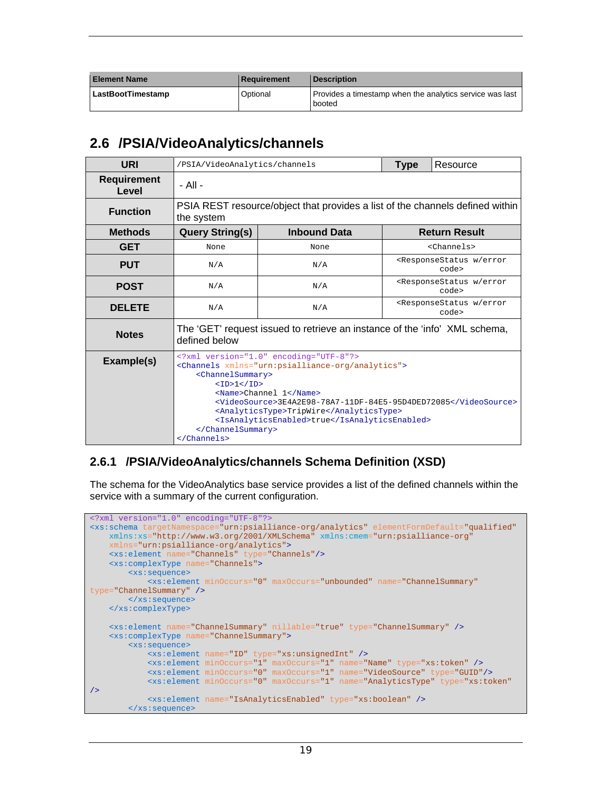| <b>Element Name</b>      | Requirement | <b>Description</b>                                                 |
|--------------------------|-------------|--------------------------------------------------------------------|
| <b>LastBootTimestamp</b> | Optional    | Provides a timestamp when the analytics service was last<br>booted |

### **2.6 /PSIA/VideoAnalytics/channels**

| <b>URI</b>                  | /PSIA/VideoAnalytics/channels                                                                                                                                                                                                                                                                                                                                              |                     | <b>Type</b> | Resource                                                   |  |
|-----------------------------|----------------------------------------------------------------------------------------------------------------------------------------------------------------------------------------------------------------------------------------------------------------------------------------------------------------------------------------------------------------------------|---------------------|-------------|------------------------------------------------------------|--|
| <b>Requirement</b><br>Level | - All -                                                                                                                                                                                                                                                                                                                                                                    |                     |             |                                                            |  |
| <b>Function</b>             | PSIA REST resource/object that provides a list of the channels defined within<br>the system                                                                                                                                                                                                                                                                                |                     |             |                                                            |  |
| <b>Methods</b>              | <b>Query String(s)</b>                                                                                                                                                                                                                                                                                                                                                     | <b>Inbound Data</b> |             | <b>Return Result</b>                                       |  |
| <b>GET</b>                  | None                                                                                                                                                                                                                                                                                                                                                                       | None                |             | <channels></channels>                                      |  |
| <b>PUT</b>                  | <responsestatus error<br="" w="">N/A<br/>N/A<br/>code&gt;</responsestatus>                                                                                                                                                                                                                                                                                                 |                     |             |                                                            |  |
| <b>POST</b>                 | N/A                                                                                                                                                                                                                                                                                                                                                                        | N/A                 |             | <responsestatus error<br="" w="">code&gt;</responsestatus> |  |
| <b>DELETE</b>               | N/A                                                                                                                                                                                                                                                                                                                                                                        | N/A                 |             | <responsestatus error<br="" w="">code&gt;</responsestatus> |  |
| <b>Notes</b>                | The 'GET' request issued to retrieve an instance of the 'info' XML schema,<br>defined below                                                                                                                                                                                                                                                                                |                     |             |                                                            |  |
| Example(s)                  | xml version="1.0" encoding="UTF-8"?<br><channels xmlns="urn:psialliance-org/analytics"><br/><channelsummary><br/><id>1&lt; I/D&gt;<br/><name>Channel 1</name><br/><videosource>3E4A2E98-78A7-11DF-84E5-95D4DED72085</videosource><br/><analyticstype>TripWire</analyticstype><br/><isanalyticsenabled>true</isanalyticsenabled><br/></id></channelsummary><br/></channels> |                     |             |                                                            |  |

#### **2.6.1 /PSIA/VideoAnalytics/channels Schema Definition (XSD)**

The schema for the VideoAnalytics base service provides a list of the defined channels within the service with a summary of the current configuration.

```
<?xml version="1.0" encoding="UTF-8"?>
<xs:schema targetNamespace="urn:psialliance-org/analytics" elementFormDefault="qualified"
    xmlns:xs="http://www.w3.org/2001/XMLSchema" xmlns:cmem="urn:psialliance-org"
     xmlns="urn:psialliance-org/analytics">
    <xs:element name="Channels" type="Channels"/>
     <xs:complexType name="Channels">
        <xs:sequence>
            <xs:element minOccurs="0" maxOccurs="unbounded" name="ChannelSummary"
type="ChannelSummary" />
        </xs:sequence>
    </xs:complexType>
    <xs:element name="ChannelSummary" nillable="true" type="ChannelSummary" />
     <xs:complexType name="ChannelSummary">
        <xs:sequence>
             <xs:element name="ID" type="xs:unsignedInt" />
             <xs:element minOccurs="1" maxOccurs="1" name="Name" type="xs:token" />
             <xs:element minOccurs="0" maxOccurs="1" name="VideoSource" type="GUID"/>
             <xs:element minOccurs="0" maxOccurs="1" name="AnalyticsType" type="xs:token"
/>
             <xs:element name="IsAnalyticsEnabled" type="xs:boolean" />
        </xs:sequence>
```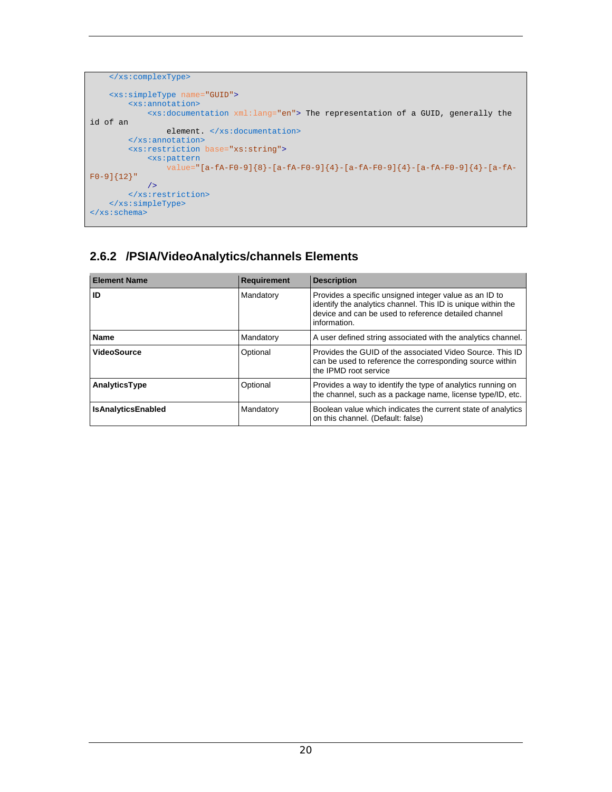```
 </xs:complexType>
    <xs:simpleType name="GUID">
        <xs:annotation>
             <xs:documentation xml:lang="en"> The representation of a GUID, generally the 
id of an 
                element. </xs:documentation>
        </xs:annotation>
        <xs:restriction base="xs:string">
            <xs:pattern
                  value="[a-fA-F0-9]{8}-[a-fA-F0-9]{4}-[a-fA-F0-9]{4}-[a-fA-F0-9]{4}-[a-fA-
F0-9]{12}"
            />
         </xs:restriction>
    </xs:simpleType>
</xs:schema>
```
### **2.6.2 /PSIA/VideoAnalytics/channels Elements**

| <b>Element Name</b>       | <b>Requirement</b> | <b>Description</b>                                                                                                                                                                             |
|---------------------------|--------------------|------------------------------------------------------------------------------------------------------------------------------------------------------------------------------------------------|
| ID                        | Mandatory          | Provides a specific unsigned integer value as an ID to<br>identify the analytics channel. This ID is unique within the<br>device and can be used to reference detailed channel<br>information. |
| Name                      | Mandatory          | A user defined string associated with the analytics channel.                                                                                                                                   |
| <b>VideoSource</b>        | Optional           | Provides the GUID of the associated Video Source. This ID<br>can be used to reference the corresponding source within<br>the IPMD root service                                                 |
| AnalyticsType             | Optional           | Provides a way to identify the type of analytics running on<br>the channel, such as a package name, license type/ID, etc.                                                                      |
| <b>IsAnalyticsEnabled</b> | Mandatory          | Boolean value which indicates the current state of analytics<br>on this channel. (Default: false)                                                                                              |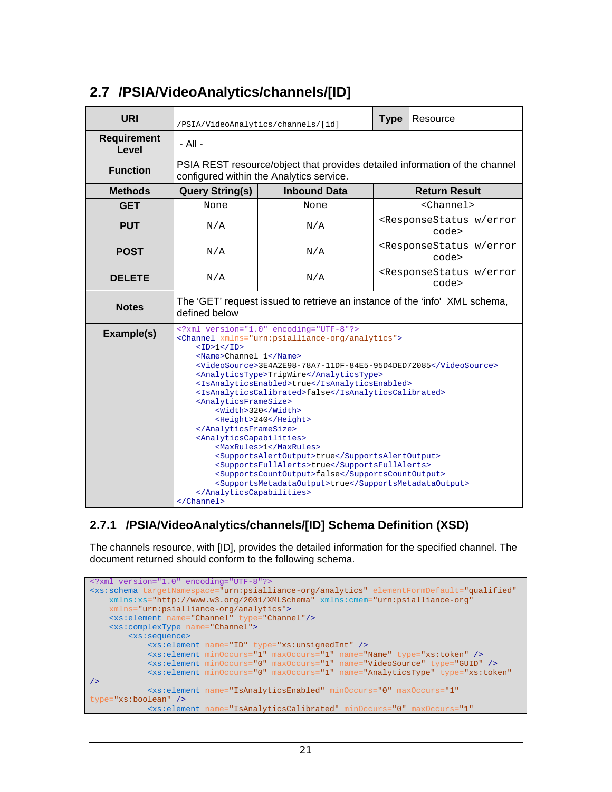| <b>URI</b>                  | /PSIA/VideoAnalytics/channels/[id]                                                                                                                                                                                                                                                                                                                                                                                                                                                                                                                                                                                                                                                                                                                                                |                                                                                                                         |                                                            | Resource             |  |
|-----------------------------|-----------------------------------------------------------------------------------------------------------------------------------------------------------------------------------------------------------------------------------------------------------------------------------------------------------------------------------------------------------------------------------------------------------------------------------------------------------------------------------------------------------------------------------------------------------------------------------------------------------------------------------------------------------------------------------------------------------------------------------------------------------------------------------|-------------------------------------------------------------------------------------------------------------------------|------------------------------------------------------------|----------------------|--|
| <b>Requirement</b><br>Level | - All -                                                                                                                                                                                                                                                                                                                                                                                                                                                                                                                                                                                                                                                                                                                                                                           |                                                                                                                         |                                                            |                      |  |
| <b>Function</b>             |                                                                                                                                                                                                                                                                                                                                                                                                                                                                                                                                                                                                                                                                                                                                                                                   | PSIA REST resource/object that provides detailed information of the channel<br>configured within the Analytics service. |                                                            |                      |  |
| <b>Methods</b>              | <b>Query String(s)</b>                                                                                                                                                                                                                                                                                                                                                                                                                                                                                                                                                                                                                                                                                                                                                            | <b>Inbound Data</b>                                                                                                     |                                                            | <b>Return Result</b> |  |
| <b>GET</b>                  | None                                                                                                                                                                                                                                                                                                                                                                                                                                                                                                                                                                                                                                                                                                                                                                              | None                                                                                                                    |                                                            | <channel></channel>  |  |
| <b>PUT</b>                  | <responsestatus error<br="" w="">N/A<br/>N/A<br/>code&gt;</responsestatus>                                                                                                                                                                                                                                                                                                                                                                                                                                                                                                                                                                                                                                                                                                        |                                                                                                                         |                                                            |                      |  |
| <b>POST</b>                 | N/A                                                                                                                                                                                                                                                                                                                                                                                                                                                                                                                                                                                                                                                                                                                                                                               | N/A                                                                                                                     | <responsestatus error<br="" w="">code&gt;</responsestatus> |                      |  |
| <b>DELETE</b>               | <responsestatus error<br="" w="">N/A<br/>N/A<br/>code&gt;</responsestatus>                                                                                                                                                                                                                                                                                                                                                                                                                                                                                                                                                                                                                                                                                                        |                                                                                                                         |                                                            |                      |  |
| <b>Notes</b>                | The 'GET' request issued to retrieve an instance of the 'info' XML schema,<br>defined below                                                                                                                                                                                                                                                                                                                                                                                                                                                                                                                                                                                                                                                                                       |                                                                                                                         |                                                            |                      |  |
| Example(s)                  | xml version="1.0" encoding="UTF-8"?<br><channel xmlns="urn:psialliance-org/analytics"><br/><id>1</id><br/><name>Channel 1</name><br/><videosource>3E4A2E98-78A7-11DF-84E5-95D4DED72085</videosource><br/><analyticstype>TripWire</analyticstype><br/><isanalyticsenabled>true</isanalyticsenabled><br/><isanalyticscalibrated>false</isanalyticscalibrated><br/><analyticsframesize><br/><width>320</width><br/><height>240</height><br/></analyticsframesize><br/><analyticscapabilities><br/><maxrules>1</maxrules><br/><supportsalertoutput>true</supportsalertoutput><br/><supportsfullalerts>true</supportsfullalerts><br/><supportscountoutput>false</supportscountoutput><br/><supportsmetadataoutput>true</supportsmetadataoutput><br/></analyticscapabilities></channel> |                                                                                                                         |                                                            |                      |  |

### **2.7 /PSIA/VideoAnalytics/channels/[ID]**

#### **2.7.1 /PSIA/VideoAnalytics/channels/[ID] Schema Definition (XSD)**

The channels resource, with [ID], provides the detailed information for the specified channel. The document returned should conform to the following schema.

```
<?xml version="1.0" encoding="UTF-8"?>
<xs:schema targetNamespace="urn:psialliance-org/analytics" elementFormDefault="qualified"
   xmlns:xs="http://www.w3.org/2001/XMLSchema" xmlns:cmem="urn:psialliance-org"
    xmlns="urn:psialliance-org/analytics">
    <xs:element name="Channel" type="Channel"/>
    <xs:complexType name="Channel">
        <xs:sequence>
            <xs:element name="ID" type="xs:unsignedInt" />
 <xs:element minOccurs="1" maxOccurs="1" name="Name" type="xs:token" />
 <xs:element minOccurs="0" maxOccurs="1" name="VideoSource" type="GUID" />
            <xs:element minOccurs="0" maxOccurs="1" name="AnalyticsType" type="xs:token"
/>
            <xs:element name="IsAnalyticsEnabled" minOccurs="0" maxOccurs="1" 
type="xs:boolean" />
            <xs:element name="IsAnalyticsCalibrated" minOccurs="0" maxOccurs="1"
```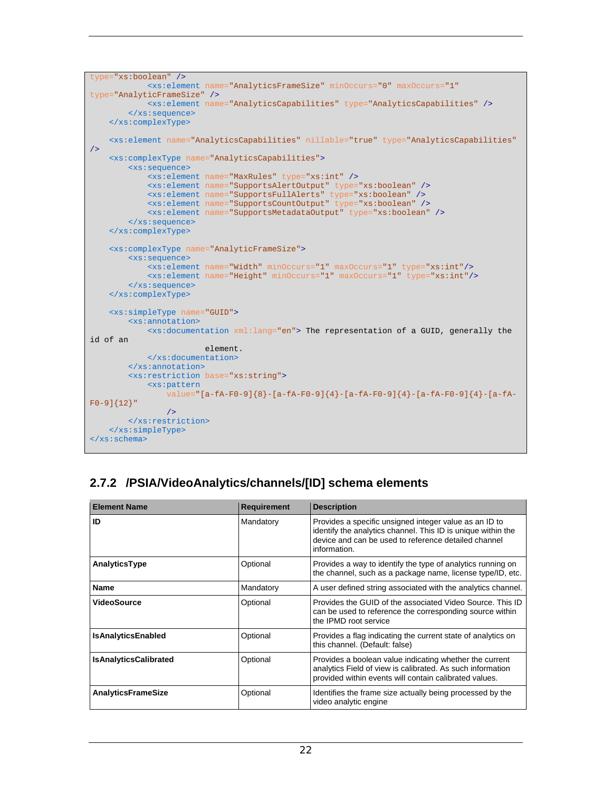```
type="xs:boolean" />
             <xs:element name="AnalyticsFrameSize" minOccurs="0" maxOccurs="1"
type="AnalyticFrameSize" />
            <xs:element name="AnalyticsCapabilities" type="AnalyticsCapabilities" />
         </xs:sequence>
    </xs:complexType>
    <xs:element name="AnalyticsCapabilities" nillable="true" type="AnalyticsCapabilities"
/>
    <xs:complexType name="AnalyticsCapabilities">
         <xs:sequence>
            <xs:element name="MaxRules" type="xs:int" />
            <xs:element name="SupportsAlertOutput" type="xs:boolean" />
 <xs:element name="SupportsFullAlerts" type="xs:boolean" />
 <xs:element name="SupportsCountOutput" type="xs:boolean" />
            <xs:element name="SupportsMetadataOutput" type="xs:boolean" />
         </xs:sequence>
    </xs:complexType>
    <xs:complexType name="AnalyticFrameSize">
         <xs:sequence>
             <xs:element name="Width" minOccurs="1" maxOccurs="1" type="xs:int"/>
             <xs:element name="Height" minOccurs="1" maxOccurs="1" type="xs:int"/>
        </xs:sequence>
    </xs:complexType>
    <xs:simpleType name="GUID">
         <xs:annotation>
            <xs:documentation xml:lang="en"> The representation of a GUID, generally the 
id of an 
                         element. 
            </xs:documentation>
         </xs:annotation>
         <xs:restriction base="xs:string">
            <xs:pattern
                 value="[a-fA-F0-9]{8}-[a-fA-F0-9]{4}-[a-fA-F0-9]{4}-[a-fA-F0-9]{4}-[a-fA-
F0-9]{12}"
                />
         </xs:restriction>
    </xs:simpleType>
</xs:schema>
```
### **2.7.2 /PSIA/VideoAnalytics/channels/[ID] schema elements**

| <b>Element Name</b>          | <b>Requirement</b> | <b>Description</b>                                                                                                                                                                             |
|------------------------------|--------------------|------------------------------------------------------------------------------------------------------------------------------------------------------------------------------------------------|
| ID                           | Mandatory          | Provides a specific unsigned integer value as an ID to<br>identify the analytics channel. This ID is unique within the<br>device and can be used to reference detailed channel<br>information. |
| AnalyticsType                | Optional           | Provides a way to identify the type of analytics running on<br>the channel, such as a package name, license type/ID, etc.                                                                      |
| Name                         | Mandatory          | A user defined string associated with the analytics channel.                                                                                                                                   |
| VideoSource                  | Optional           | Provides the GUID of the associated Video Source. This ID<br>can be used to reference the corresponding source within<br>the IPMD root service                                                 |
| <b>IsAnalyticsEnabled</b>    | Optional           | Provides a flag indicating the current state of analytics on<br>this channel. (Default: false)                                                                                                 |
| <b>IsAnalyticsCalibrated</b> | Optional           | Provides a boolean value indicating whether the current<br>analytics Field of view is calibrated. As such information<br>provided within events will contain calibrated values.                |
| <b>AnalyticsFrameSize</b>    | Optional           | Identifies the frame size actually being processed by the<br>video analytic engine                                                                                                             |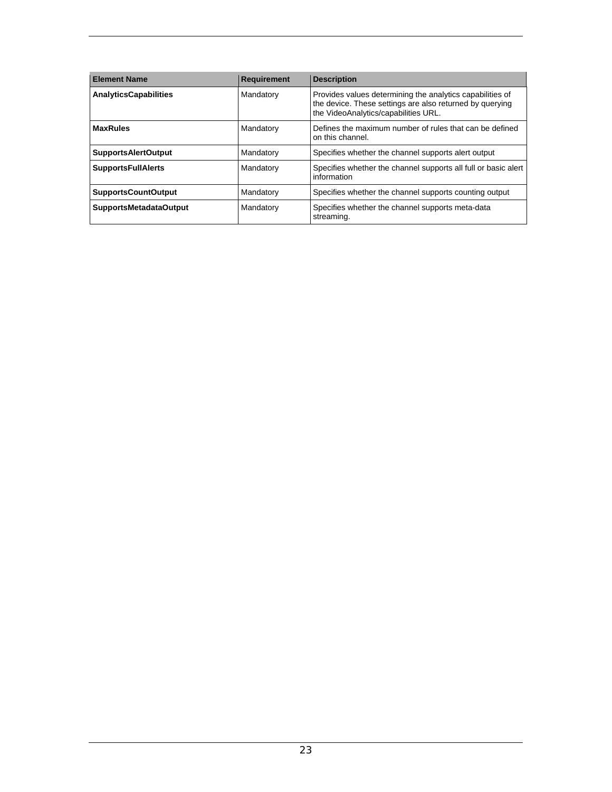| <b>Element Name</b>           | <b>Requirement</b> | <b>Description</b>                                                                                                                                            |
|-------------------------------|--------------------|---------------------------------------------------------------------------------------------------------------------------------------------------------------|
| <b>AnalyticsCapabilities</b>  | Mandatory          | Provides values determining the analytics capabilities of<br>the device. These settings are also returned by querying<br>the VideoAnalytics/capabilities URL. |
| <b>MaxRules</b>               | Mandatory          | Defines the maximum number of rules that can be defined<br>on this channel.                                                                                   |
| <b>SupportsAlertOutput</b>    | Mandatory          | Specifies whether the channel supports alert output                                                                                                           |
| <b>SupportsFullAlerts</b>     | Mandatory          | Specifies whether the channel supports all full or basic alert<br>information                                                                                 |
| <b>SupportsCountOutput</b>    | Mandatory          | Specifies whether the channel supports counting output                                                                                                        |
| <b>SupportsMetadataOutput</b> | Mandatory          | Specifies whether the channel supports meta-data<br>streaming.                                                                                                |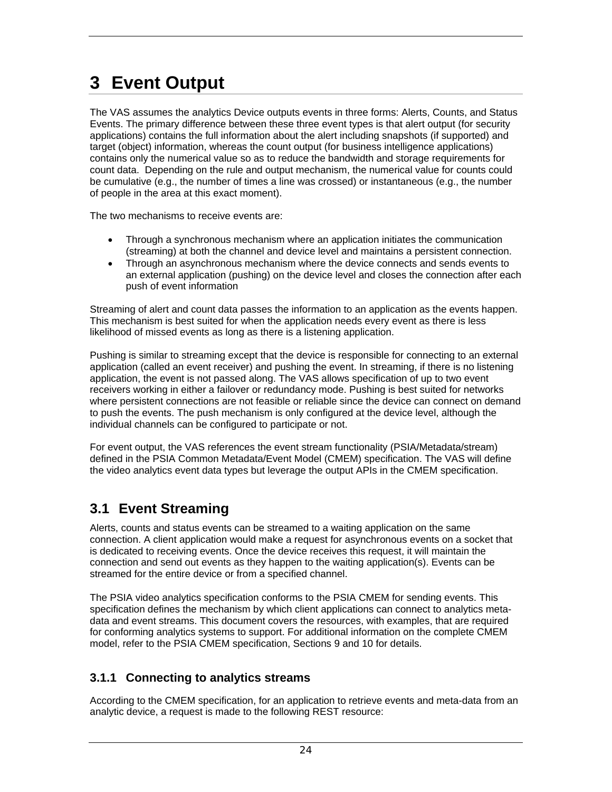## **3 Event Output**

The VAS assumes the analytics Device outputs events in three forms: Alerts, Counts, and Status Events. The primary difference between these three event types is that alert output (for security applications) contains the full information about the alert including snapshots (if supported) and target (object) information, whereas the count output (for business intelligence applications) contains only the numerical value so as to reduce the bandwidth and storage requirements for count data. Depending on the rule and output mechanism, the numerical value for counts could be cumulative (e.g., the number of times a line was crossed) or instantaneous (e.g., the number of people in the area at this exact moment).

The two mechanisms to receive events are:

- Through a synchronous mechanism where an application initiates the communication (streaming) at both the channel and device level and maintains a persistent connection.
- Through an asynchronous mechanism where the device connects and sends events to an external application (pushing) on the device level and closes the connection after each push of event information

Streaming of alert and count data passes the information to an application as the events happen. This mechanism is best suited for when the application needs every event as there is less likelihood of missed events as long as there is a listening application.

Pushing is similar to streaming except that the device is responsible for connecting to an external application (called an event receiver) and pushing the event. In streaming, if there is no listening application, the event is not passed along. The VAS allows specification of up to two event receivers working in either a failover or redundancy mode. Pushing is best suited for networks where persistent connections are not feasible or reliable since the device can connect on demand to push the events. The push mechanism is only configured at the device level, although the individual channels can be configured to participate or not.

For event output, the VAS references the event stream functionality (PSIA/Metadata/stream) defined in the PSIA Common Metadata/Event Model (CMEM) specification. The VAS will define the video analytics event data types but leverage the output APIs in the CMEM specification.

### **3.1 Event Streaming**

Alerts, counts and status events can be streamed to a waiting application on the same connection. A client application would make a request for asynchronous events on a socket that is dedicated to receiving events. Once the device receives this request, it will maintain the connection and send out events as they happen to the waiting application(s). Events can be streamed for the entire device or from a specified channel.

The PSIA video analytics specification conforms to the PSIA CMEM for sending events. This specification defines the mechanism by which client applications can connect to analytics metadata and event streams. This document covers the resources, with examples, that are required for conforming analytics systems to support. For additional information on the complete CMEM model, refer to the PSIA CMEM specification, Sections 9 and 10 for details.

#### **3.1.1 Connecting to analytics streams**

According to the CMEM specification, for an application to retrieve events and meta-data from an analytic device, a request is made to the following REST resource: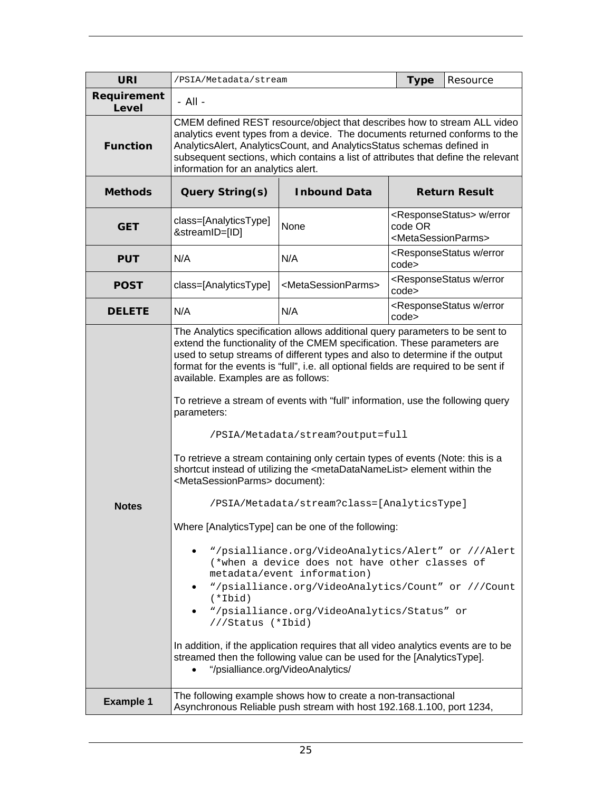| <b>URI</b>           | /PSIA/Metadata/stream                                                                                                                                                                                                                                                                                                                                                                                                                                                                                                                                                                                                                                                                                                                                                                                                                                                                                                                                                                                                                                                                                                                                                                                                                                                                                                                                                                                                                                                    |                                                                                                                                        | <b>Type</b>                                      | Resource                                               |
|----------------------|--------------------------------------------------------------------------------------------------------------------------------------------------------------------------------------------------------------------------------------------------------------------------------------------------------------------------------------------------------------------------------------------------------------------------------------------------------------------------------------------------------------------------------------------------------------------------------------------------------------------------------------------------------------------------------------------------------------------------------------------------------------------------------------------------------------------------------------------------------------------------------------------------------------------------------------------------------------------------------------------------------------------------------------------------------------------------------------------------------------------------------------------------------------------------------------------------------------------------------------------------------------------------------------------------------------------------------------------------------------------------------------------------------------------------------------------------------------------------|----------------------------------------------------------------------------------------------------------------------------------------|--------------------------------------------------|--------------------------------------------------------|
| Requirement<br>Level | $-$ All $-$                                                                                                                                                                                                                                                                                                                                                                                                                                                                                                                                                                                                                                                                                                                                                                                                                                                                                                                                                                                                                                                                                                                                                                                                                                                                                                                                                                                                                                                              |                                                                                                                                        |                                                  |                                                        |
| <b>Function</b>      | CMEM defined REST resource/object that describes how to stream ALL video<br>analytics event types from a device. The documents returned conforms to the<br>AnalyticsAlert, AnalyticsCount, and AnalyticsStatus schemas defined in<br>subsequent sections, which contains a list of attributes that define the relevant<br>information for an analytics alert.                                                                                                                                                                                                                                                                                                                                                                                                                                                                                                                                                                                                                                                                                                                                                                                                                                                                                                                                                                                                                                                                                                            |                                                                                                                                        |                                                  |                                                        |
| <b>Methods</b>       | <b>Query String(s)</b><br><b>Inbound Data</b><br><b>Return Result</b>                                                                                                                                                                                                                                                                                                                                                                                                                                                                                                                                                                                                                                                                                                                                                                                                                                                                                                                                                                                                                                                                                                                                                                                                                                                                                                                                                                                                    |                                                                                                                                        |                                                  |                                                        |
| <b>GET</b>           | class=[AnalyticsType]<br>&streamID=[ID]                                                                                                                                                                                                                                                                                                                                                                                                                                                                                                                                                                                                                                                                                                                                                                                                                                                                                                                                                                                                                                                                                                                                                                                                                                                                                                                                                                                                                                  | None                                                                                                                                   | code OR<br><metasessionparms></metasessionparms> | <responsestatus> w/error</responsestatus>              |
| <b>PUT</b>           | N/A                                                                                                                                                                                                                                                                                                                                                                                                                                                                                                                                                                                                                                                                                                                                                                                                                                                                                                                                                                                                                                                                                                                                                                                                                                                                                                                                                                                                                                                                      | N/A                                                                                                                                    | code>                                            | <responsestatus error<="" th="" w=""></responsestatus> |
| <b>POST</b>          | class=[AnalyticsType]                                                                                                                                                                                                                                                                                                                                                                                                                                                                                                                                                                                                                                                                                                                                                                                                                                                                                                                                                                                                                                                                                                                                                                                                                                                                                                                                                                                                                                                    | <metasessionparms></metasessionparms>                                                                                                  | code>                                            | <responsestatus error<="" th="" w=""></responsestatus> |
| <b>DELETE</b>        | N/A                                                                                                                                                                                                                                                                                                                                                                                                                                                                                                                                                                                                                                                                                                                                                                                                                                                                                                                                                                                                                                                                                                                                                                                                                                                                                                                                                                                                                                                                      | N/A                                                                                                                                    | code>                                            |                                                        |
| <b>Notes</b>         | <responsestatus error<br="" w="">The Analytics specification allows additional query parameters to be sent to<br/>extend the functionality of the CMEM specification. These parameters are<br/>used to setup streams of different types and also to determine if the output<br/>format for the events is "full", i.e. all optional fields are required to be sent if<br/>available. Examples are as follows:<br/>To retrieve a stream of events with "full" information, use the following query<br/>parameters:<br/>/PSIA/Metadata/stream?output=full<br/>To retrieve a stream containing only certain types of events (Note: this is a<br/>shortcut instead of utilizing the <metadatanamelist> element within the<br/><metasessionparms> document):<br/>/PSIA/Metadata/stream?class=[AnalyticsType]<br/>Where [AnalyticsType] can be one of the following:<br/>"/psialliance.org/VideoAnalytics/Alert" or ///Alert<br/>(*when a device does not have other classes of<br/>metadata/event information)<br/>"/psialliance.org/VideoAnalytics/Count" or ///Count<br/><math>(*Ibid)</math><br/>"/psialliance.org/VideoAnalytics/Status" or<br/><math display="inline">\bullet</math><br/>///Status (*Ibid)<br/>In addition, if the application requires that all video analytics events are to be<br/>streamed then the following value can be used for the [AnalyticsType].<br/>"/psialliance.org/VideoAnalytics/</metasessionparms></metadatanamelist></responsestatus> |                                                                                                                                        |                                                  |                                                        |
| <b>Example 1</b>     |                                                                                                                                                                                                                                                                                                                                                                                                                                                                                                                                                                                                                                                                                                                                                                                                                                                                                                                                                                                                                                                                                                                                                                                                                                                                                                                                                                                                                                                                          | The following example shows how to create a non-transactional<br>Asynchronous Reliable push stream with host 192.168.1.100, port 1234, |                                                  |                                                        |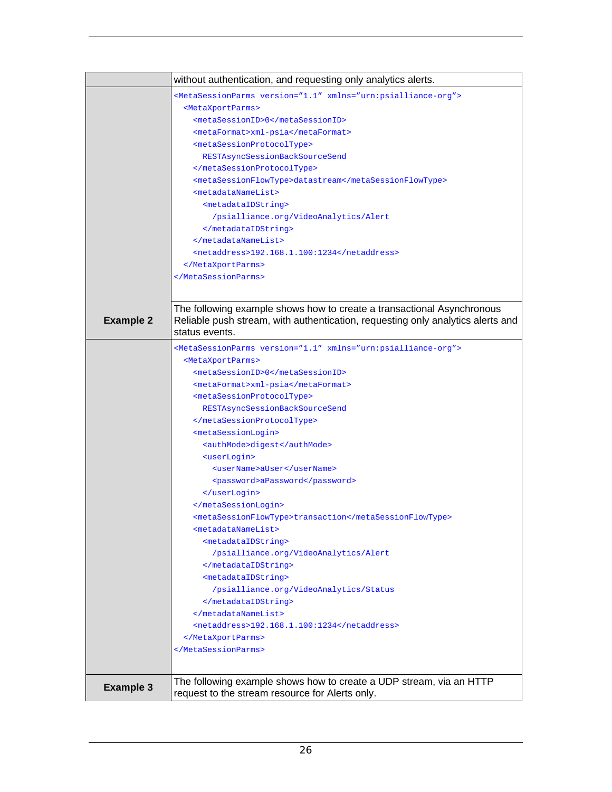|                  | without authentication, and requesting only analytics alerts.                                                         |
|------------------|-----------------------------------------------------------------------------------------------------------------------|
|                  | <metasessionparms version="1.1" xmlns="urn:psialliance-org"></metasessionparms>                                       |
|                  | <metaxportparms></metaxportparms>                                                                                     |
|                  | <metasessionid>0</metasessionid>                                                                                      |
|                  | <metaformat>xml-psia</metaformat>                                                                                     |
|                  | <metasessionprotocoltype></metasessionprotocoltype>                                                                   |
|                  | RESTAsyncSessionBackSourceSend                                                                                        |
|                  |                                                                                                                       |
|                  | <metasessionflowtype>datastream</metasessionflowtype>                                                                 |
|                  | <metadatanamelist></metadatanamelist>                                                                                 |
|                  | <metadataidstring></metadataidstring>                                                                                 |
|                  | /psialliance.org/VideoAnalytics/Alert                                                                                 |
|                  |                                                                                                                       |
|                  |                                                                                                                       |
|                  | <netaddress>192.168.1.100:1234</netaddress>                                                                           |
|                  |                                                                                                                       |
|                  |                                                                                                                       |
|                  |                                                                                                                       |
|                  | The following example shows how to create a transactional Asynchronous                                                |
| <b>Example 2</b> | Reliable push stream, with authentication, requesting only analytics alerts and                                       |
|                  | status events.                                                                                                        |
|                  |                                                                                                                       |
|                  | <metasessionparms version="1.1" xmlns="urn:psialliance-org"><br/><metaxportparms></metaxportparms></metasessionparms> |
|                  | <metasessionid>0</metasessionid>                                                                                      |
|                  | <metaformat>xml-psia</metaformat>                                                                                     |
|                  | <metasessionprotocoltype></metasessionprotocoltype>                                                                   |
|                  | RESTAsyncSessionBackSourceSend                                                                                        |
|                  |                                                                                                                       |
|                  | <metasessionlogin></metasessionlogin>                                                                                 |
|                  | <authmode>digest</authmode>                                                                                           |
|                  | <userlogin></userlogin>                                                                                               |
|                  | <username>aUser</username>                                                                                            |
|                  | <password>aPassword</password>                                                                                        |
|                  |                                                                                                                       |
|                  |                                                                                                                       |
|                  | <metasessionflowtype>transaction</metasessionflowtype>                                                                |
|                  | <metadatanamelist></metadatanamelist>                                                                                 |
|                  | <metadataidstring></metadataidstring>                                                                                 |
|                  | /psialliance.org/VideoAnalytics/Alert                                                                                 |
|                  |                                                                                                                       |
|                  | <metadataidstring></metadataidstring>                                                                                 |
|                  | /psialliance.org/VideoAnalytics/Status                                                                                |
|                  |                                                                                                                       |
|                  |                                                                                                                       |
|                  | <netaddress>192.168.1.100:1234</netaddress>                                                                           |
|                  |                                                                                                                       |
|                  |                                                                                                                       |
|                  |                                                                                                                       |
|                  | The following example shows how to create a UDP stream, via an HTTP                                                   |
| <b>Example 3</b> | request to the stream resource for Alerts only.                                                                       |
|                  |                                                                                                                       |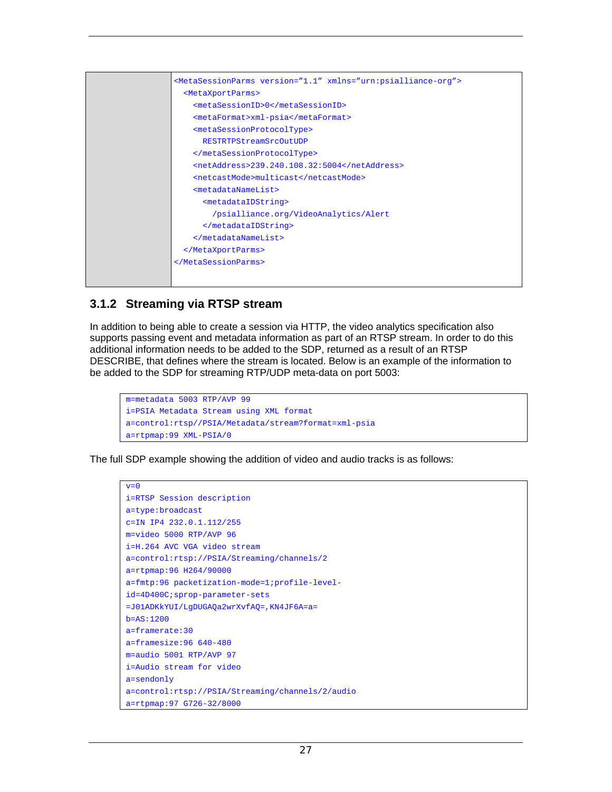|  | <metasessionparms version="1.1" xmlns="urn:psialliance-org"></metasessionparms> |
|--|---------------------------------------------------------------------------------|
|  | <metaxportparms></metaxportparms>                                               |
|  | <metasessionid>0</metasessionid>                                                |
|  | <metaformat>xml-psia</metaformat>                                               |
|  | <metasessionprotocoltype></metasessionprotocoltype>                             |
|  | RESTRTPStreamSrcOutUDP                                                          |
|  |                                                                                 |
|  | <netaddress>239.240.108.32:5004</netaddress>                                    |
|  | <netcastmode>multicast</netcastmode>                                            |
|  | <metadatanamelist></metadatanamelist>                                           |
|  | <metadataidstring></metadataidstring>                                           |
|  | /psialliance.org/VideoAnalytics/Alert                                           |
|  |                                                                                 |
|  |                                                                                 |
|  |                                                                                 |
|  |                                                                                 |
|  |                                                                                 |
|  |                                                                                 |

#### **3.1.2 Streaming via RTSP stream**

In addition to being able to create a session via HTTP, the video analytics specification also supports passing event and metadata information as part of an RTSP stream. In order to do this additional information needs to be added to the SDP, returned as a result of an RTSP DESCRIBE, that defines where the stream is located. Below is an example of the information to be added to the SDP for streaming RTP/UDP meta-data on port 5003:

```
m=metadata 5003 RTP/AVP 99 
i=PSIA Metadata Stream using XML format 
a=control:rtsp//PSIA/Metadata/stream?format=xml-psia 
a=rtpmap:99 XML-PSIA/0
```
The full SDP example showing the addition of video and audio tracks is as follows:

```
v=0i=RTSP Session description 
a=type:broadcast 
c=IN IP4 232.0.1.112/255 
m=video 5000 RTP/AVP 96 
i=H.264 AVC VGA video stream 
a=control:rtsp://PSIA/Streaming/channels/2 
a=rtpmap:96 H264/90000 
a=fmtp:96 packetization-mode=1;profile-level-
id=4D400C;sprop-parameter-sets 
=J01ADKkYUI/LgDUGAQa2wrXvfAQ=,KN4JF6A=a= 
b=AS:1200 
a=framerate:30 
a=framesize:96 640-480 
m=audio 5001 RTP/AVP 97 
i=Audio stream for video 
a=sendonly 
a=control:rtsp://PSIA/Streaming/channels/2/audio 
a=rtpmap:97 G726-32/8000
```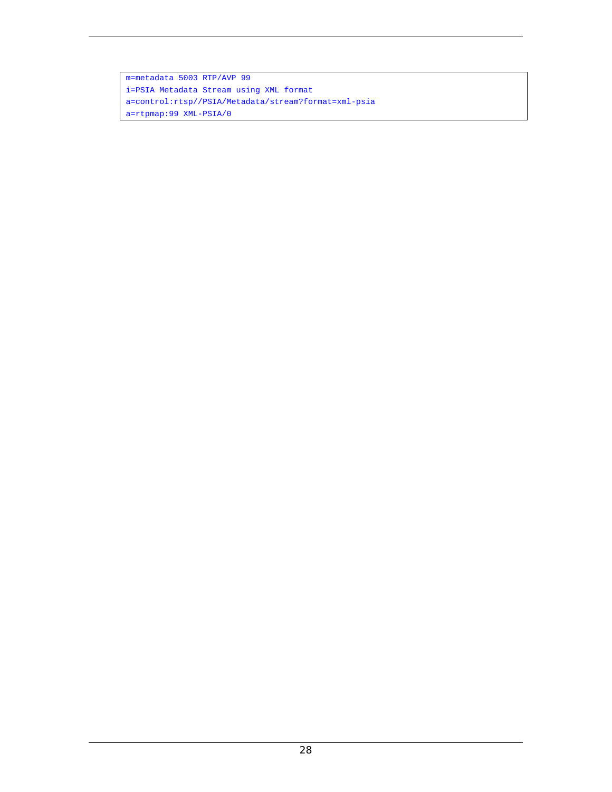m=metadata 5003 RTP/AVP 99 i=PSIA Metadata Stream using XML format a=control:rtsp//PSIA/Metadata/stream?format=xml-psia a=rtpmap:99 XML-PSIA/0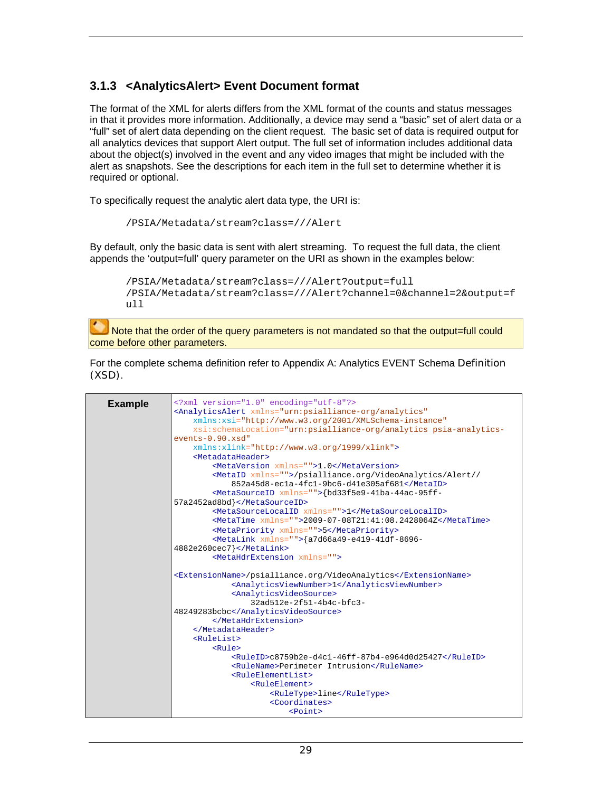#### **3.1.3 <AnalyticsAlert> Event Document format**

The format of the XML for alerts differs from the XML format of the counts and status messages in that it provides more information. Additionally, a device may send a "basic" set of alert data or a "full" set of alert data depending on the client request. The basic set of data is required output for all analytics devices that support Alert output. The full set of information includes additional data about the object(s) involved in the event and any video images that might be included with the alert as snapshots. See the descriptions for each item in the full set to determine whether it is required or optional.

To specifically request the analytic alert data type, the URI is:

```
/PSIA/Metadata/stream?class=///Alert
```
By default, only the basic data is sent with alert streaming. To request the full data, the client appends the 'output=full' query parameter on the URI as shown in the examples below:

```
/PSIA/Metadata/stream?class=///Alert?output=full 
/PSIA/Metadata/stream?class=///Alert?channel=0&channel=2&output=f
ull
```
Note that the order of the query parameters is not mandated so that the output=full could come before other parameters.

For the complete schema definition refer to Appendix A: Analytics EVENT Schema Definition (XSD).

| <b>Example</b> | xml version="1.0" encoding="utf-8"?                                                               |
|----------------|---------------------------------------------------------------------------------------------------|
|                | <analyticsalert <="" th="" xmlns="urn:psialliance-org/analytics"></analyticsalert>                |
|                | xmlns:xsi="http://www.w3.org/2001/XMLSchema-instance"                                             |
|                | xsi:schemaLocation="urn:psialliance-org/analytics psia-analytics-                                 |
|                | $events-0.90.xsd"$                                                                                |
|                | xmlns:xlink="http://www.w3.org/1999/xlink">                                                       |
|                | <metadataheader></metadataheader>                                                                 |
|                | <metaversion xmlns="">1.0</metaversion>                                                           |
|                | <metaid xmlns="">/psialliance.org/VideoAnalytics/Alert//</metaid>                                 |
|                | 852a45d8-ecla-4fc1-9bc6-d41e305af681                                                              |
|                | <metasourceid xmlns="">{bd33f5e9-41ba-44ac-95ff-</metasourceid>                                   |
|                | 57a2452ad8bd}                                                                                     |
|                | <metasourcelocalid xmlns="">1</metasourcelocalid>                                                 |
|                | <metatime <math="">xmlns = " &gt; 2009 - 07 - 08T21:41:08.2428064Z &lt; /MetaTime &gt;</metatime> |
|                | <metapriority xmlns="">5</metapriority>                                                           |
|                | <metalink xmlns="">{a7d66a49-e419-41df-8696-</metalink>                                           |
|                | $4882e260cec7$                                                                                    |
|                | <metahdrextension xmlns=""></metahdrextension>                                                    |
|                | <extensionname>/psialliance.org/VideoAnalytics</extensionname>                                    |
|                | <analyticsviewnumber>1</analyticsviewnumber>                                                      |
|                | <analyticsvideosource></analyticsvideosource>                                                     |
|                | $32a d512e - 2f51 - 4b4c - bfc3 -$                                                                |
|                | 48249283bcbc                                                                                      |
|                |                                                                                                   |
|                |                                                                                                   |
|                | <rulelist></rulelist>                                                                             |
|                | Rul                                                                                               |
|                | $\langle \text{RuleID>c8759b2e-d4c1-46ff-87b4-e964d0d25427}\rangle$ /RuleID                       |
|                | <rulename>Perimeter Intrusion</rulename>                                                          |
|                | <ruleelementlist></ruleelementlist>                                                               |
|                | <ruleelement></ruleelement>                                                                       |
|                | <ruletype>line</ruletype>                                                                         |
|                | <coordinates></coordinates>                                                                       |
|                | <point></point>                                                                                   |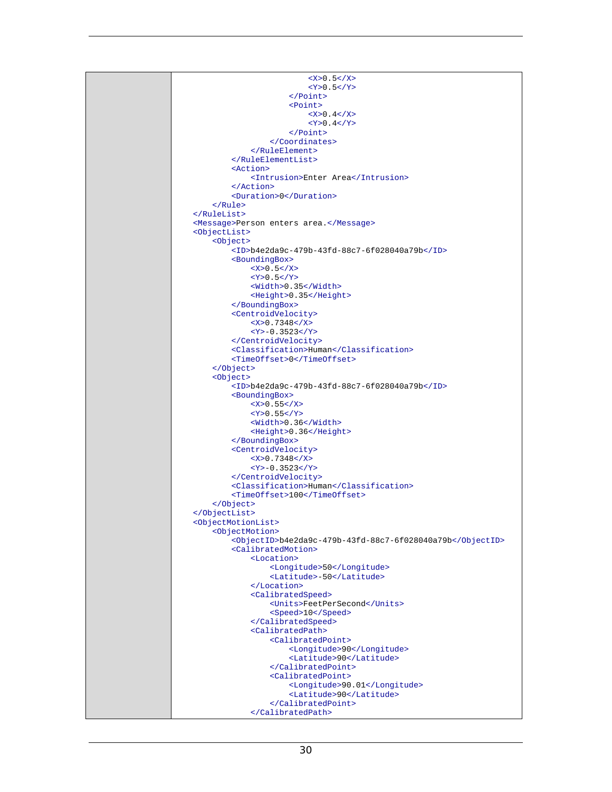$<$ X>0.5 $<$ /X>  $<$ Y>0.5 $<$ /Y> </Point> <Point>  $<$ X>0.4 $<$ /X>  $<$ Y>0.4</Y> </Point> </Coordinates> </RuleElement> </RuleElementList> <Action> <Intrusion>Enter Area</Intrusion> </Action> <Duration>0</Duration> </Rule> </RuleList> <Message>Person enters area.</Message> <ObjectList> <Object> <ID>b4e2da9c-479b-43fd-88c7-6f028040a79b</ID> <BoundingBox>  $<$ X>0.5 $<$ /X>  $<$ Y>0.5 $<$ /Y> <Width>0.35</Width> <Height>0.35</Height> </BoundingBox> <CentroidVelocity>  $< x > 0.7348 < x > 0$  <Y>-0.3523</Y> </CentroidVelocity> <Classification>Human</Classification> <TimeOffset>0</TimeOffset> </Object> <Object> <ID>b4e2da9c-479b-43fd-88c7-6f028040a79b</ID> <BoundingBox>  $<$ X>0.55 $<$ /X>  $<$ Y>0.55</Y> <Width>0.36</Width> <Height>0.36</Height> </BoundingBox> <CentroidVelocity>  $<$ X>0.7348 $<$ /X> <Y>-0.3523</Y> </CentroidVelocity> <Classification>Human</Classification> <TimeOffset>100</TimeOffset> </Object> </ObjectList> <ObjectMotionList> <ObjectMotion> <ObjectID>b4e2da9c-479b-43fd-88c7-6f028040a79b</ObjectID> <CalibratedMotion> <Location> <Longitude>50</Longitude> <Latitude>-50</Latitude> </Location> <CalibratedSpeed> <Units>FeetPerSecond</Units> <Speed>10</Speed> </CalibratedSpeed> <CalibratedPath> <CalibratedPoint> <Longitude>90</Longitude> <Latitude>90</Latitude> </CalibratedPoint> <CalibratedPoint> <Longitude>90.01</Longitude> <Latitude>90</Latitude> </CalibratedPoint> </CalibratedPath>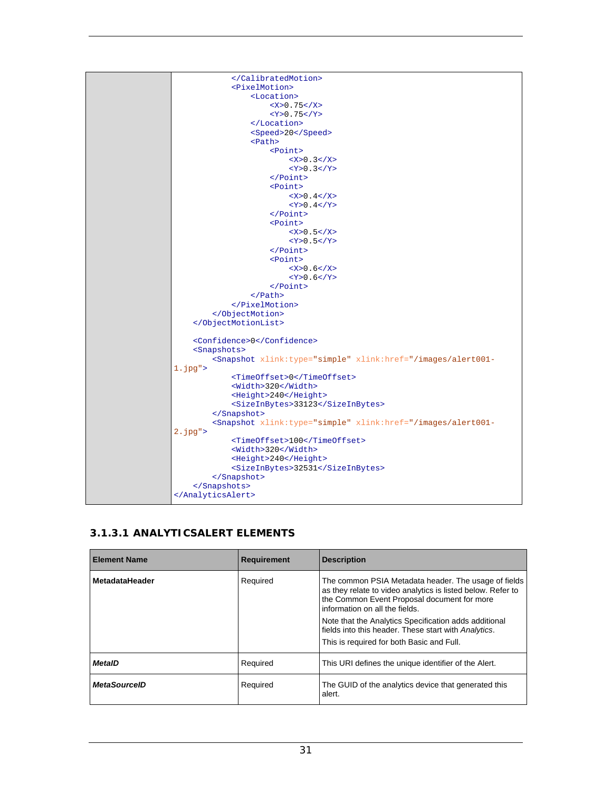

#### **3.1.3.1 ANALYTICSALERT ELEMENTS**

| <b>Element Name</b>   | Requirement | <b>Description</b>                                                                                                                                                                                                                                                                                                                                                 |
|-----------------------|-------------|--------------------------------------------------------------------------------------------------------------------------------------------------------------------------------------------------------------------------------------------------------------------------------------------------------------------------------------------------------------------|
| <b>MetadataHeader</b> | Required    | The common PSIA Metadata header. The usage of fields<br>as they relate to video analytics is listed below. Refer to<br>the Common Event Proposal document for more<br>information on all the fields.<br>Note that the Analytics Specification adds additional<br>fields into this header. These start with Analytics.<br>This is required for both Basic and Full. |
| <b>MetaID</b>         | Required    | This URI defines the unique identifier of the Alert.                                                                                                                                                                                                                                                                                                               |
| <b>MetaSourceID</b>   | Required    | The GUID of the analytics device that generated this<br>alert.                                                                                                                                                                                                                                                                                                     |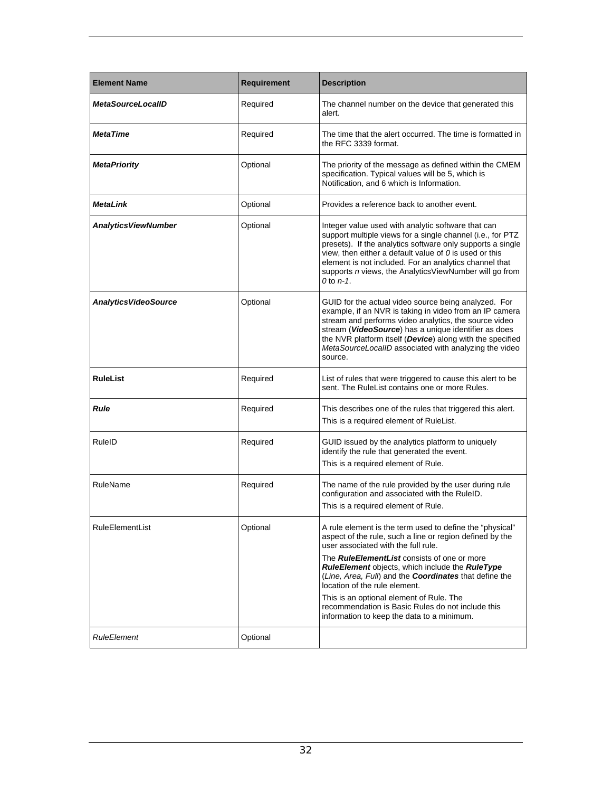| <b>Element Name</b>          | <b>Requirement</b> | <b>Description</b>                                                                                                                                                                                                                                                                                                                                                                                                                                                                                                    |
|------------------------------|--------------------|-----------------------------------------------------------------------------------------------------------------------------------------------------------------------------------------------------------------------------------------------------------------------------------------------------------------------------------------------------------------------------------------------------------------------------------------------------------------------------------------------------------------------|
| <b>MetaSourceLocalID</b>     | Required           | The channel number on the device that generated this<br>alert.                                                                                                                                                                                                                                                                                                                                                                                                                                                        |
| <b>MetaTime</b>              | Required           | The time that the alert occurred. The time is formatted in<br>the RFC 3339 format.                                                                                                                                                                                                                                                                                                                                                                                                                                    |
| <b>MetaPriority</b>          | Optional           | The priority of the message as defined within the CMEM<br>specification. Typical values will be 5, which is<br>Notification, and 6 which is Information.                                                                                                                                                                                                                                                                                                                                                              |
| <b>MetaLink</b>              | Optional           | Provides a reference back to another event.                                                                                                                                                                                                                                                                                                                                                                                                                                                                           |
| <b>Analytics ViewNumber</b>  | Optional           | Integer value used with analytic software that can<br>support multiple views for a single channel (i.e., for PTZ<br>presets). If the analytics software only supports a single<br>view, then either a default value of $0$ is used or this<br>element is not included. For an analytics channel that<br>supports n views, the AnalyticsViewNumber will go from<br>$0$ to $n-1$ .                                                                                                                                      |
| <b>Analytics VideoSource</b> | Optional           | GUID for the actual video source being analyzed. For<br>example, if an NVR is taking in video from an IP camera<br>stream and performs video analytics, the source video<br>stream (VideoSource) has a unique identifier as does<br>the NVR platform itself (Device) along with the specified<br>MetaSourceLocalID associated with analyzing the video<br>source.                                                                                                                                                     |
| <b>RuleList</b>              | Required           | List of rules that were triggered to cause this alert to be<br>sent. The RuleList contains one or more Rules.                                                                                                                                                                                                                                                                                                                                                                                                         |
| <b>Rule</b>                  | Required           | This describes one of the rules that triggered this alert.<br>This is a required element of RuleList.                                                                                                                                                                                                                                                                                                                                                                                                                 |
| RuleID                       | Required           | GUID issued by the analytics platform to uniquely<br>identify the rule that generated the event.<br>This is a required element of Rule.                                                                                                                                                                                                                                                                                                                                                                               |
| RuleName                     | Required           | The name of the rule provided by the user during rule<br>configuration and associated with the RuleID.<br>This is a required element of Rule.                                                                                                                                                                                                                                                                                                                                                                         |
| <b>RuleElementList</b>       | Optional           | A rule element is the term used to define the "physical"<br>aspect of the rule, such a line or region defined by the<br>user associated with the full rule.<br>The <i>RuleElementList</i> consists of one or more<br><b>RuleElement objects, which include the RuleType</b><br>(Line, Area, Full) and the Coordinates that define the<br>location of the rule element.<br>This is an optional element of Rule. The<br>recommendation is Basic Rules do not include this<br>information to keep the data to a minimum. |
| <b>RuleElement</b>           | Optional           |                                                                                                                                                                                                                                                                                                                                                                                                                                                                                                                       |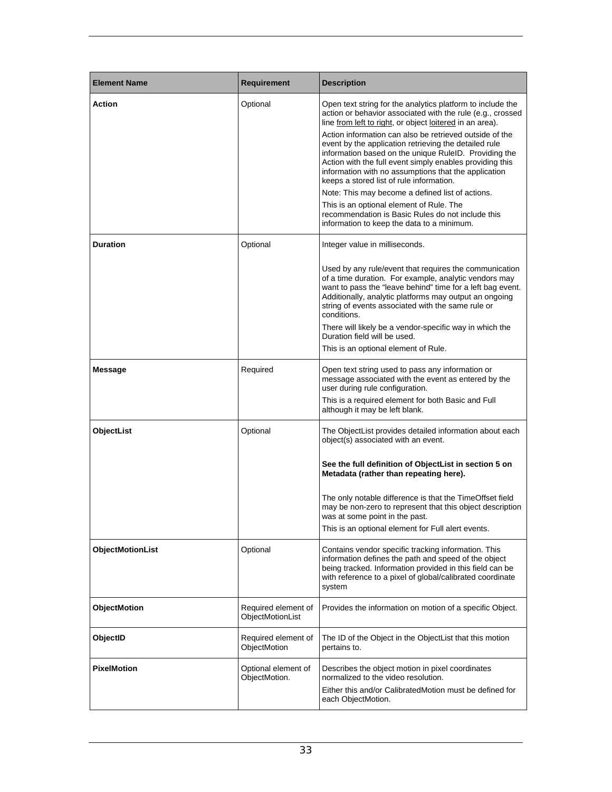| <b>Element Name</b>     | <b>Requirement</b>                      | <b>Description</b>                                                                                                                                                                                                                                                                                                                                                                                                                                                                                                                                                                                                                                                                                                                   |
|-------------------------|-----------------------------------------|--------------------------------------------------------------------------------------------------------------------------------------------------------------------------------------------------------------------------------------------------------------------------------------------------------------------------------------------------------------------------------------------------------------------------------------------------------------------------------------------------------------------------------------------------------------------------------------------------------------------------------------------------------------------------------------------------------------------------------------|
| <b>Action</b>           | Optional                                | Open text string for the analytics platform to include the<br>action or behavior associated with the rule (e.g., crossed<br>line from left to right, or object loitered in an area).<br>Action information can also be retrieved outside of the<br>event by the application retrieving the detailed rule<br>information based on the unique RuleID. Providing the<br>Action with the full event simply enables providing this<br>information with no assumptions that the application<br>keeps a stored list of rule information.<br>Note: This may become a defined list of actions.<br>This is an optional element of Rule. The<br>recommendation is Basic Rules do not include this<br>information to keep the data to a minimum. |
| <b>Duration</b>         | Optional                                | Integer value in milliseconds.                                                                                                                                                                                                                                                                                                                                                                                                                                                                                                                                                                                                                                                                                                       |
|                         |                                         | Used by any rule/event that requires the communication<br>of a time duration. For example, analytic vendors may<br>want to pass the "leave behind" time for a left bag event.<br>Additionally, analytic platforms may output an ongoing<br>string of events associated with the same rule or<br>conditions.<br>There will likely be a vendor-specific way in which the<br>Duration field will be used.<br>This is an optional element of Rule.                                                                                                                                                                                                                                                                                       |
|                         |                                         |                                                                                                                                                                                                                                                                                                                                                                                                                                                                                                                                                                                                                                                                                                                                      |
| <b>Message</b>          | Required                                | Open text string used to pass any information or<br>message associated with the event as entered by the<br>user during rule configuration.<br>This is a required element for both Basic and Full<br>although it may be left blank.                                                                                                                                                                                                                                                                                                                                                                                                                                                                                                   |
| ObjectList              | Optional                                | The ObjectList provides detailed information about each<br>object(s) associated with an event.                                                                                                                                                                                                                                                                                                                                                                                                                                                                                                                                                                                                                                       |
|                         |                                         | See the full definition of ObjectList in section 5 on<br>Metadata (rather than repeating here).<br>The only notable difference is that the TimeOffset field<br>may be non-zero to represent that this object description<br>was at some point in the past.<br>This is an optional element for Full alert events.                                                                                                                                                                                                                                                                                                                                                                                                                     |
| <b>ObjectMotionList</b> | Optional                                | Contains vendor specific tracking information. This<br>information defines the path and speed of the object<br>being tracked. Information provided in this field can be<br>with reference to a pixel of global/calibrated coordinate<br>system                                                                                                                                                                                                                                                                                                                                                                                                                                                                                       |
| ObjectMotion            | Required element of<br>ObjectMotionList | Provides the information on motion of a specific Object.                                                                                                                                                                                                                                                                                                                                                                                                                                                                                                                                                                                                                                                                             |
| ObjectID                | Required element of<br>ObjectMotion     | The ID of the Object in the ObjectList that this motion<br>pertains to.                                                                                                                                                                                                                                                                                                                                                                                                                                                                                                                                                                                                                                                              |
| <b>PixelMotion</b>      | Optional element of<br>ObjectMotion.    | Describes the object motion in pixel coordinates<br>normalized to the video resolution.<br>Either this and/or CalibratedMotion must be defined for<br>each ObjectMotion.                                                                                                                                                                                                                                                                                                                                                                                                                                                                                                                                                             |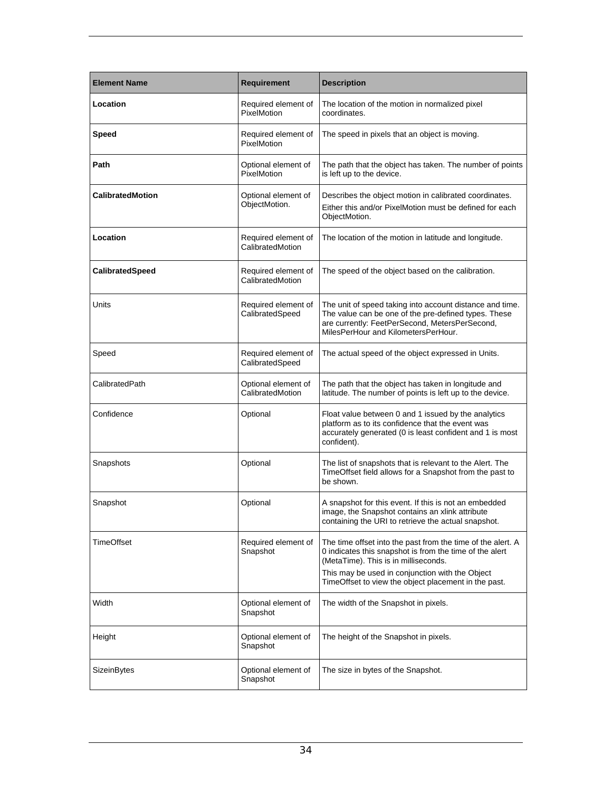| <b>Element Name</b>     | Requirement                             | <b>Description</b>                                                                                                                                                                                                                                                        |
|-------------------------|-----------------------------------------|---------------------------------------------------------------------------------------------------------------------------------------------------------------------------------------------------------------------------------------------------------------------------|
| Location                | Required element of<br>PixelMotion      | The location of the motion in normalized pixel<br>coordinates.                                                                                                                                                                                                            |
| <b>Speed</b>            | Required element of<br>PixelMotion      | The speed in pixels that an object is moving.                                                                                                                                                                                                                             |
| Path                    | Optional element of<br>PixelMotion      | The path that the object has taken. The number of points<br>is left up to the device.                                                                                                                                                                                     |
| <b>CalibratedMotion</b> | Optional element of<br>ObjectMotion.    | Describes the object motion in calibrated coordinates.<br>Either this and/or PixelMotion must be defined for each<br>ObjectMotion.                                                                                                                                        |
| Location                | Required element of<br>CalibratedMotion | The location of the motion in latitude and longitude.                                                                                                                                                                                                                     |
| CalibratedSpeed         | Required element of<br>CalibratedMotion | The speed of the object based on the calibration.                                                                                                                                                                                                                         |
| Units                   | Required element of<br>CalibratedSpeed  | The unit of speed taking into account distance and time.<br>The value can be one of the pre-defined types. These<br>are currently: FeetPerSecond, MetersPerSecond,<br>MilesPerHour and KilometersPerHour.                                                                 |
| Speed                   | Required element of<br>CalibratedSpeed  | The actual speed of the object expressed in Units.                                                                                                                                                                                                                        |
| CalibratedPath          | Optional element of<br>CalibratedMotion | The path that the object has taken in longitude and<br>latitude. The number of points is left up to the device.                                                                                                                                                           |
| Confidence              | Optional                                | Float value between 0 and 1 issued by the analytics<br>platform as to its confidence that the event was<br>accurately generated (0 is least confident and 1 is most<br>confident).                                                                                        |
| Snapshots               | Optional                                | The list of snapshots that is relevant to the Alert. The<br>TimeOffset field allows for a Snapshot from the past to<br>be shown.                                                                                                                                          |
| Snapshot                | Optional                                | A snapshot for this event. If this is not an embedded<br>image, the Snapshot contains an xlink attribute<br>containing the URI to retrieve the actual snapshot.                                                                                                           |
| TimeOffset              | Required element of<br>Snapshot         | The time offset into the past from the time of the alert. A<br>0 indicates this snapshot is from the time of the alert<br>(MetaTime). This is in milliseconds.<br>This may be used in conjunction with the Object<br>TimeOffset to view the object placement in the past. |
| Width                   | Optional element of<br>Snapshot         | The width of the Snapshot in pixels.                                                                                                                                                                                                                                      |
| Height                  | Optional element of<br>Snapshot         | The height of the Snapshot in pixels.                                                                                                                                                                                                                                     |
| SizeinBytes             | Optional element of<br>Snapshot         | The size in bytes of the Snapshot.                                                                                                                                                                                                                                        |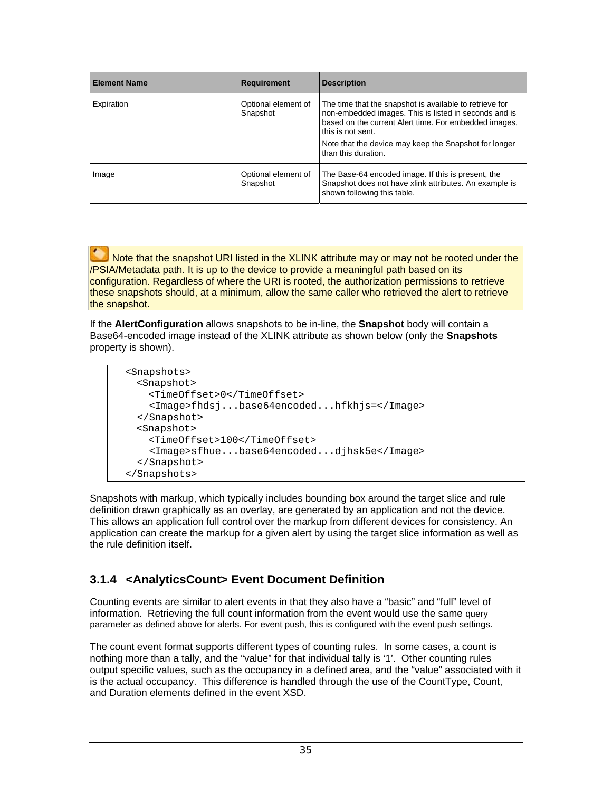| <b>Element Name</b> | <b>Requirement</b>              | <b>Description</b>                                                                                                                                                                                                                                                             |
|---------------------|---------------------------------|--------------------------------------------------------------------------------------------------------------------------------------------------------------------------------------------------------------------------------------------------------------------------------|
| Expiration          | Optional element of<br>Snapshot | The time that the snapshot is available to retrieve for<br>non-embedded images. This is listed in seconds and is<br>based on the current Alert time. For embedded images,<br>this is not sent.<br>Note that the device may keep the Snapshot for longer<br>than this duration. |
| Image               | Optional element of<br>Snapshot | The Base-64 encoded image. If this is present, the<br>Snapshot does not have xlink attributes. An example is<br>shown following this table.                                                                                                                                    |

Note that the snapshot URI listed in the XLINK attribute may or may not be rooted under the /PSIA/Metadata path. It is up to the device to provide a meaningful path based on its configuration. Regardless of where the URI is rooted, the authorization permissions to retrieve these snapshots should, at a minimum, allow the same caller who retrieved the alert to retrieve the snapshot.

If the **AlertConfiguration** allows snapshots to be in-line, the **Snapshot** body will contain a Base64-encoded image instead of the XLINK attribute as shown below (only the **Snapshots** property is shown).

```
 <Snapshots> 
  <Snapshot> 
     <TimeOffset>0</TimeOffset> 
     <Image>fhdsj...base64encoded...hfkhjs=</Image> 
   </Snapshot> 
  <Snapshot> 
     <TimeOffset>100</TimeOffset> 
     <Image>sfhue...base64encoded...djhsk5e</Image> 
   </Snapshot> 
 </Snapshots>
```
Snapshots with markup, which typically includes bounding box around the target slice and rule definition drawn graphically as an overlay, are generated by an application and not the device. This allows an application full control over the markup from different devices for consistency. An application can create the markup for a given alert by using the target slice information as well as the rule definition itself.

### **3.1.4 <AnalyticsCount> Event Document Definition**

Counting events are similar to alert events in that they also have a "basic" and "full" level of information. Retrieving the full count information from the event would use the same query parameter as defined above for alerts. For event push, this is configured with the event push settings.

The count event format supports different types of counting rules. In some cases, a count is nothing more than a tally, and the "value" for that individual tally is '1'. Other counting rules output specific values, such as the occupancy in a defined area, and the "value" associated with it is the actual occupancy. This difference is handled through the use of the CountType, Count, and Duration elements defined in the event XSD.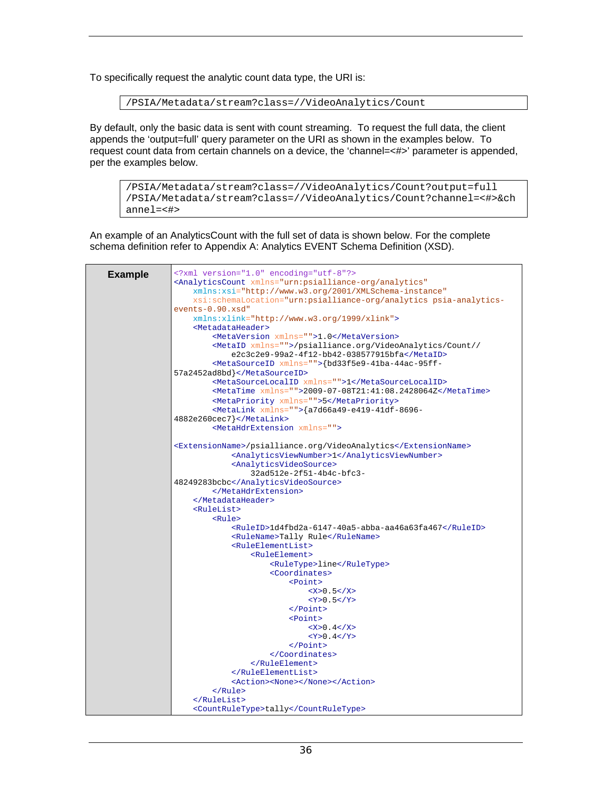To specifically request the analytic count data type, the URI is:

/PSIA/Metadata/stream?class=//VideoAnalytics/Count

By default, only the basic data is sent with count streaming. To request the full data, the client appends the 'output=full' query parameter on the URI as shown in the examples below. To request count data from certain channels on a device, the 'channel=<#>' parameter is appended, per the examples below.

/PSIA/Metadata/stream?class=//VideoAnalytics/Count?output=full /PSIA/Metadata/stream?class=//VideoAnalytics/Count?channel=<#>&ch annel=<#>

An example of an AnalyticsCount with the full set of data is shown below. For the complete schema definition refer to Appendix A: Analytics EVENT Schema Definition (XSD).

|                | xml version="1.0" encoding="utf-8"?                                                |
|----------------|------------------------------------------------------------------------------------|
| <b>Example</b> | <analyticscount <="" th="" xmlns="urn:psialliance-org/analytics"></analyticscount> |
|                | xmlns:xsi="http://www.w3.org/2001/XMLSchema-instance"                              |
|                | xsi:schemaLocation="urn:psialliance-org/analytics psia-analytics-                  |
|                | $events-0.90.xsd"$                                                                 |
|                | xmlns:xlink="http://www.w3.org/1999/xlink">                                        |
|                | <metadataheader></metadataheader>                                                  |
|                | <metaversion xmlns="">1.0</metaversion>                                            |
|                | <metaid xmlns="">/psialliance.org/VideoAnalytics/Count//</metaid>                  |
|                | e2c3c2e9-99a2-4f12-bb42-038577915bfa                                               |
|                | <metasourceid xmlns="">{bd33f5e9-41ba-44ac-95ff-</metasourceid>                    |
|                | 57a2452ad8bd                                                                       |
|                | <metasourcelocalid xmlns="">1</metasourcelocalid>                                  |
|                | <metatime <math="">xmlns = "-&gt;2009-07-08T21:41:08.2428064Z</metatime>           |
|                |                                                                                    |
|                | <metapriority xmlns="">5</metapriority>                                            |
|                | <metalink xmlns="">{a7d66a49-e419-41df-8696-</metalink>                            |
|                | $4882e260cec7$                                                                     |
|                | <metahdrextension xmlns=""></metahdrextension>                                     |
|                | <extensionname>/psialliance.org/VideoAnalytics</extensionname>                     |
|                | <analyticsviewnumber>1</analyticsviewnumber>                                       |
|                | <analyticsvideosource></analyticsvideosource>                                      |
|                | 32ad512e-2f51-4b4c-bfc3-                                                           |
|                | 48249283bcbc                                                                       |
|                |                                                                                    |
|                |                                                                                    |
|                | <rulelist></rulelist>                                                              |
|                | <rule></rule>                                                                      |
|                | <ruleid>1d4fbd2a-6147-40a5-abba-aa46a63fa467</ruleid>                              |
|                | <rulename>Tally Rule</rulename>                                                    |
|                | <ruleelementlist></ruleelementlist>                                                |
|                | <ruleelement></ruleelement>                                                        |
|                | <ruletype>line</ruletype>                                                          |
|                | <coordinates></coordinates>                                                        |
|                | $<$ Point>                                                                         |
|                | < X > 0.5 < X > 0.5                                                                |
|                | $<$ Y>0.5                                                                          |
|                | $\langle$ Point>                                                                   |
|                | <point></point>                                                                    |
|                | $< X > 0$ . $4 < / X > 0$                                                          |
|                | $<$ Y>0.4                                                                          |
|                | $<$ /Point>                                                                        |
|                |                                                                                    |
|                |                                                                                    |
|                |                                                                                    |
|                | <action><none></none></action>                                                     |
|                | $\langle$ /Rule>                                                                   |
|                |                                                                                    |
|                |                                                                                    |
|                | <countruletype>tally</countruletype>                                               |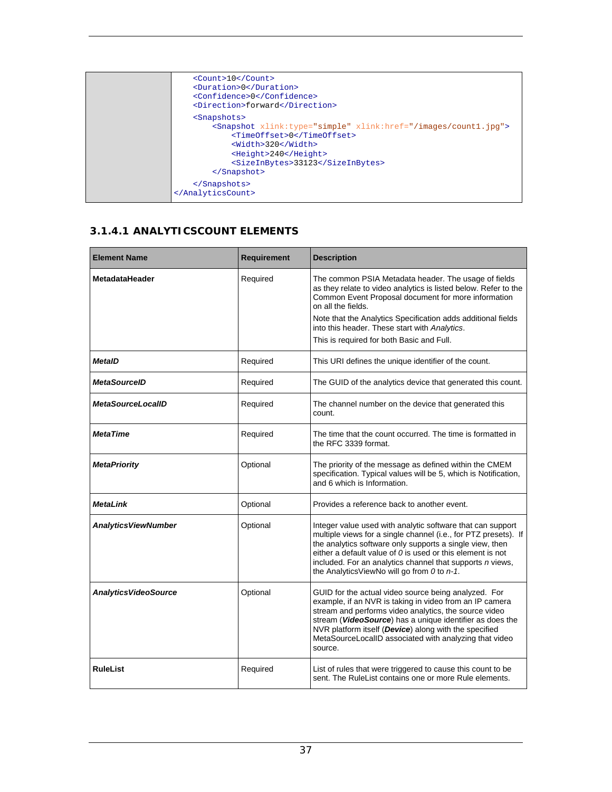| $<$ Count>10<br><duration>0</duration><br><confidence>0</confidence><br><direction>forward</direction>                                                                                                                                                    |
|-----------------------------------------------------------------------------------------------------------------------------------------------------------------------------------------------------------------------------------------------------------|
| <snapshots><br/><math>\gamma</math> &lt; Snapshot xlink: type="simple" xlink: href="/images/count1.jpg"&gt;<br/><timeoffset>0</timeoffset><br/><width>320</width><br/><height>240</height><br/><sizeinbytes>33123</sizeinbytes><br/><br/></snapshots><br> |

#### **3.1.4.1 ANALYTICSCOUNT ELEMENTS**

| <b>Element Name</b>          | <b>Requirement</b> | <b>Description</b>                                                                                                                                                                                                                                                                                                                                                   |
|------------------------------|--------------------|----------------------------------------------------------------------------------------------------------------------------------------------------------------------------------------------------------------------------------------------------------------------------------------------------------------------------------------------------------------------|
| <b>MetadataHeader</b>        | Required           | The common PSIA Metadata header. The usage of fields<br>as they relate to video analytics is listed below. Refer to the<br>Common Event Proposal document for more information<br>on all the fields.<br>Note that the Analytics Specification adds additional fields<br>into this header. These start with Analytics.<br>This is required for both Basic and Full.   |
| <b>MetaID</b>                | Required           | This URI defines the unique identifier of the count.                                                                                                                                                                                                                                                                                                                 |
| <b>MetaSourceID</b>          | Required           | The GUID of the analytics device that generated this count.                                                                                                                                                                                                                                                                                                          |
| <b>MetaSourceLocalID</b>     | Required           | The channel number on the device that generated this<br>count.                                                                                                                                                                                                                                                                                                       |
| <b>MetaTime</b>              | Required           | The time that the count occurred. The time is formatted in<br>the RFC 3339 format.                                                                                                                                                                                                                                                                                   |
| <b>MetaPriority</b>          | Optional           | The priority of the message as defined within the CMEM<br>specification. Typical values will be 5, which is Notification,<br>and 6 which is Information.                                                                                                                                                                                                             |
| <b>MetaLink</b>              | Optional           | Provides a reference back to another event.                                                                                                                                                                                                                                                                                                                          |
| <b>Analytics ViewNumber</b>  | Optional           | Integer value used with analytic software that can support<br>multiple views for a single channel (i.e., for PTZ presets). If<br>the analytics software only supports a single view, then<br>either a default value of $0$ is used or this element is not<br>included. For an analytics channel that supports n views,<br>the AnalyticsViewNo will go from 0 to n-1. |
| <b>Analytics VideoSource</b> | Optional           | GUID for the actual video source being analyzed. For<br>example, if an NVR is taking in video from an IP camera<br>stream and performs video analytics, the source video<br>stream (VideoSource) has a unique identifier as does the<br>NVR platform itself (Device) along with the specified<br>MetaSourceLocalID associated with analyzing that video<br>source.   |
| <b>RuleList</b>              | Required           | List of rules that were triggered to cause this count to be<br>sent. The RuleList contains one or more Rule elements.                                                                                                                                                                                                                                                |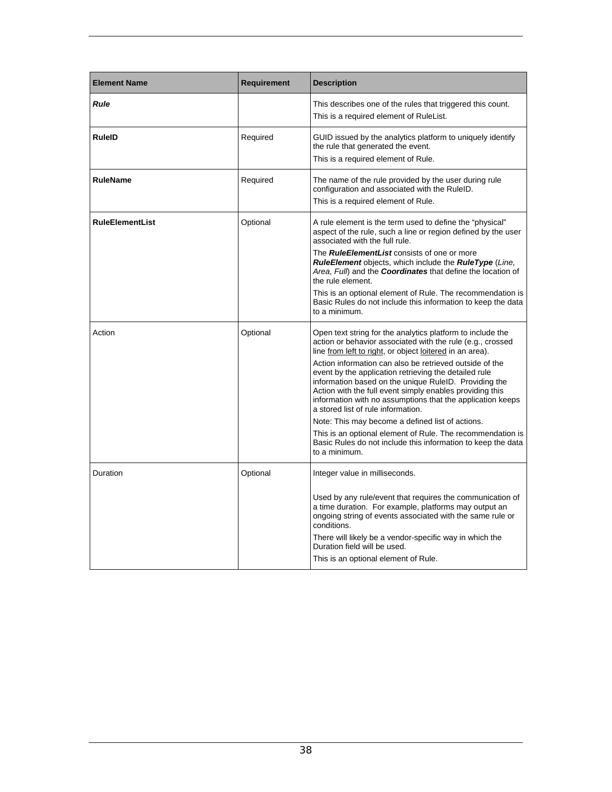| <b>Element Name</b>    | <b>Requirement</b> | <b>Description</b>                                                                                                                                                                                                                                                                                                                                                                                                                                                                                                                                                                                                                                                                                                                   |
|------------------------|--------------------|--------------------------------------------------------------------------------------------------------------------------------------------------------------------------------------------------------------------------------------------------------------------------------------------------------------------------------------------------------------------------------------------------------------------------------------------------------------------------------------------------------------------------------------------------------------------------------------------------------------------------------------------------------------------------------------------------------------------------------------|
| <b>Rule</b>            |                    | This describes one of the rules that triggered this count.<br>This is a required element of RuleList.                                                                                                                                                                                                                                                                                                                                                                                                                                                                                                                                                                                                                                |
| <b>RuleID</b>          | Required           | GUID issued by the analytics platform to uniquely identify<br>the rule that generated the event.<br>This is a required element of Rule.                                                                                                                                                                                                                                                                                                                                                                                                                                                                                                                                                                                              |
| <b>RuleName</b>        | Required           | The name of the rule provided by the user during rule<br>configuration and associated with the RuleID.<br>This is a required element of Rule.                                                                                                                                                                                                                                                                                                                                                                                                                                                                                                                                                                                        |
| <b>RuleElementList</b> | Optional           | A rule element is the term used to define the "physical"<br>aspect of the rule, such a line or region defined by the user<br>associated with the full rule.<br>The <b>RuleElementList</b> consists of one or more<br><b>RuleElement</b> objects, which include the <b>RuleType</b> (Line,<br>Area, Full) and the <b>Coordinates</b> that define the location of<br>the rule element.                                                                                                                                                                                                                                                                                                                                                 |
|                        |                    | This is an optional element of Rule. The recommendation is<br>Basic Rules do not include this information to keep the data<br>to a minimum.                                                                                                                                                                                                                                                                                                                                                                                                                                                                                                                                                                                          |
| Action                 | Optional           | Open text string for the analytics platform to include the<br>action or behavior associated with the rule (e.g., crossed<br>line from left to right, or object loitered in an area).<br>Action information can also be retrieved outside of the<br>event by the application retrieving the detailed rule<br>information based on the unique RuleID. Providing the<br>Action with the full event simply enables providing this<br>information with no assumptions that the application keeps<br>a stored list of rule information.<br>Note: This may become a defined list of actions.<br>This is an optional element of Rule. The recommendation is<br>Basic Rules do not include this information to keep the data<br>to a minimum. |
| Duration               | Optional           | Integer value in milliseconds.<br>Used by any rule/event that requires the communication of<br>a time duration. For example, platforms may output an<br>ongoing string of events associated with the same rule or<br>conditions.<br>There will likely be a vendor-specific way in which the<br>Duration field will be used.<br>This is an optional element of Rule.                                                                                                                                                                                                                                                                                                                                                                  |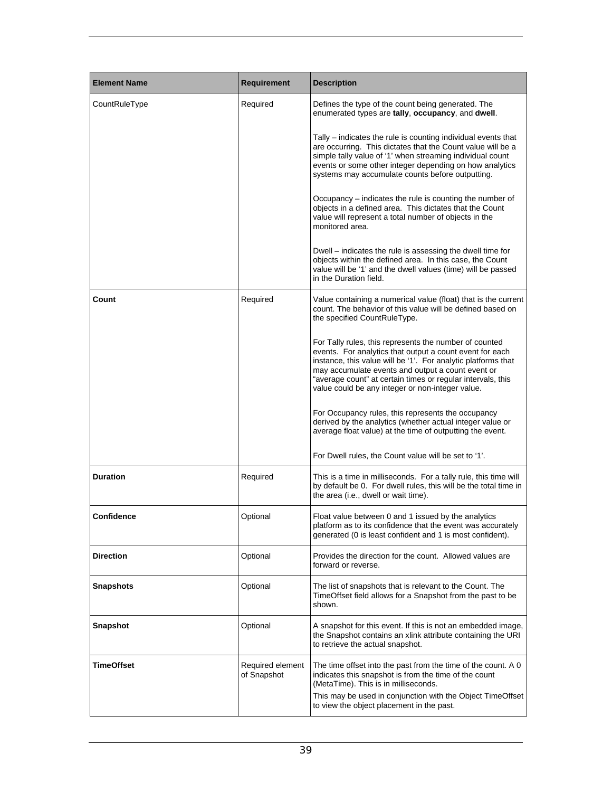| <b>Element Name</b> | <b>Requirement</b>              | <b>Description</b>                                                                                                                                                                                                                                                                                                                                          |
|---------------------|---------------------------------|-------------------------------------------------------------------------------------------------------------------------------------------------------------------------------------------------------------------------------------------------------------------------------------------------------------------------------------------------------------|
| CountRuleType       | Required                        | Defines the type of the count being generated. The<br>enumerated types are tally, occupancy, and dwell.                                                                                                                                                                                                                                                     |
|                     |                                 | Tally – indicates the rule is counting individual events that<br>are occurring. This dictates that the Count value will be a<br>simple tally value of '1' when streaming individual count<br>events or some other integer depending on how analytics<br>systems may accumulate counts before outputting.                                                    |
|                     |                                 | Occupancy – indicates the rule is counting the number of<br>objects in a defined area. This dictates that the Count<br>value will represent a total number of objects in the<br>monitored area.                                                                                                                                                             |
|                     |                                 | Dwell – indicates the rule is assessing the dwell time for<br>objects within the defined area. In this case, the Count<br>value will be '1' and the dwell values (time) will be passed<br>in the Duration field.                                                                                                                                            |
| Count               | Required                        | Value containing a numerical value (float) that is the current<br>count. The behavior of this value will be defined based on<br>the specified CountRuleType.                                                                                                                                                                                                |
|                     |                                 | For Tally rules, this represents the number of counted<br>events. For analytics that output a count event for each<br>instance, this value will be '1'. For analytic platforms that<br>may accumulate events and output a count event or<br>"average count" at certain times or regular intervals, this<br>value could be any integer or non-integer value. |
|                     |                                 | For Occupancy rules, this represents the occupancy<br>derived by the analytics (whether actual integer value or<br>average float value) at the time of outputting the event.                                                                                                                                                                                |
|                     |                                 | For Dwell rules, the Count value will be set to '1'.                                                                                                                                                                                                                                                                                                        |
| <b>Duration</b>     | Required                        | This is a time in milliseconds. For a tally rule, this time will<br>by default be 0. For dwell rules, this will be the total time in<br>the area (i.e., dwell or wait time).                                                                                                                                                                                |
| Confidence          | Optional                        | Float value between 0 and 1 issued by the analytics<br>platform as to its confidence that the event was accurately<br>generated (0 is least confident and 1 is most confident).                                                                                                                                                                             |
| Direction           | Optional                        | Provides the direction for the count. Allowed values are<br>forward or reverse.                                                                                                                                                                                                                                                                             |
| <b>Snapshots</b>    | Optional                        | The list of snapshots that is relevant to the Count. The<br>TimeOffset field allows for a Snapshot from the past to be<br>shown.                                                                                                                                                                                                                            |
| <b>Snapshot</b>     | Optional                        | A snapshot for this event. If this is not an embedded image,<br>the Snapshot contains an xlink attribute containing the URI<br>to retrieve the actual snapshot.                                                                                                                                                                                             |
| TimeOffset          | Required element<br>of Snapshot | The time offset into the past from the time of the count. A 0<br>indicates this snapshot is from the time of the count<br>(MetaTime). This is in milliseconds.<br>This may be used in conjunction with the Object TimeOffset<br>to view the object placement in the past.                                                                                   |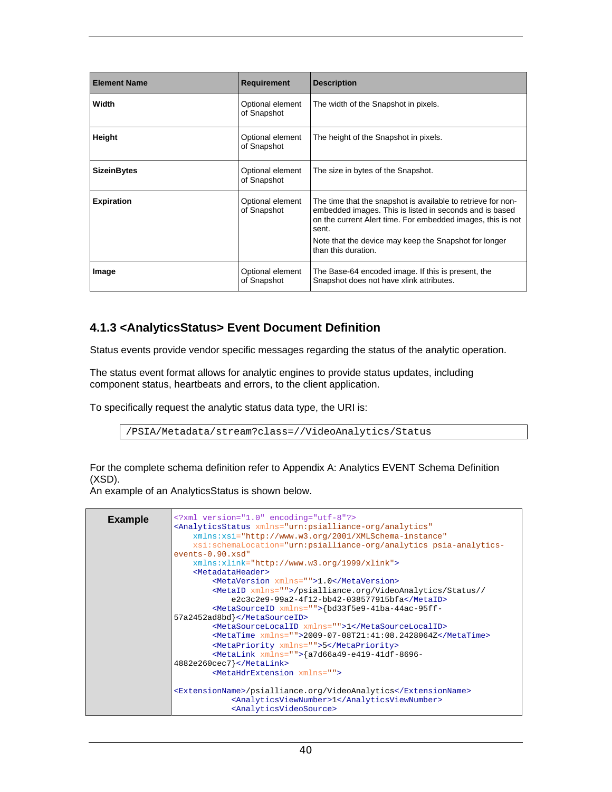| <b>Element Name</b> | <b>Requirement</b>              | <b>Description</b>                                                                                                                                                                                                                                                              |
|---------------------|---------------------------------|---------------------------------------------------------------------------------------------------------------------------------------------------------------------------------------------------------------------------------------------------------------------------------|
| Width               | Optional element<br>of Snapshot | The width of the Snapshot in pixels.                                                                                                                                                                                                                                            |
| Height              | Optional element<br>of Snapshot | The height of the Snapshot in pixels.                                                                                                                                                                                                                                           |
| <b>SizeinBytes</b>  | Optional element<br>of Snapshot | The size in bytes of the Snapshot.                                                                                                                                                                                                                                              |
| <b>Expiration</b>   | Optional element<br>of Snapshot | The time that the snapshot is available to retrieve for non-<br>embedded images. This is listed in seconds and is based<br>on the current Alert time. For embedded images, this is not<br>sent.<br>Note that the device may keep the Snapshot for longer<br>than this duration. |
| Image               | Optional element<br>of Snapshot | The Base-64 encoded image. If this is present, the<br>Snapshot does not have xlink attributes.                                                                                                                                                                                  |

#### **4.1.3 <AnalyticsStatus> Event Document Definition**

Status events provide vendor specific messages regarding the status of the analytic operation.

The status event format allows for analytic engines to provide status updates, including component status, heartbeats and errors, to the client application.

To specifically request the analytic status data type, the URI is:

/PSIA/Metadata/stream?class=//VideoAnalytics/Status

For the complete schema definition refer to Appendix A: Analytics EVENT Schema Definition (XSD).

An example of an AnalyticsStatus is shown below.

| xml version="1.0" encoding="utf-8"?<br><analyticsstatus <br="" xmlns="urn:psialliance-org/analytics">xmlns:xsi="http://www.w3.org/2001/XMLSchema-instance"<br/>xsi:schemaLocation="urn:psialliance-org/analytics psia-analytics-</analyticsstatus> |
|----------------------------------------------------------------------------------------------------------------------------------------------------------------------------------------------------------------------------------------------------|
| $events-0.90.xsd"$                                                                                                                                                                                                                                 |
| $xmlns:xlink="http://www.w3.org/1999/xlink"$                                                                                                                                                                                                       |
| <metadataheader></metadataheader>                                                                                                                                                                                                                  |
| <metaversion xmlns="">1.0</metaversion>                                                                                                                                                                                                            |
| <metaid xmlns="">/psialliance.org/VideoAnalytics/Status//</metaid>                                                                                                                                                                                 |
| e2c3c2e9-99a2-4f12-bb42-038577915bfa                                                                                                                                                                                                               |
| <metasourceid xmlns="">{bd33f5e9-41ba-44ac-95ff-</metasourceid>                                                                                                                                                                                    |
| 57a2452ad8bd}                                                                                                                                                                                                                                      |
| <metasourcelocalid xmlns="">1</metasourcelocalid><br><metatime <math="">xmlns = "-&gt;2009-07-08T21:41:08.2428064Z/MetaTime&gt;</metatime>                                                                                                         |
| <metapriority xmlns="">5</metapriority>                                                                                                                                                                                                            |
| <metalink xmlns="">{a7d66a49-e419-41df-8696-</metalink>                                                                                                                                                                                            |
| $4882e260cec7$                                                                                                                                                                                                                                     |
| <metahdrextension xmlns=""></metahdrextension>                                                                                                                                                                                                     |
|                                                                                                                                                                                                                                                    |
| <extensionname>/psialliance.org/VideoAnalytics</extensionname>                                                                                                                                                                                     |
| <analyticsviewnumber>1</analyticsviewnumber>                                                                                                                                                                                                       |
| <analyticsvideosource></analyticsvideosource>                                                                                                                                                                                                      |
|                                                                                                                                                                                                                                                    |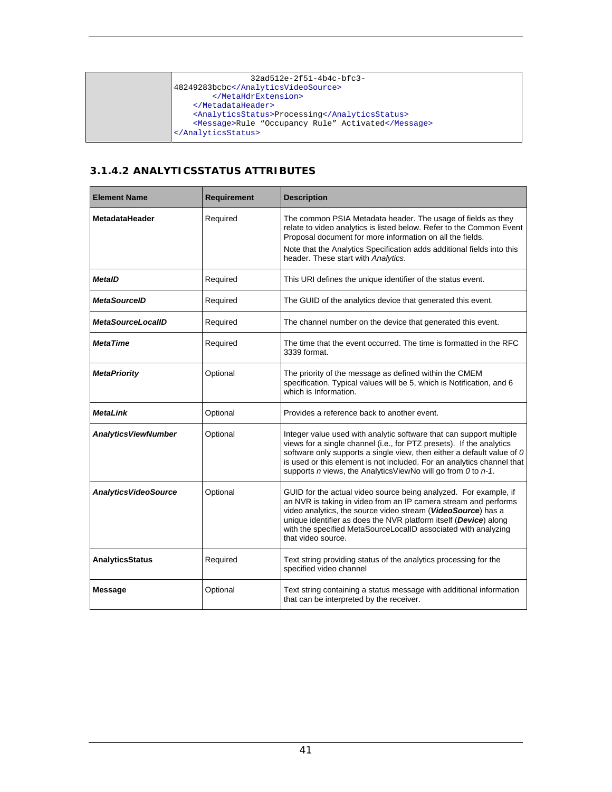| $32a d512e - 2f51 - 4b4c - bfc3 -$                 |
|----------------------------------------------------|
| 48249283bcbc                                       |
|                                                    |
|                                                    |
| <analyticsstatus>Processing</analyticsstatus>      |
| <message>Rule "Occupancy Rule" Activated</message> |
|                                                    |
|                                                    |

#### **3.1.4.2 ANALYTICSSTATUS ATTRIBUTES**

| <b>Element Name</b>          | <b>Requirement</b> | <b>Description</b>                                                                                                                                                                                                                                                                                                                                              |
|------------------------------|--------------------|-----------------------------------------------------------------------------------------------------------------------------------------------------------------------------------------------------------------------------------------------------------------------------------------------------------------------------------------------------------------|
| MetadataHeader               | Required           | The common PSIA Metadata header. The usage of fields as they<br>relate to video analytics is listed below. Refer to the Common Event<br>Proposal document for more information on all the fields.                                                                                                                                                               |
|                              |                    | Note that the Analytics Specification adds additional fields into this<br>header. These start with Analytics.                                                                                                                                                                                                                                                   |
| <b>MetaID</b>                | Required           | This URI defines the unique identifier of the status event.                                                                                                                                                                                                                                                                                                     |
| <b>MetaSourceID</b>          | Required           | The GUID of the analytics device that generated this event.                                                                                                                                                                                                                                                                                                     |
| <b>MetaSourceLocalID</b>     | Required           | The channel number on the device that generated this event.                                                                                                                                                                                                                                                                                                     |
| <b>MetaTime</b>              | Required           | The time that the event occurred. The time is formatted in the RFC<br>3339 format.                                                                                                                                                                                                                                                                              |
| <b>MetaPriority</b>          | Optional           | The priority of the message as defined within the CMEM<br>specification. Typical values will be 5, which is Notification, and 6<br>which is Information.                                                                                                                                                                                                        |
| <b>MetaLink</b>              | Optional           | Provides a reference back to another event.                                                                                                                                                                                                                                                                                                                     |
| <b>Analytics ViewNumber</b>  | Optional           | Integer value used with analytic software that can support multiple<br>views for a single channel (i.e., for PTZ presets). If the analytics<br>software only supports a single view, then either a default value of 0<br>is used or this element is not included. For an analytics channel that<br>supports n views, the AnalyticsViewNo will go from 0 to n-1. |
| <b>Analytics VideoSource</b> | Optional           | GUID for the actual video source being analyzed. For example, if<br>an NVR is taking in video from an IP camera stream and performs<br>video analytics, the source video stream (VideoSource) has a<br>unique identifier as does the NVR platform itself (Device) along<br>with the specified MetaSourceLocalID associated with analyzing<br>that video source. |
| <b>AnalyticsStatus</b>       | Required           | Text string providing status of the analytics processing for the<br>specified video channel                                                                                                                                                                                                                                                                     |
| <b>Message</b>               | Optional           | Text string containing a status message with additional information<br>that can be interpreted by the receiver.                                                                                                                                                                                                                                                 |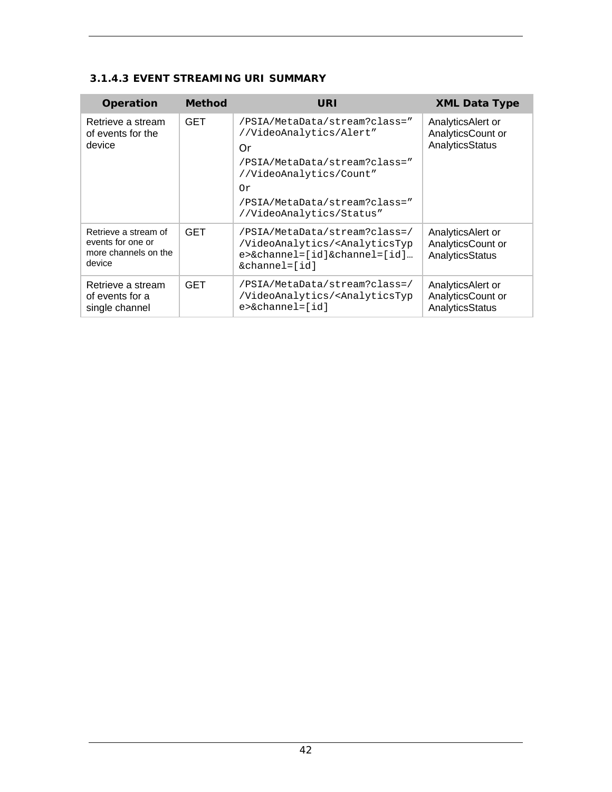#### **3.1.4.3 EVENT STREAMING URI SUMMARY**

| <b>Operation</b>                                                            | <b>Method</b> | URI                                                                                                                                                                                           | <b>XML Data Type</b>                                      |
|-----------------------------------------------------------------------------|---------------|-----------------------------------------------------------------------------------------------------------------------------------------------------------------------------------------------|-----------------------------------------------------------|
| Retrieve a stream<br>of events for the<br>device                            | <b>GET</b>    | /PSIA/MetaData/stream?class="<br>//VideoAnalytics/Alert"<br>Or<br>/PSIA/MetaData/stream?class="<br>//VideoAnalytics/Count"<br>Or<br>/PSIA/MetaData/stream?class="<br>//VideoAnalytics/Status" | AnalyticsAlert or<br>AnalyticsCount or<br>AnalyticsStatus |
| Retrieve a stream of<br>events for one or<br>more channels on the<br>device | <b>GET</b>    | /PSIA/MetaData/stream?class=/<br>/VideoAnalytics/ <analyticstyp<br><math>e</math>&gt;&amp;channel=[id]&amp;channel=[id]<br/><math>\&amp;</math>channel=<math>id</math>]</analyticstyp<br>     | AnalyticsAlert or<br>AnalyticsCount or<br>AnalyticsStatus |
| Retrieve a stream<br>of events for a<br>single channel                      | <b>GET</b>    | /PSIA/MetaData/stream?class=/<br>/VideoAnalytics/ <analyticstyp<br>e&gt;&amp;channel=[id]</analyticstyp<br>                                                                                   | AnalyticsAlert or<br>AnalyticsCount or<br>AnalyticsStatus |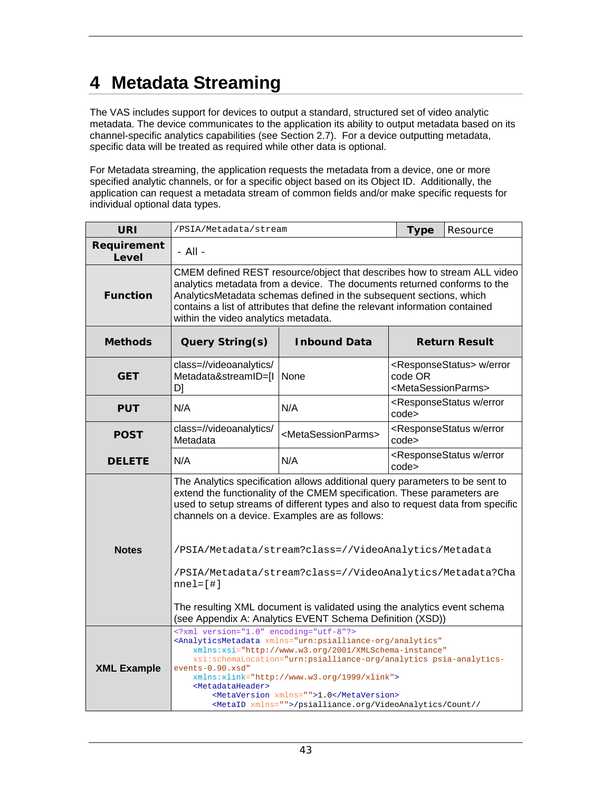## **4 Metadata Streaming**

The VAS includes support for devices to output a standard, structured set of video analytic metadata. The device communicates to the application its ability to output metadata based on its channel-specific analytics capabilities (see Section 2.7). For a device outputting metadata, specific data will be treated as required while other data is optional.

For Metadata streaming, the application requests the metadata from a device, one or more specified analytic channels, or for a specific object based on its Object ID. Additionally, the application can request a metadata stream of common fields and/or make specific requests for individual optional data types.

| <b>URI</b>           | /PSIA/Metadata/stream                                                                                                                                                                                                                                                                                                                                                                                                                                                                                         | <b>Type</b>                                 | Resource                                         |                                                        |  |
|----------------------|---------------------------------------------------------------------------------------------------------------------------------------------------------------------------------------------------------------------------------------------------------------------------------------------------------------------------------------------------------------------------------------------------------------------------------------------------------------------------------------------------------------|---------------------------------------------|--------------------------------------------------|--------------------------------------------------------|--|
| Requirement<br>Level | - All -                                                                                                                                                                                                                                                                                                                                                                                                                                                                                                       |                                             |                                                  |                                                        |  |
| <b>Function</b>      | CMEM defined REST resource/object that describes how to stream ALL video<br>analytics metadata from a device. The documents returned conforms to the<br>AnalyticsMetadata schemas defined in the subsequent sections, which<br>contains a list of attributes that define the relevant information contained<br>within the video analytics metadata.                                                                                                                                                           |                                             |                                                  |                                                        |  |
| <b>Methods</b>       | Query String(s)                                                                                                                                                                                                                                                                                                                                                                                                                                                                                               | <b>Inbound Data</b><br><b>Return Result</b> |                                                  |                                                        |  |
| <b>GET</b>           | class=//videoanalytics/<br>Metadata&streamID=[I<br>D]                                                                                                                                                                                                                                                                                                                                                                                                                                                         | None                                        | code OR<br><metasessionparms></metasessionparms> | <responsestatus> w/error</responsestatus>              |  |
| <b>PUT</b>           | <responsestatus error<br="" w="">N/A<br/>N/A<br/>code&gt;</responsestatus>                                                                                                                                                                                                                                                                                                                                                                                                                                    |                                             |                                                  |                                                        |  |
| <b>POST</b>          | class=//videoanalytics/<br>Metadata                                                                                                                                                                                                                                                                                                                                                                                                                                                                           | <metasessionparms></metasessionparms>       | code>                                            | <responsestatus error<="" th="" w=""></responsestatus> |  |
| <b>DELETE</b>        | N/A                                                                                                                                                                                                                                                                                                                                                                                                                                                                                                           | N/A                                         | code>                                            | <responsestatus error<="" th="" w=""></responsestatus> |  |
| <b>Notes</b>         | The Analytics specification allows additional query parameters to be sent to<br>extend the functionality of the CMEM specification. These parameters are<br>used to setup streams of different types and also to request data from specific<br>channels on a device. Examples are as follows:<br>/PSIA/Metadata/stream?class=//VideoAnalytics/Metadata<br>/PSIA/Metadata/stream?class=//VideoAnalytics/Metadata?Cha<br>$nnel=[#]$<br>The resulting XML document is validated using the analytics event schema |                                             |                                                  |                                                        |  |
|                      | (see Appendix A: Analytics EVENT Schema Definition (XSD))                                                                                                                                                                                                                                                                                                                                                                                                                                                     |                                             |                                                  |                                                        |  |
| <b>XML Example</b>   | xml version="1.0" encoding="utf-8"?<br><analyticsmetadata <br="" xmlns="urn:psialliance-org/analytics">xmlns:xsi="http://www.w3.org/2001/XMLSchema-instance"<br/>xsi:schemaLocation="urn:psialliance-org/analytics psia-analytics-<br/>events-0.90.xsd"<br/>xmlns:xlink="http://www.w3.org/1999/xlink"&gt;<br/><metadataheader><br/><metaversion xmlns="">1.0</metaversion><br/><metaid xmlns="">/psialliance.org/VideoAnalytics/Count//</metaid></metadataheader></analyticsmetadata>                        |                                             |                                                  |                                                        |  |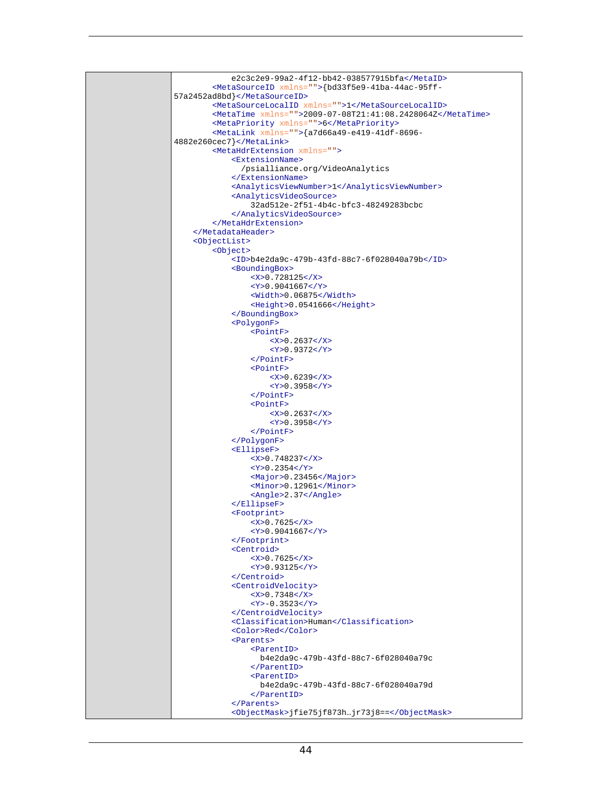```
 e2c3c2e9-99a2-4f12-bb42-038577915bfa</MetaID>
         <MetaSourceID xmlns="">{bd33f5e9-41ba-44ac-95ff-
57a2452ad8bd}</MetaSourceID>
         <MetaSourceLocalID xmlns="">1</MetaSourceLocalID>
         <MetaTime xmlns="">2009-07-08T21:41:08.2428064Z</MetaTime>
         <MetaPriority xmlns="">6</MetaPriority>
         <MetaLink xmlns="">{a7d66a49-e419-41df-8696-
4882e260cec7}</MetaLink>
         <MetaHdrExtension xmlns="">
             <ExtensionName> 
                /psialliance.org/VideoAnalytics 
              </ExtensionName>
              <AnalyticsViewNumber>1</AnalyticsViewNumber>
              <AnalyticsVideoSource>
                  32ad512e-2f51-4b4c-bfc3-48249283bcbc 
              </AnalyticsVideoSource>
         </MetaHdrExtension>
     </MetadataHeader>
     <ObjectList>
         <Object>
              <ID>b4e2da9c-479b-43fd-88c7-6f028040a79b</ID> 
              <BoundingBox>
                  <X>0.728125</X>
                  <Y>0.9041667</Y>
                  <Width>0.06875</Width>
                  <Height>0.0541666</Height>
              </BoundingBox>
              <PolygonF>
                  <PointF>
                     <X>0.2637</X>
                     <Y>0.9372</Y>
                  </PointF>
                 \epsilonPointF>
                     <X>0.6239</X>
                     <Y>0.3958</Y>
                  </PointF>
                  <PointF>
                     <X>0.2637</X>
                     <Y>0.3958</Y>
                  </PointF>
              </PolygonF>
              <EllipseF>
                  <X>0.748237</X>
                 <Y>0.2354</Y>
                  <Major>0.23456</Major>
                  <Minor>0.12961</Minor>
                  <Angle>2.37</Angle>
              </EllipseF>
              <Footprint>
                 <X>0.7625</X>
                  <Y>0.9041667</Y>
              </Footprint>
              <Centroid>
                 <X>0.7625</X>
                  <Y>0.93125</Y>
              </Centroid>
              <CentroidVelocity>
                 <X>0.7348</X>
                  <Y>-0.3523</Y>
              </CentroidVelocity>
              <Classification>Human</Classification> 
              <Color>Red</Color>
             <Parents>
                  <ParentID> 
                    b4e2da9c-479b-43fd-88c7-6f028040a79c 
                  </ParentID>
                  <ParentID> 
                    b4e2da9c-479b-43fd-88c7-6f028040a79d 
                  </ParentID>
              </Parents>
              <ObjectMask>jfie75jf873h…jr73j8==</ObjectMask>
```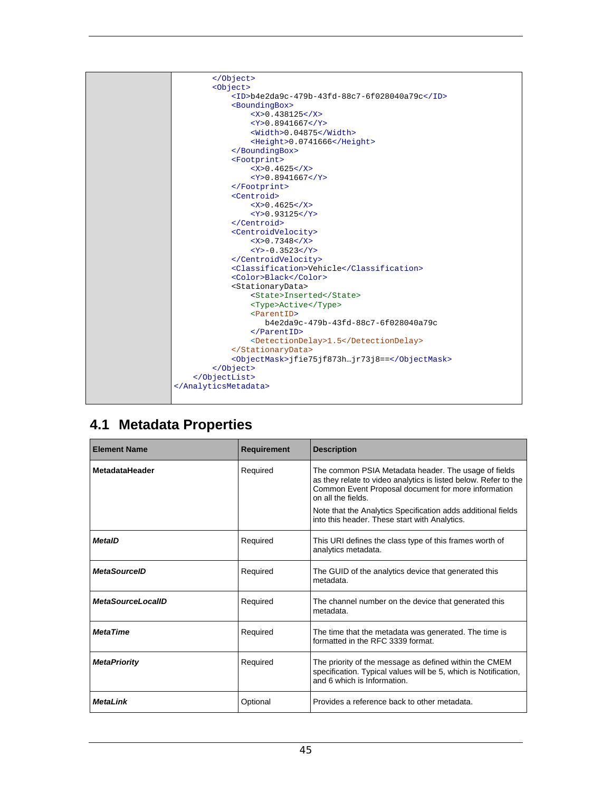

### **4.1 Metadata Properties**

| <b>Element Name</b>      | <b>Requirement</b> | <b>Description</b>                                                                                                                                                                                                                                                                                                    |
|--------------------------|--------------------|-----------------------------------------------------------------------------------------------------------------------------------------------------------------------------------------------------------------------------------------------------------------------------------------------------------------------|
| <b>MetadataHeader</b>    | Required           | The common PSIA Metadata header. The usage of fields<br>as they relate to video analytics is listed below. Refer to the<br>Common Event Proposal document for more information<br>on all the fields.<br>Note that the Analytics Specification adds additional fields<br>into this header. These start with Analytics. |
| <b>MetaID</b>            | Required           | This URI defines the class type of this frames worth of<br>analytics metadata.                                                                                                                                                                                                                                        |
| <b>MetaSourceID</b>      | Required           | The GUID of the analytics device that generated this<br>metadata.                                                                                                                                                                                                                                                     |
| <b>MetaSourceLocalID</b> | Required           | The channel number on the device that generated this<br>metadata.                                                                                                                                                                                                                                                     |
| <b>MetaTime</b>          | Required           | The time that the metadata was generated. The time is<br>formatted in the RFC 3339 format.                                                                                                                                                                                                                            |
| <b>MetaPriority</b>      | Required           | The priority of the message as defined within the CMEM<br>specification. Typical values will be 5, which is Notification,<br>and 6 which is Information.                                                                                                                                                              |
| <b>MetaLink</b>          | Optional           | Provides a reference back to other metadata.                                                                                                                                                                                                                                                                          |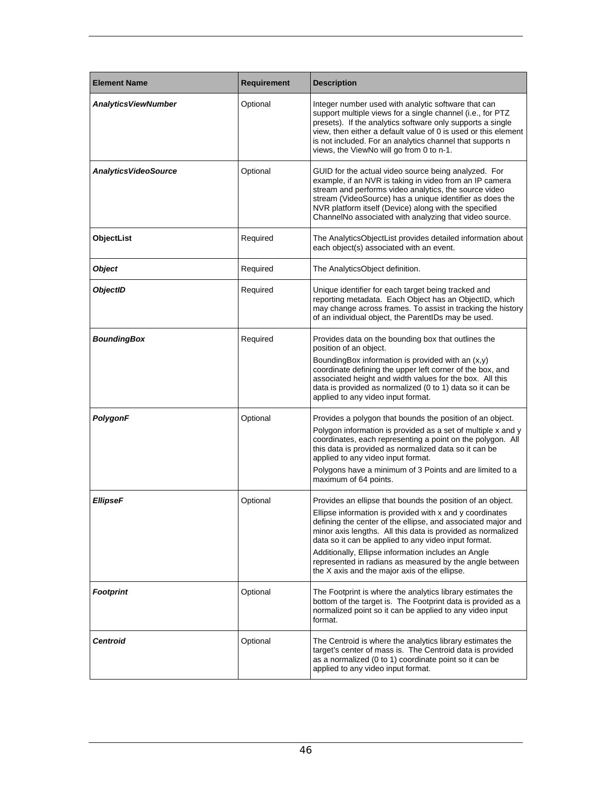| <b>Element Name</b>          | <b>Requirement</b> | <b>Description</b>                                                                                                                                                                                                                                                                                                                                                                                                                                                               |
|------------------------------|--------------------|----------------------------------------------------------------------------------------------------------------------------------------------------------------------------------------------------------------------------------------------------------------------------------------------------------------------------------------------------------------------------------------------------------------------------------------------------------------------------------|
| <b>Analytics ViewNumber</b>  | Optional           | Integer number used with analytic software that can<br>support multiple views for a single channel (i.e., for PTZ<br>presets). If the analytics software only supports a single<br>view, then either a default value of 0 is used or this element<br>is not included. For an analytics channel that supports n<br>views, the ViewNo will go from 0 to n-1.                                                                                                                       |
| <b>Analytics VideoSource</b> | Optional           | GUID for the actual video source being analyzed. For<br>example, if an NVR is taking in video from an IP camera<br>stream and performs video analytics, the source video<br>stream (VideoSource) has a unique identifier as does the<br>NVR platform itself (Device) along with the specified<br>ChannelNo associated with analyzing that video source.                                                                                                                          |
| ObjectList                   | Required           | The AnalyticsObjectList provides detailed information about<br>each object(s) associated with an event.                                                                                                                                                                                                                                                                                                                                                                          |
| <b>Object</b>                | Required           | The AnalyticsObject definition.                                                                                                                                                                                                                                                                                                                                                                                                                                                  |
| <b>ObjectID</b>              | Required           | Unique identifier for each target being tracked and<br>reporting metadata. Each Object has an ObjectID, which<br>may change across frames. To assist in tracking the history<br>of an individual object, the ParentIDs may be used.                                                                                                                                                                                                                                              |
| BoundingBox                  | Required           | Provides data on the bounding box that outlines the<br>position of an object.<br>Bounding Box information is provided with an $(x, y)$<br>coordinate defining the upper left corner of the box, and<br>associated height and width values for the box. All this<br>data is provided as normalized (0 to 1) data so it can be<br>applied to any video input format.                                                                                                               |
| PolygonF                     | Optional           | Provides a polygon that bounds the position of an object.<br>Polygon information is provided as a set of multiple x and y<br>coordinates, each representing a point on the polygon. All<br>this data is provided as normalized data so it can be<br>applied to any video input format.<br>Polygons have a minimum of 3 Points and are limited to a<br>maximum of 64 points.                                                                                                      |
| <b>EllipseF</b>              | Optional           | Provides an ellipse that bounds the position of an object.<br>Ellipse information is provided with x and y coordinates<br>defining the center of the ellipse, and associated major and<br>minor axis lengths. All this data is provided as normalized<br>data so it can be applied to any video input format.<br>Additionally, Ellipse information includes an Angle<br>represented in radians as measured by the angle between<br>the X axis and the major axis of the ellipse. |
| <b>Footprint</b>             | Optional           | The Footprint is where the analytics library estimates the<br>bottom of the target is. The Footprint data is provided as a<br>normalized point so it can be applied to any video input<br>format.                                                                                                                                                                                                                                                                                |
| <b>Centroid</b>              | Optional           | The Centroid is where the analytics library estimates the<br>target's center of mass is. The Centroid data is provided<br>as a normalized (0 to 1) coordinate point so it can be<br>applied to any video input format.                                                                                                                                                                                                                                                           |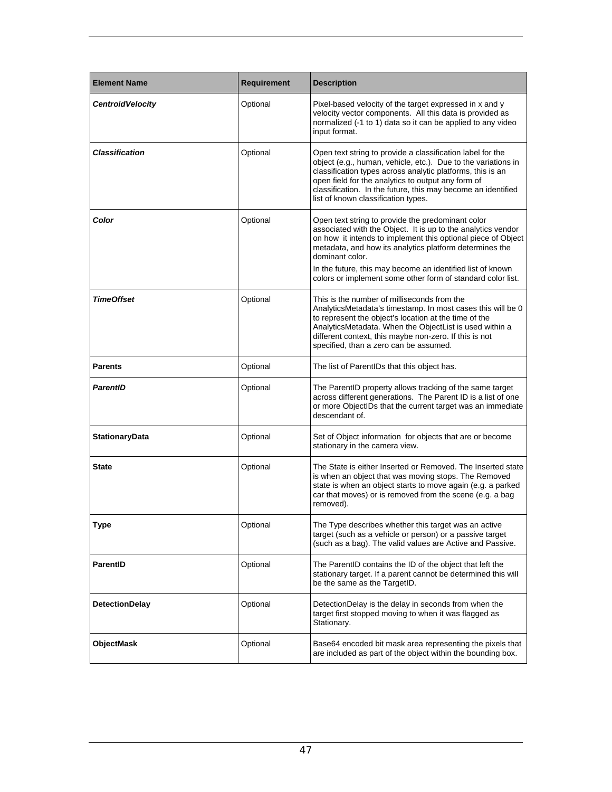| <b>Element Name</b>      | Requirement | <b>Description</b>                                                                                                                                                                                                                                                                                                                                                                           |  |
|--------------------------|-------------|----------------------------------------------------------------------------------------------------------------------------------------------------------------------------------------------------------------------------------------------------------------------------------------------------------------------------------------------------------------------------------------------|--|
| <b>Centroid Velocity</b> | Optional    | Pixel-based velocity of the target expressed in x and y<br>velocity vector components. All this data is provided as<br>normalized (-1 to 1) data so it can be applied to any video<br>input format.                                                                                                                                                                                          |  |
| Classification           | Optional    | Open text string to provide a classification label for the<br>object (e.g., human, vehicle, etc.). Due to the variations in<br>classification types across analytic platforms, this is an<br>open field for the analytics to output any form of<br>classification. In the future, this may become an identified<br>list of known classification types.                                       |  |
| Color                    | Optional    | Open text string to provide the predominant color<br>associated with the Object. It is up to the analytics vendor<br>on how it intends to implement this optional piece of Object<br>metadata, and how its analytics platform determines the<br>dominant color.<br>In the future, this may become an identified list of known<br>colors or implement some other form of standard color list. |  |
| <b>TimeOffset</b>        | Optional    | This is the number of milliseconds from the<br>AnalyticsMetadata's timestamp. In most cases this will be 0<br>to represent the object's location at the time of the<br>AnalyticsMetadata. When the ObjectList is used within a<br>different context, this maybe non-zero. If this is not<br>specified, than a zero can be assumed.                                                           |  |
| <b>Parents</b>           | Optional    | The list of ParentIDs that this object has.                                                                                                                                                                                                                                                                                                                                                  |  |
| <b>ParentID</b>          | Optional    | The ParentID property allows tracking of the same target<br>across different generations. The Parent ID is a list of one<br>or more ObjectIDs that the current target was an immediate<br>descendant of.                                                                                                                                                                                     |  |
| <b>StationaryData</b>    | Optional    | Set of Object information for objects that are or become<br>stationary in the camera view.                                                                                                                                                                                                                                                                                                   |  |
| State                    | Optional    | The State is either Inserted or Removed. The Inserted state<br>is when an object that was moving stops. The Removed<br>state is when an object starts to move again (e.g. a parked<br>car that moves) or is removed from the scene (e.g. a bag<br>removed).                                                                                                                                  |  |
| Type                     | Optional    | The Type describes whether this target was an active<br>target (such as a vehicle or person) or a passive target<br>(such as a bag). The valid values are Active and Passive.                                                                                                                                                                                                                |  |
| <b>ParentID</b>          | Optional    | The ParentID contains the ID of the object that left the<br>stationary target. If a parent cannot be determined this will<br>be the same as the TargetID.                                                                                                                                                                                                                                    |  |
| <b>DetectionDelay</b>    | Optional    | DetectionDelay is the delay in seconds from when the<br>target first stopped moving to when it was flagged as<br>Stationary.                                                                                                                                                                                                                                                                 |  |
| ObjectMask               | Optional    | Base64 encoded bit mask area representing the pixels that<br>are included as part of the object within the bounding box.                                                                                                                                                                                                                                                                     |  |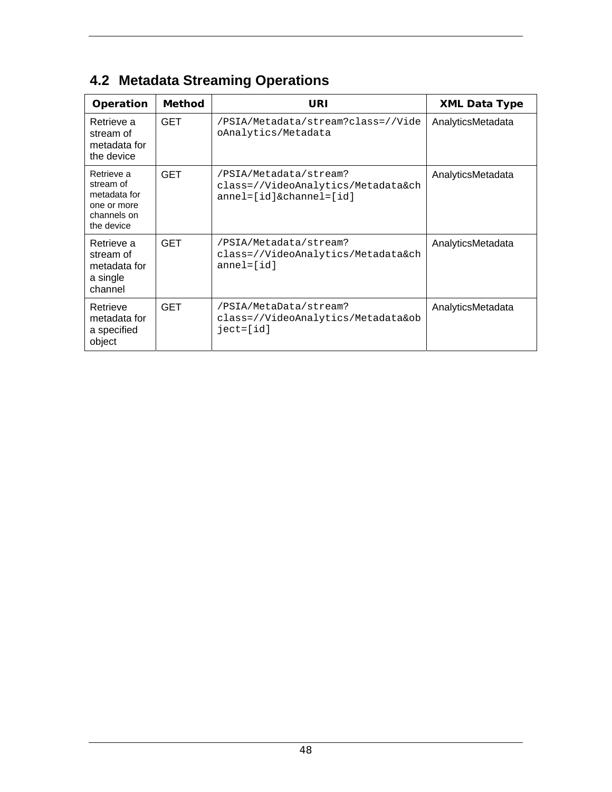| Operation                                                                           | <b>Method</b> | URI                                                                                          | <b>XML Data Type</b> |
|-------------------------------------------------------------------------------------|---------------|----------------------------------------------------------------------------------------------|----------------------|
| Retrieve a<br>stream of<br>metadata for<br>the device                               | <b>GET</b>    | /PSIA/Metadata/stream?class=//Vide<br>oAnalytics/Metadata                                    | AnalyticsMetadata    |
| Retrieve a<br>stream of<br>metadata for<br>one or more<br>channels on<br>the device | <b>GET</b>    | /PSIA/Metadata/stream?<br>class=//VideoAnalytics/Metadata&ch<br>$anne1=[id]$ &channel= $id]$ | AnalyticsMetadata    |
| Retrieve a<br>stream of<br>metadata for<br>a single<br>channel                      | <b>GET</b>    | /PSIA/Metadata/stream?<br>class=//VideoAnalytics/Metadata&ch<br>$anne1=[id]$                 | AnalyticsMetadata    |
| Retrieve<br>metadata for<br>a specified<br>object                                   | <b>GET</b>    | /PSIA/MetaData/stream?<br>class=//VideoAnalytics/Metadata&ob<br>ject=[id]                    | AnalyticsMetadata    |

## **4.2 Metadata Streaming Operations**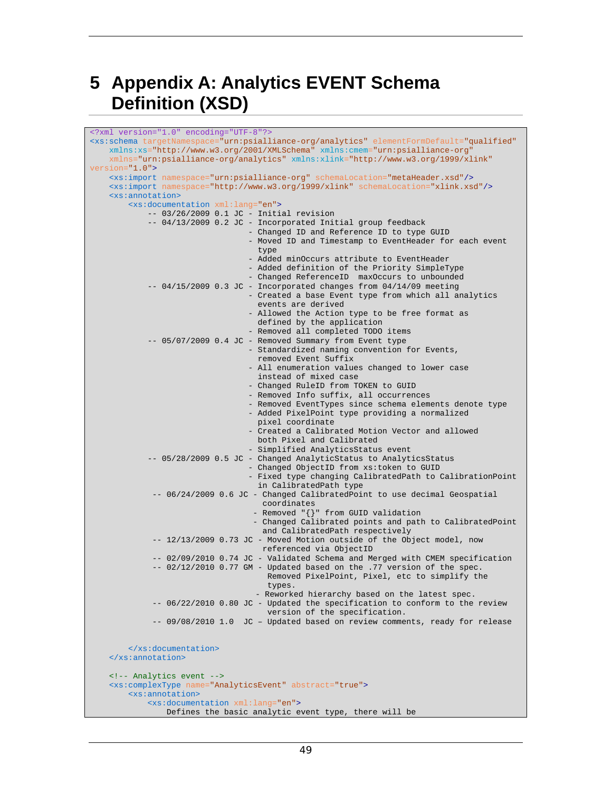## **5 Appendix A: Analytics EVENT Schema Definition (XSD)**

| xml version="1.0" encoding="UTF-8"?                                                                               |  |  |  |  |
|-------------------------------------------------------------------------------------------------------------------|--|--|--|--|
| <xs:schema <="" elementformdefault="qualified" targetnamespace="urn:psialliance-org/analytics" td=""></xs:schema> |  |  |  |  |
| xmlns:xs="http://www.w3.org/2001/XMLSchema" xmlns:cmem="urn:psialliance-org"                                      |  |  |  |  |
| xmlns="urn:psialliance-org/analytics" xmlns:xlink="http://www.w3.org/1999/xlink"                                  |  |  |  |  |
| $version="1.0"$                                                                                                   |  |  |  |  |
| <xs:import namespace="urn:psialliance-org" schemalocation="metaHeader.xsd"></xs:import>                           |  |  |  |  |
| <xs:import namespace="http://www.w3.org/1999/xlink" schemalocation="xlink.xsd"></xs:import>                       |  |  |  |  |
| <xs:annotation></xs:annotation>                                                                                   |  |  |  |  |
| <xs:documentation xml:lang="en"></xs:documentation>                                                               |  |  |  |  |
| $- - 03/26/2009$ 0.1 JC - Initial revision                                                                        |  |  |  |  |
| -- 04/13/2009 0.2 JC - Incorporated Initial group feedback                                                        |  |  |  |  |
| - Changed ID and Reference ID to type GUID                                                                        |  |  |  |  |
| - Moved ID and Timestamp to EventHeader for each event                                                            |  |  |  |  |
| type                                                                                                              |  |  |  |  |
| - Added minOccurs attribute to EventHeader                                                                        |  |  |  |  |
| - Added definition of the Priority SimpleType                                                                     |  |  |  |  |
| - Changed ReferenceID maxOccurs to unbounded                                                                      |  |  |  |  |
| $--$ 04/15/2009 0.3 JC - Incorporated changes from 04/14/09 meeting                                               |  |  |  |  |
| - Created a base Event type from which all analytics                                                              |  |  |  |  |
| events are derived                                                                                                |  |  |  |  |
| - Allowed the Action type to be free format as                                                                    |  |  |  |  |
| defined by the application                                                                                        |  |  |  |  |
| - Removed all completed TODO items                                                                                |  |  |  |  |
| -- 05/07/2009 0.4 JC - Removed Summary from Event type                                                            |  |  |  |  |
| - Standardized naming convention for Events,                                                                      |  |  |  |  |
| removed Event Suffix                                                                                              |  |  |  |  |
| - All enumeration values changed to lower case                                                                    |  |  |  |  |
| instead of mixed case                                                                                             |  |  |  |  |
| - Changed RuleID from TOKEN to GUID                                                                               |  |  |  |  |
| - Removed Info suffix, all occurrences                                                                            |  |  |  |  |
| - Removed EventTypes since schema elements denote type                                                            |  |  |  |  |
| - Added PixelPoint type providing a normalized                                                                    |  |  |  |  |
| pixel coordinate                                                                                                  |  |  |  |  |
| - Created a Calibrated Motion Vector and allowed                                                                  |  |  |  |  |
| both Pixel and Calibrated                                                                                         |  |  |  |  |
| - Simplified AnalyticsStatus event                                                                                |  |  |  |  |
| -- 05/28/2009 0.5 JC - Changed AnalyticStatus to AnalyticsStatus                                                  |  |  |  |  |
| - Changed ObjectID from xs: token to GUID                                                                         |  |  |  |  |
| - Fixed type changing CalibratedPath to CalibrationPoint                                                          |  |  |  |  |
| in CalibratedPath type                                                                                            |  |  |  |  |
| -- 06/24/2009 0.6 JC - Changed CalibratedPoint to use decimal Geospatial                                          |  |  |  |  |
| coordinates                                                                                                       |  |  |  |  |
| - Removed "{}" from GUID validation                                                                               |  |  |  |  |
| - Changed Calibrated points and path to CalibratedPoint                                                           |  |  |  |  |
| and CalibratedPath respectively                                                                                   |  |  |  |  |
| -- 12/13/2009 0.73 JC - Moved Motion outside of the Object model, now                                             |  |  |  |  |
| referenced via ObjectID                                                                                           |  |  |  |  |
| -- 02/09/2010 0.74 JC - Validated Schema and Merged with CMEM specification                                       |  |  |  |  |
| -- 02/12/2010 0.77 GM - Updated based on the .77 version of the spec.                                             |  |  |  |  |
| Removed PixelPoint, Pixel, etc to simplify the                                                                    |  |  |  |  |
| types.                                                                                                            |  |  |  |  |
| - Reworked hierarchy based on the latest spec.                                                                    |  |  |  |  |
| -- 06/22/2010 0.80 JC - Updated the specification to conform to the review                                        |  |  |  |  |
| version of the specification.                                                                                     |  |  |  |  |
| JC - Updated based on review comments, ready for release<br>$-- 09/08/2010$ 1.0                                   |  |  |  |  |
|                                                                                                                   |  |  |  |  |
|                                                                                                                   |  |  |  |  |
|                                                                                                                   |  |  |  |  |
| $\frac{2}{x}$ s: annotation>                                                                                      |  |  |  |  |
|                                                                                                                   |  |  |  |  |
| Analytics event                                                                                                   |  |  |  |  |
| <xs:complextype abstract="true" name="AnalyticsEvent"></xs:complextype>                                           |  |  |  |  |
| <xs:annotation></xs:annotation>                                                                                   |  |  |  |  |
| <xs:documentation xml:lang="en"></xs:documentation>                                                               |  |  |  |  |
| Defines the basic analytic event type, there will be                                                              |  |  |  |  |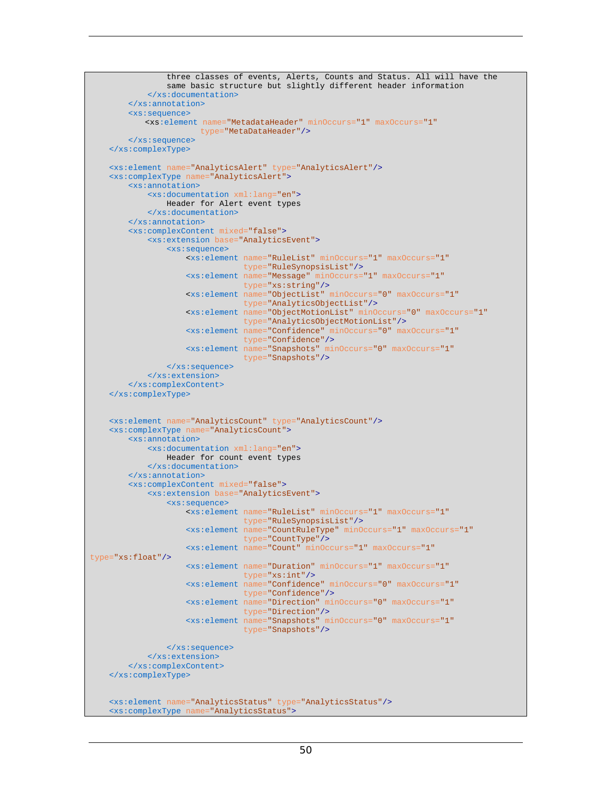```
 three classes of events, Alerts, Counts and Status. All will have the 
                  same basic structure but slightly different header information 
             </xs:documentation>
         </xs:annotation>
         <xs:sequence>
             <xs:element name="MetadataHeader" minOccurs="1" maxOccurs="1" 
                         type="MetaDataHeader"/>
         </xs:sequence>
     </xs:complexType>
     <xs:element name="AnalyticsAlert" type="AnalyticsAlert"/>
     <xs:complexType name="AnalyticsAlert">
         <xs:annotation>
             <xs:documentation xml:lang="en"> 
                Header for Alert event types 
             </xs:documentation>
         </xs:annotation>
         <xs:complexContent mixed="false">
             <xs:extension base="AnalyticsEvent">
                 <xs:sequence> 
                      <xs:element name="RuleList" minOccurs="1" maxOccurs="1" 
                                   type="RuleSynopsisList"/>
                      <xs:element name="Message" minOccurs="1" maxOccurs="1" 
                                  type="xs:string"/>
                      <xs:element name="ObjectList" minOccurs="0" maxOccurs="1" 
                                   type="AnalyticsObjectList"/>
                      <xs:element name="ObjectMotionList" minOccurs="0" maxOccurs="1" 
                                   type="AnalyticsObjectMotionList"/>
                      <xs:element name="Confidence" minOccurs="0" maxOccurs="1" 
                                  type="Confidence"/>
                      <xs:element name="Snapshots" minOccurs="0" maxOccurs="1" 
                                  type="Snapshots"/>
                 </xs:sequence>
             </xs:extension>
         </xs:complexContent>
     </xs:complexType>
     <xs:element name="AnalyticsCount" type="AnalyticsCount"/>
     <xs:complexType name="AnalyticsCount">
         <xs:annotation>
             <xs:documentation xml:lang="en"> 
                 Header for count event types 
             </xs:documentation>
         </xs:annotation>
         <xs:complexContent mixed="false">
             <xs:extension base="AnalyticsEvent">
                  <xs:sequence> 
                      <xs:element name="RuleList" minOccurs="1" maxOccurs="1" 
                                   type="RuleSynopsisList"/>
                      <xs:element name="CountRuleType" minOccurs="1" maxOccurs="1" 
                                  type="CountType"/>
                      <xs:element name="Count" minOccurs="1" maxOccurs="1"
type="xs:float"/>
                      <xs:element name="Duration" minOccurs="1" maxOccurs="1" 
                                   type="xs:int"/>
                      <xs:element name="Confidence" minOccurs="0" maxOccurs="1" 
                                   type="Confidence"/>
                      <xs:element name="Direction" minOccurs="0" maxOccurs="1" 
                                   type="Direction"/> 
                      <xs:element name="Snapshots" minOccurs="0" maxOccurs="1" 
                                  type="Snapshots"/>
                 </xs:sequence>
             </xs:extension>
         </xs:complexContent>
     </xs:complexType>
     <xs:element name="AnalyticsStatus" type="AnalyticsStatus"/>
     <xs:complexType name="AnalyticsStatus">
```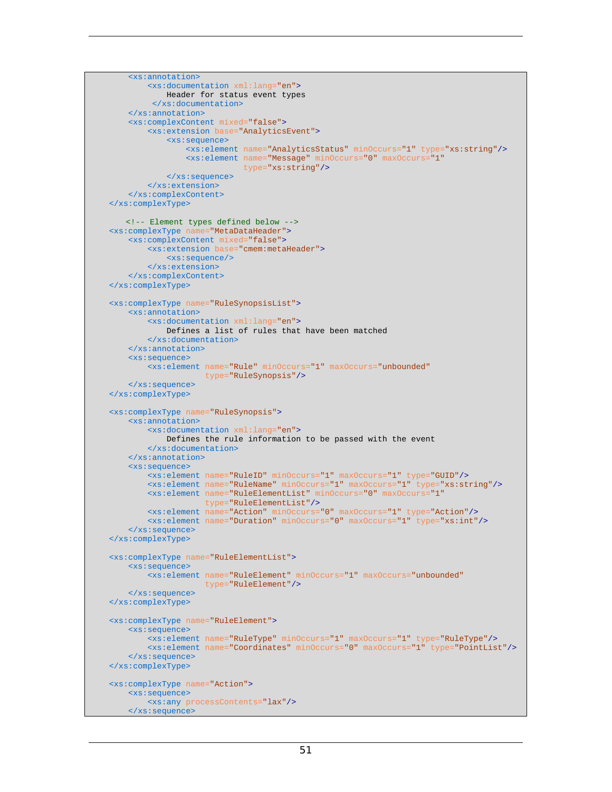```
 <xs:annotation>
         <xs:documentation xml:lang="en"> 
             Header for status event types 
          </xs:documentation>
     </xs:annotation>
     <xs:complexContent mixed="false">
         <xs:extension base="AnalyticsEvent">
             <xs:sequence> 
                 <xs:element name="AnalyticsStatus" minOccurs="1" type="xs:string"/>
                  <xs:element name="Message" minOccurs="0" maxOccurs="1" 
                              type="xs:string"/>
             </xs:sequence>
         </xs:extension>
     </xs:complexContent>
 </xs:complexType>
   <!-- Element types defined below -->
 <xs:complexType name="MetaDataHeader">
     <xs:complexContent mixed="false">
         <xs:extension base="cmem:metaHeader">
             <xs:sequence/>
         </xs:extension>
     </xs:complexContent>
 </xs:complexType>
 <xs:complexType name="RuleSynopsisList">
     <xs:annotation>
         <xs:documentation xml:lang="en"> 
             Defines a list of rules that have been matched 
         </xs:documentation>
     </xs:annotation>
     <xs:sequence>
         <xs:element name="Rule" minOccurs="1" maxOccurs="unbounded" 
                      type="RuleSynopsis"/>
     </xs:sequence>
 </xs:complexType>
 <xs:complexType name="RuleSynopsis">
     <xs:annotation>
         <xs:documentation xml:lang="en"> 
             Defines the rule information to be passed with the event 
         </xs:documentation>
     </xs:annotation>
     <xs:sequence>
         <xs:element name="RuleID" minOccurs="1" maxOccurs="1" type="GUID"/>
         <xs:element name="RuleName" minOccurs="1" maxOccurs="1" type="xs:string"/>
         <xs:element name="RuleElementList" minOccurs="0" maxOccurs="1" 
                      type="RuleElementList"/>
         <xs:element name="Action" minOccurs="0" maxOccurs="1" type="Action"/>
         <xs:element name="Duration" minOccurs="0" maxOccurs="1" type="xs:int"/>
     </xs:sequence>
 </xs:complexType>
 <xs:complexType name="RuleElementList">
     <xs:sequence>
         <xs:element name="RuleElement" minOccurs="1" maxOccurs="unbounded" 
                      type="RuleElement"/>
     </xs:sequence>
 </xs:complexType>
 <xs:complexType name="RuleElement">
     <xs:sequence>
         <xs:element name="RuleType" minOccurs="1" maxOccurs="1" type="RuleType"/>
         <xs:element name="Coordinates" minOccurs="0" maxOccurs="1" type="PointList"/>
     </xs:sequence>
 </xs:complexType>
 <xs:complexType name="Action">
     <xs:sequence>
         <xs:any processContents="lax"/>
     </xs:sequence>
```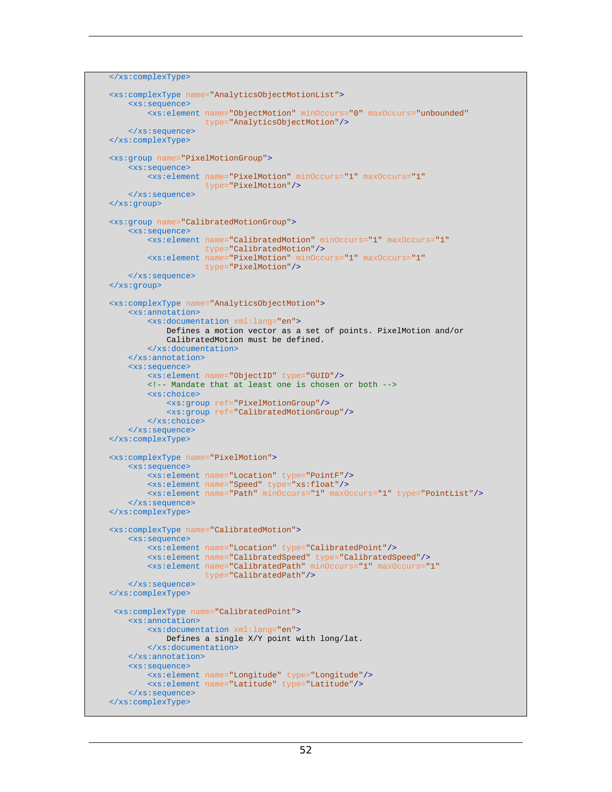```
 </xs:complexType>
 <xs:complexType name="AnalyticsObjectMotionList">
     <xs:sequence>
         <xs:element name="ObjectMotion" minOccurs="0" maxOccurs="unbounded" 
                      type="AnalyticsObjectMotion"/>
     </xs:sequence>
 </xs:complexType>
 <xs:group name="PixelMotionGroup">
     <xs:sequence>
         <xs:element name="PixelMotion" minOccurs="1" maxOccurs="1" 
                     type="PixelMotion"/>
     </xs:sequence>
 </xs:group>
 <xs:group name="CalibratedMotionGroup">
     <xs:sequence>
         <xs:element name="CalibratedMotion" minOccurs="1" maxOccurs="1" 
                      type="CalibratedMotion"/> 
         <xs:element name="PixelMotion" minOccurs="1" maxOccurs="1" 
                      type="PixelMotion"/>
     </xs:sequence> 
 </xs:group>
 <xs:complexType name="AnalyticsObjectMotion">
     <xs:annotation>
         <xs:documentation xml:lang="en">
             Defines a motion vector as a set of points. PixelMotion and/or 
             CalibratedMotion must be defined. 
         </xs:documentation>
     </xs:annotation>
     <xs:sequence>
         <xs:element name="ObjectID" type="GUID"/>
         <!-- Mandate that at least one is chosen or both -->
         <xs:choice>
             <xs:group ref="PixelMotionGroup"/>
             <xs:group ref="CalibratedMotionGroup"/> 
         </xs:choice>
     </xs:sequence>
 </xs:complexType>
 <xs:complexType name="PixelMotion">
     <xs:sequence>
         <xs:element name="Location" type="PointF"/>
         <xs:element name="Speed" type="xs:float"/>
         <xs:element name="Path" minOccurs="1" maxOccurs="1" type="PointList"/>
     </xs:sequence>
 </xs:complexType>
 <xs:complexType name="CalibratedMotion">
     <xs:sequence>
         <xs:element name="Location" type="CalibratedPoint"/>
         <xs:element name="CalibratedSpeed" type="CalibratedSpeed"/>
         <xs:element name="CalibratedPath" minOccurs="1" maxOccurs="1" 
                      type="CalibratedPath"/>
     </xs:sequence>
 </xs:complexType>
  <xs:complexType name="CalibratedPoint">
     <xs:annotation>
         <xs:documentation xml:lang="en"> 
             Defines a single X/Y point with long/lat. 
         </xs:documentation>
     </xs:annotation>
     <xs:sequence>
         <xs:element name="Longitude" type="Longitude"/>
         <xs:element name="Latitude" type="Latitude"/>
     </xs:sequence>
 </xs:complexType>
```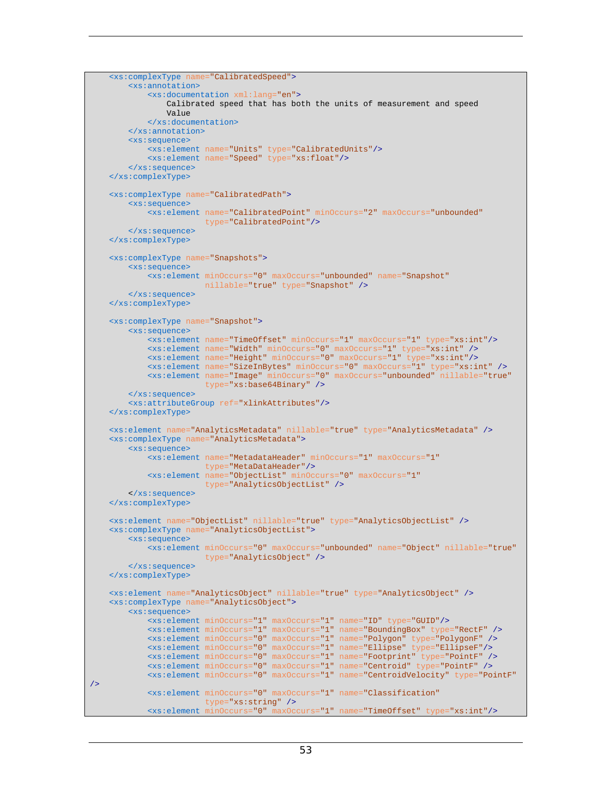```
 <xs:complexType name="CalibratedSpeed">
         <xs:annotation>
             <xs:documentation xml:lang="en"> 
                Calibrated speed that has both the units of measurement and speed 
                 Value 
             </xs:documentation>
         </xs:annotation>
         <xs:sequence>
             <xs:element name="Units" type="CalibratedUnits"/>
             <xs:element name="Speed" type="xs:float"/>
         </xs:sequence>
     </xs:complexType>
     <xs:complexType name="CalibratedPath">
         <xs:sequence>
            <xs:element name="CalibratedPoint" minOccurs="2" maxOccurs="unbounded" 
                         type="CalibratedPoint"/>
         </xs:sequence>
     </xs:complexType>
     <xs:complexType name="Snapshots">
         <xs:sequence>
            <xs:element minOccurs="0" maxOccurs="unbounded" name="Snapshot" 
                         nillable="true" type="Snapshot" />
         </xs:sequence>
     </xs:complexType>
     <xs:complexType name="Snapshot">
         <xs:sequence>
             <xs:element name="TimeOffset" minOccurs="1" maxOccurs="1" type="xs:int"/>
             <xs:element name="Width" minOccurs="0" maxOccurs="1" type="xs:int" />
             <xs:element name="Height" minOccurs="0" maxOccurs="1" type="xs:int"/>
             <xs:element name="SizeInBytes" minOccurs="0" maxOccurs="1" type="xs:int" />
             <xs:element name="Image" minOccurs="0" maxOccurs="unbounded" nillable="true" 
                         type="xs:base64Binary" />
         </xs:sequence>
         <xs:attributeGroup ref="xlinkAttributes"/>
     </xs:complexType>
     <xs:element name="AnalyticsMetadata" nillable="true" type="AnalyticsMetadata" />
     <xs:complexType name="AnalyticsMetadata">
         <xs:sequence>
             <xs:element name="MetadataHeader" minOccurs="1" maxOccurs="1" 
                         type="MetaDataHeader"/>
             <xs:element name="ObjectList" minOccurs="0" maxOccurs="1" 
                         type="AnalyticsObjectList" />
         </xs:sequence>
    </xs:complexType>
    <xs:element name="ObjectList" nillable="true" type="AnalyticsObjectList" /> 
     <xs:complexType name="AnalyticsObjectList">
         <xs:sequence>
             <xs:element minOccurs="0" maxOccurs="unbounded" name="Object" nillable="true" 
                         type="AnalyticsObject" />
         </xs:sequence>
    </xs:complexType>
    <xs:element name="AnalyticsObject" nillable="true" type="AnalyticsObject" />
    <xs:complexType name="AnalyticsObject"> 
         <xs:sequence>
            <xs:element minOccurs="1" maxOccurs="1" name="ID" type="GUID"/>
             <xs:element minOccurs="1" maxOccurs="1" name="BoundingBox" type="RectF" />
             <xs:element minOccurs="0" maxOccurs="1" name="Polygon" type="PolygonF" />
             <xs:element minOccurs="0" maxOccurs="1" name="Ellipse" type="EllipseF"/>
             <xs:element minOccurs="0" maxOccurs="1" name="Footprint" type="PointF" />
 <xs:element minOccurs="0" maxOccurs="1" name="Centroid" type="PointF" />
 <xs:element minOccurs="0" maxOccurs="1" name="CentroidVelocity" type="PointF"
/>
             <xs:element minOccurs="0" maxOccurs="1" name="Classification" 
                         type="xs:string" />
             <xs:element minOccurs="0" maxOccurs="1" name="TimeOffset" type="xs:int"/>
```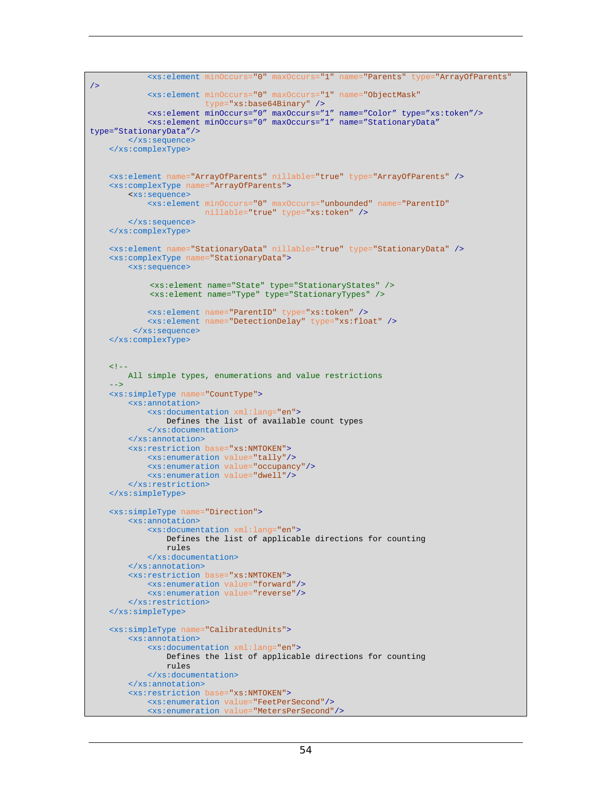```
 <xs:element minOccurs="0" maxOccurs="1" name="Parents" type="ArrayOfParents"
/>
             <xs:element minOccurs="0" maxOccurs="1" name="ObjectMask" 
                         type="xs:base64Binary" />
             <xs:element minOccurs="0" maxOccurs="1" name="Color" type="xs:token"/> 
             <xs:element minOccurs="0" maxOccurs="1" name="StationaryData" 
type="StationaryData"/>
         </xs:sequence>
    </xs:complexType> 
    <xs:element name="ArrayOfParents" nillable="true" type="ArrayOfParents" />
     <xs:complexType name="ArrayOfParents">
         <xs:sequence>
             <xs:element minOccurs="0" maxOccurs="unbounded" name="ParentID" 
                          nillable="true" type="xs:token" />
         </xs:sequence>
    </xs:complexType>
    <xs:element name="StationaryData" nillable="true" type="StationaryData" />
     <xs:complexType name="StationaryData">
         <xs:sequence>
             <xs:element name="State" type="StationaryStates" />
             <xs:element name="Type" type="StationaryTypes" />
             <xs:element name="ParentID" type="xs:token" />
             <xs:element name="DetectionDelay" type="xs:float" />
          </xs:sequence>
    </xs:complexType>
    <! - All simple types, enumerations and value restrictions 
 -->
     <xs:simpleType name="CountType">
         <xs:annotation>
             <xs:documentation xml:lang="en">
                 Defines the list of available count types 
             </xs:documentation>
         </xs:annotation>
         <xs:restriction base="xs:NMTOKEN">
             <xs:enumeration value="tally"/>
             <xs:enumeration value="occupancy"/>
             <xs:enumeration value="dwell"/>
         </xs:restriction>
    </xs:simpleType>
     <xs:simpleType name="Direction">
         <xs:annotation>
             <xs:documentation xml:lang="en"> 
                 Defines the list of applicable directions for counting 
                 rules 
             </xs:documentation>
         </xs:annotation>
         <xs:restriction base="xs:NMTOKEN">
             <xs:enumeration value="forward"/>
             <xs:enumeration value="reverse"/>
         </xs:restriction>
     </xs:simpleType>
     <xs:simpleType name="CalibratedUnits">
         <xs:annotation>
             <xs:documentation xml:lang="en"> 
                 Defines the list of applicable directions for counting 
                 rules 
             </xs:documentation>
         </xs:annotation>
         <xs:restriction base="xs:NMTOKEN">
             <xs:enumeration value="FeetPerSecond"/>
             <xs:enumeration value="MetersPerSecond"/>
```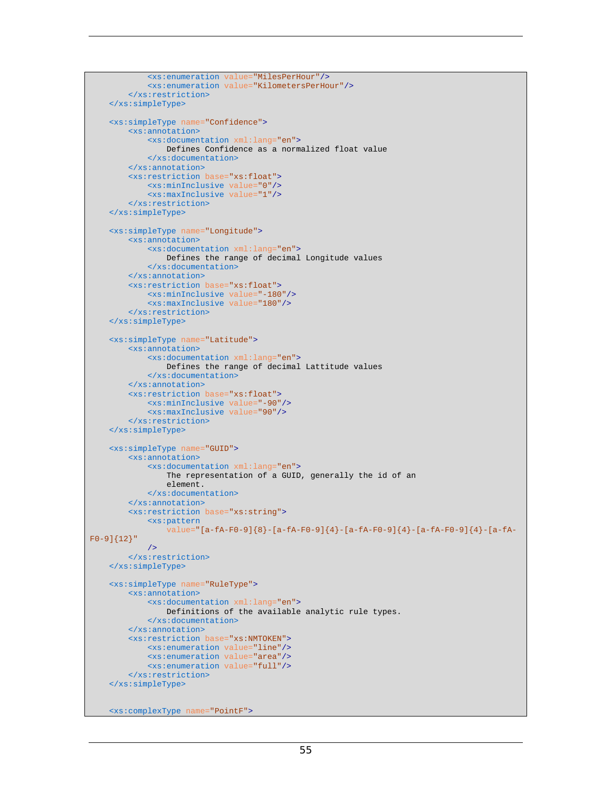```
 <xs:enumeration value="MilesPerHour"/>
             <xs:enumeration value="KilometersPerHour"/>
         </xs:restriction>
    </xs:simpleType>
     <xs:simpleType name="Confidence">
         <xs:annotation>
             <xs:documentation xml:lang="en"> 
                 Defines Confidence as a normalized float value 
             </xs:documentation>
         </xs:annotation>
         <xs:restriction base="xs:float">
             <xs:minInclusive value="0"/>
             <xs:maxInclusive value="1"/>
         </xs:restriction>
    </xs:simpleType>
     <xs:simpleType name="Longitude">
         <xs:annotation>
             <xs:documentation xml:lang="en"> 
                 Defines the range of decimal Longitude values 
             </xs:documentation>
         </xs:annotation>
         <xs:restriction base="xs:float">
             <xs:minInclusive value="-180"/>
             <xs:maxInclusive value="180"/>
         </xs:restriction>
     </xs:simpleType>
    <xs:simpleType name="Latitude">
        <xs:annotation>
             <xs:documentation xml:lang="en"> 
                 Defines the range of decimal Lattitude values 
             </xs:documentation>
         </xs:annotation>
         <xs:restriction base="xs:float">
             <xs:minInclusive value="-90"/>
             <xs:maxInclusive value="90"/>
         </xs:restriction>
    </xs:simpleType>
    <xs:simpleType name="GUID">
         <xs:annotation>
             <xs:documentation xml:lang="en"> 
                 The representation of a GUID, generally the id of an 
                 element. 
             </xs:documentation>
         </xs:annotation>
         <xs:restriction base="xs:string">
             <xs:pattern
                value="[a-fA-F0-9]{8}-[a-fA-F0-9]{4}-[a-fA-F0-9]{4}-[a-fA-F0-9]{4}-[a-fA-
F0-9]{12}"
             />
         </xs:restriction>
    </xs:simpleType>
    <xs:simpleType name="RuleType">
         <xs:annotation>
             <xs:documentation xml:lang="en"> 
                 Definitions of the available analytic rule types. 
             </xs:documentation>
         </xs:annotation>
         <xs:restriction base="xs:NMTOKEN">
             <xs:enumeration value="line"/>
             <xs:enumeration value="area"/>
             <xs:enumeration value="full"/>
         </xs:restriction>
     </xs:simpleType>
    <xs:complexType name="PointF">
```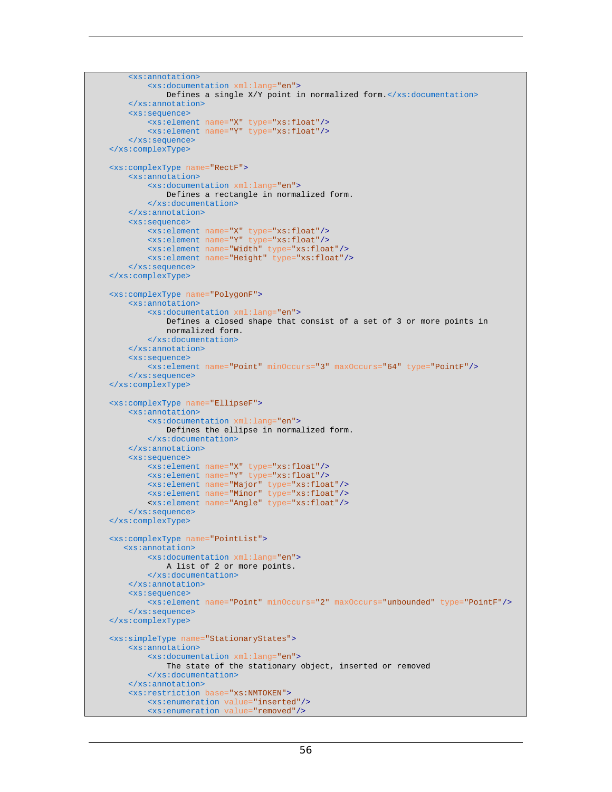```
 <xs:annotation>
             <xs:documentation xml:lang="en"> 
                Defines a single X/Y point in normalized form.\langle x, s : documentation>
         </xs:annotation>
         <xs:sequence>
             <xs:element name="X" type="xs:float"/>
             <xs:element name="Y" type="xs:float"/>
         </xs:sequence>
    </xs:complexType>
    <xs:complexType name="RectF">
         <xs:annotation>
             <xs:documentation xml:lang="en"> 
                 Defines a rectangle in normalized form. 
             </xs:documentation>
         </xs:annotation>
         <xs:sequence>
             <xs:element name="X" type="xs:float"/>
             <xs:element name="Y" type="xs:float"/>
             <xs:element name="Width" type="xs:float"/>
             <xs:element name="Height" type="xs:float"/>
         </xs:sequence>
    </xs:complexType>
    <xs:complexType name="PolygonF">
         <xs:annotation>
             <xs:documentation xml:lang="en"> 
                 Defines a closed shape that consist of a set of 3 or more points in 
                 normalized form. 
             </xs:documentation>
         </xs:annotation>
         <xs:sequence>
             <xs:element name="Point" minOccurs="3" maxOccurs="64" type="PointF"/>
         </xs:sequence>
    </xs:complexType>
    <xs:complexType name="EllipseF">
         <xs:annotation>
             <xs:documentation xml:lang="en"> 
                 Defines the ellipse in normalized form. 
             </xs:documentation>
         </xs:annotation>
         <xs:sequence>
             <xs:element name="X" type="xs:float"/>
 <xs:element name="Y" type="xs:float"/>
 <xs:element name="Major" type="xs:float"/>
             <xs:element name="Minor" type="xs:float"/>
             <xs:element name="Angle" type="xs:float"/>
         </xs:sequence>
    </xs:complexType>
    <xs:complexType name="PointList">
        <xs:annotation>
             <xs:documentation xml:lang="en"> 
                 A list of 2 or more points. 
             </xs:documentation>
         </xs:annotation>
         <xs:sequence>
             <xs:element name="Point" minOccurs="2" maxOccurs="unbounded" type="PointF"/>
         </xs:sequence>
    </xs:complexType>
    <xs:simpleType name="StationaryStates">
         <xs:annotation>
             <xs:documentation xml:lang="en"> 
                 The state of the stationary object, inserted or removed 
             </xs:documentation>
         </xs:annotation>
         <xs:restriction base="xs:NMTOKEN">
             <xs:enumeration value="inserted"/>
             <xs:enumeration value="removed"/>
```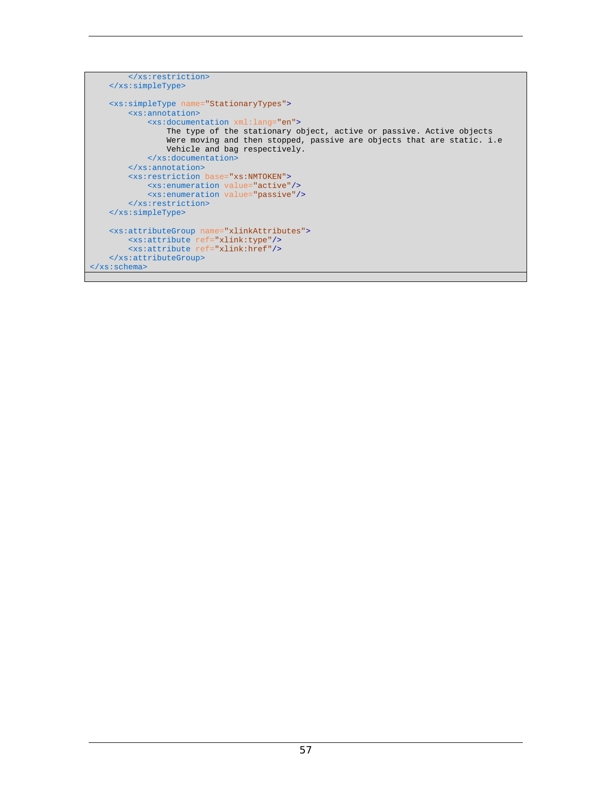```
 </xs:restriction>
     </xs:simpleType>
     <xs:simpleType name="StationaryTypes">
        <xs:annotation>
             <xs:documentation xml:lang="en"> 
                 The type of the stationary object, active or passive. Active objects 
                 Were moving and then stopped, passive are objects that are static. i.e 
                Vehicle and bag respectively. 
             </xs:documentation>
         </xs:annotation>
         <xs:restriction base="xs:NMTOKEN">
             <xs:enumeration value="active"/>
             <xs:enumeration value="passive"/>
         </xs:restriction>
    </xs:simpleType>
     <xs:attributeGroup name="xlinkAttributes">
        <xs:attribute ref="xlink:type"/>
         <xs:attribute ref="xlink:href"/>
     </xs:attributeGroup>
</xs:schema>
```